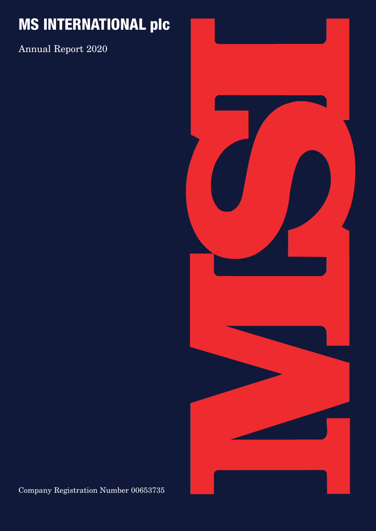# **MS INTERNATIONAL plc**

Annual Report 2020



Company Registration Number 00653735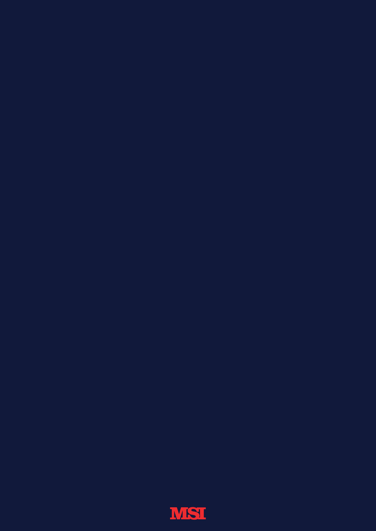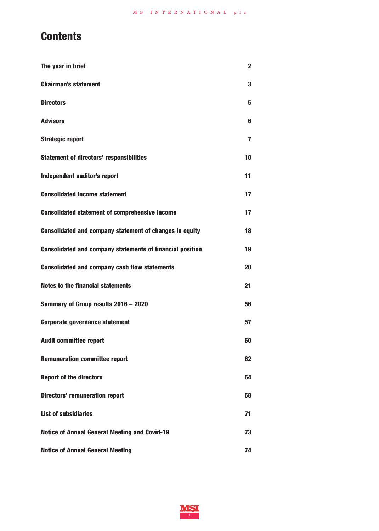# **Contents**

| The year in brief                                                | $\mathbf{2}$   |
|------------------------------------------------------------------|----------------|
| <b>Chairman's statement</b>                                      | 3              |
| <b>Directors</b>                                                 | 5              |
| <b>Advisors</b>                                                  | 6              |
| <b>Strategic report</b>                                          | $\overline{7}$ |
| <b>Statement of directors' responsibilities</b>                  | 10             |
| Independent auditor's report                                     | 11             |
| <b>Consolidated income statement</b>                             | 17             |
| <b>Consolidated statement of comprehensive income</b>            | 17             |
| <b>Consolidated and company statement of changes in equity</b>   | 18             |
| <b>Consolidated and company statements of financial position</b> | 19             |
| <b>Consolidated and company cash flow statements</b>             | 20             |
| <b>Notes to the financial statements</b>                         | 21             |
| Summary of Group results 2016 - 2020                             | 56             |
| <b>Corporate governance statement</b>                            | 57             |
| <b>Audit committee report</b>                                    | 60             |
| <b>Remuneration committee report</b>                             | 62             |
| <b>Report of the directors</b>                                   | 64             |
| <b>Directors' remuneration report</b>                            | 68             |
| <b>List of subsidiaries</b>                                      | 71             |
| <b>Notice of Annual General Meeting and Covid-19</b>             | 73             |
| <b>Notice of Annual General Meeting</b>                          | 74             |

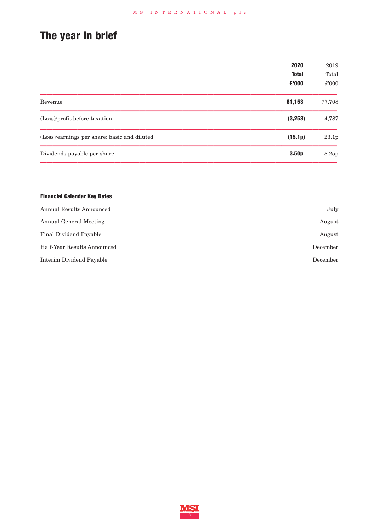# **The year in brief**

| 2020                                                    | 2019   |
|---------------------------------------------------------|--------|
| <b>Total</b>                                            | Total  |
| £'000                                                   | £'000  |
| 61,153<br>Revenue                                       | 77,708 |
| (Loss)/profit before taxation<br>(3, 253)               | 4,787  |
| (Loss)/earnings per share: basic and diluted<br>(15.1p) | 23.1p  |
| 3.50 <sub>p</sub><br>Dividends payable per share        | 8.25p  |

### **Financial Calendar Key Dates**

| Annual Results Announced    | July     |
|-----------------------------|----------|
| Annual General Meeting      | August   |
| Final Dividend Payable      | August   |
| Half-Year Results Announced | December |
| Interim Dividend Payable    | December |

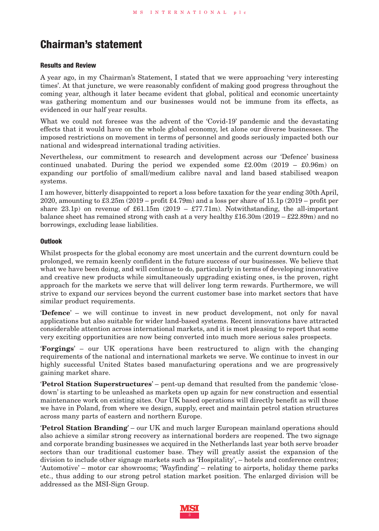# **Chairman's statement**

### **Results and Review**

A year ago, in my Chairman's Statement, I stated that we were approaching 'very interesting times'. At that juncture, we were reasonably confident of making good progress throughout the coming year, although it later became evident that global, political and economic uncertainty was gathering momentum and our businesses would not be immune from its effects, as evidenced in our half year results.

What we could not foresee was the advent of the 'Covid-19' pandemic and the devastating effects that it would have on the whole global economy, let alone our diverse businesses. The imposed restrictions on movement in terms of personnel and goods seriously impacted both our national and widespread international trading activities.

Nevertheless, our commitment to research and development across our 'Defence' business continued unabated. During the period we expended some  $£2.00m$  (2019 –  $£0.96m$ ) on expanding our portfolio of small/medium calibre naval and land based stabilised weapon systems.

I am however, bitterly disappointed to report a loss before taxation for the year ending 30th April, 2020, amounting to  $\pounds3.25$ m (2019 – profit  $\pounds4.79$ m) and a loss per share of  $15.1$ p (2019 – profit per share 23.1p) on revenue of £61.15m (2019 – £77.71m). Notwithstanding, the all-important balance sheet has remained strong with cash at a very healthy £16.30m (2019 – £22.89m) and no borrowings, excluding lease liabilities.

### **Outlook**

Whilst prospects for the global economy are most uncertain and the current downturn could be prolonged, we remain keenly confident in the future success of our businesses. We believe that what we have been doing, and will continue to do, particularly in terms of developing innovative and creative new products while simultaneously upgrading existing ones, is the proven, right approach for the markets we serve that will deliver long term rewards. Furthermore, we will strive to expand our services beyond the current customer base into market sectors that have similar product requirements.

'**Defence**' – we will continue to invest in new product development, not only for naval applications but also suitable for wider land-based systems. Recent innovations have attracted considerable attention across international markets, and it is most pleasing to report that some very exciting opportunities are now being converted into much more serious sales prospects.

'**Forgings**' – our UK operations have been restructured to align with the changing requirements of the national and international markets we serve. We continue to invest in our highly successful United States based manufacturing operations and we are progressively gaining market share.

'**Petrol Station Superstructures**' – pent-up demand that resulted from the pandemic 'closedown' is starting to be unleashed as markets open up again for new construction and essential maintenance work on existing sites. Our UK based operations will directly benefit as will those we have in Poland, from where we design, supply, erect and maintain petrol station structures across many parts of eastern and northern Europe.

'**Petrol Station Branding**' – our UK and much larger European mainland operations should also achieve a similar strong recovery as international borders are reopened. The two signage and corporate branding businesses we acquired in the Netherlands last year both serve broader sectors than our traditional customer base. They will greatly assist the expansion of the division to include other signage markets such as 'Hospitality', – hotels and conference centres; 'Automotive' – motor car showrooms; 'Wayfinding' – relating to airports, holiday theme parks etc., thus adding to our strong petrol station market position. The enlarged division will be addressed as the MSI-Sign Group.

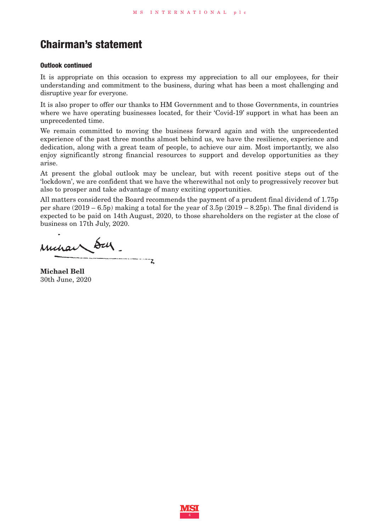# **Chairman's statement**

### **Outlook continued**

It is appropriate on this occasion to express my appreciation to all our employees, for their understanding and commitment to the business, during what has been a most challenging and disruptive year for everyone.

It is also proper to offer our thanks to HM Government and to those Governments, in countries where we have operating businesses located, for their 'Covid-19' support in what has been an unprecedented time.

We remain committed to moving the business forward again and with the unprecedented experience of the past three months almost behind us, we have the resilience, experience and dedication, along with a great team of people, to achieve our aim. Most importantly, we also enjoy significantly strong financial resources to support and develop opportunities as they arise.

At present the global outlook may be unclear, but with recent positive steps out of the 'lockdown', we are confident that we have the wherewithal not only to progressively recover but also to prosper and take advantage of many exciting opportunities.

All matters considered the Board recommends the payment of a prudent final dividend of 1.75p per share  $(2019 - 6.5p)$  making a total for the year of  $3.5p (2019 - 8.25p)$ . The final dividend is expected to be paid on 14th August, 2020, to those shareholders on the register at the close of business on 17th July, 2020.

Muhar Say  $\overline{\phantom{a}}$ 

**Michael Bell** 30th June, 2020

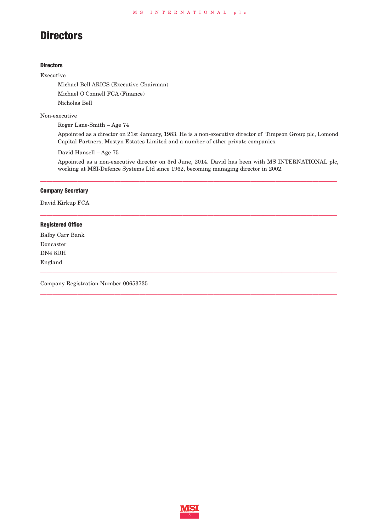# **Directors**

### **Directors**

### Executive

Michael Bell ARICS (Executive Chairman) Michael O'Connell FCA (Finance) Nicholas Bell

#### Non-executive

Roger Lane-Smith – Age 74

Appointed as a director on 21st January, 1983. He is a non-executive director of Timpson Group plc, Lomond Capital Partners, Mostyn Estates Limited and a number of other private companies.

David Hansell – Age 75

Appointed as a non-executive director on 3rd June, 2014. David has been with MS INTERNATIONAL plc, working at MSI-Defence Systems Ltd since 1962, becoming managing director in 2002.

**222222222222222222222222222222222222222222222222**

**222222222222222222222222222222222222222222222222**

**222222222222222222222222222222222222222222222222**

### **Company Secretary**

David Kirkup FCA

### **Registered Office**

Balby Carr Bank Doncaster DN4 8DH England **222222222222222222222222222222222222222222222222**

Company Registration Number 00653735

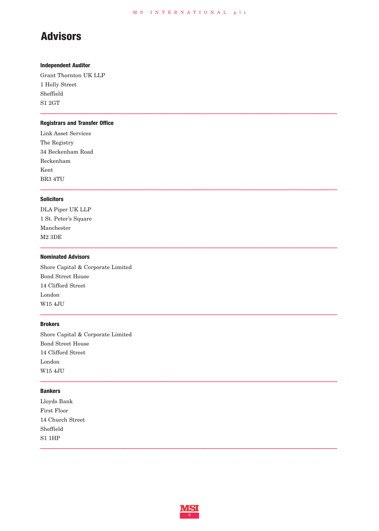**222222222222222222222222222222222222222222222222**

**222222222222222222222222222222222222222222222222**

**222222222222222222222222222222222222222222222222**

**222222222222222222222222222222222222222222222222**

**222222222222222222222222222222222222222222222222**

# **Advisors**

### **Independent Auditor**

Grant Thornton UK LLP 1 Holly Street Sheffield S1 2GT

### **Registrars and Transfer Office**

Link Asset Services The Registry 34 Beckenham Road Beckenham Kent BR3 4TU

### **Solicitors**

DLA Piper UK LLP 1 St. Peter's Square Manchester M2 3DE

### **Nominated Advisors**

Shore Capital & Corporate Limited Bond Street House 14 Clifford Street London W15 4JU

### **Brokers**

Shore Capital & Corporate Limited Bond Street House 14 Clifford Street London W15 4JU

### **Bankers**

| Lloyds Bank      |
|------------------|
| First Floor      |
| 14 Church Street |
| Sheffield        |
| <b>S1 1HP</b>    |



**222222222222222222222222222222222222222222222222**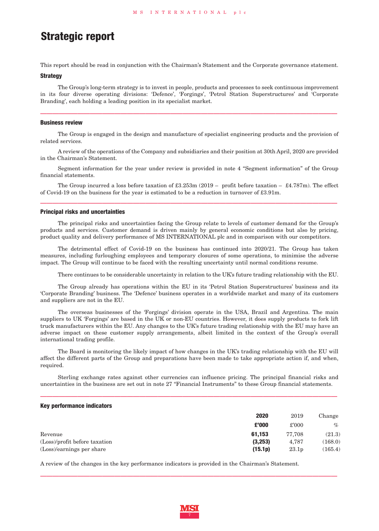### **Strategic report**

This report should be read in conjunction with the Chairman's Statement and the Corporate governance statement.

#### **Strategy**

The Group's long-term strategy is to invest in people, products and processes to seek continuous improvement in its four diverse operating divisions: 'Defence', 'Forgings', 'Petrol Station Superstructures' and 'Corporate Branding', each holding a leading position in its specialist market.

**222222222222222222222222222222222222222222222222**

#### **Business review**

The Group is engaged in the design and manufacture of specialist engineering products and the provision of related services.

A review of the operations of the Company and subsidiaries and their position at 30th April, 2020 are provided in the Chairman's Statement.

Segment information for the year under review is provided in note 4 "Segment information" of the Group financial statements.

The Group incurred a loss before taxation of  $\text{\pounds}3.253\text{m}$  (2019 – profit before taxation –  $\text{\pounds}4.787\text{m}$ ). The effect of Covid-19 on the business for the year is estimated to be a reduction in turnover of £3.91m. **222222222222222222222222222222222222222222222222**

#### **Principal risks and uncertainties**

The principal risks and uncertainties facing the Group relate to levels of customer demand for the Group's products and services. Customer demand is driven mainly by general economic conditions but also by pricing, product quality and delivery performance of MS INTERNATIONAL plc and in comparison with our competitors.

The detrimental effect of Covid-19 on the business has continued into 2020/21. The Group has taken measures, including furloughing employees and temporary closures of some operations, to minimise the adverse impact. The Group will continue to be faced with the resulting uncertainty until normal conditions resume.

There continues to be considerable uncertainty in relation to the UK's future trading relationship with the EU.

The Group already has operations within the EU in its 'Petrol Station Superstructures' business and its 'Corporate Branding' business. The 'Defence' business operates in a worldwide market and many of its customers and suppliers are not in the EU.

The overseas businesses of the 'Forgings' division operate in the USA, Brazil and Argentina. The main suppliers to UK 'Forgings' are based in the UK or non-EU countries. However, it does supply products to fork lift truck manufacturers within the EU. Any changes to the UK's future trading relationship with the EU may have an adverse impact on these customer supply arrangements, albeit limited in the context of the Group's overall international trading profile.

The Board is monitoring the likely impact of how changes in the UK's trading relationship with the EU will affect the different parts of the Group and preparations have been made to take appropriate action if, and when, required.

Sterling exchange rates against other currencies can influence pricing. The principal financial risks and uncertainties in the business are set out in note 27 "Financial Instruments" to these Group financial statements.

**222222222222222222222222222222222222222222222222**

#### **Key performance indicators**

|                               | 2020    | 2019              | Change  |
|-------------------------------|---------|-------------------|---------|
|                               | £'000   | $\pounds$ '000    | $\%$    |
| Revenue                       | 61.153  | 77.708            | (21.3)  |
| (Loss)/profit before taxation | (3,253) | 4.787             | (168.0) |
| (Loss)/earnings per share     | (15.1p) | 23.1 <sub>p</sub> | (165.4) |

A review of the changes in the key performance indicators is provided in the Chairman's Statement.



**222222222222222222222222222222222222222222222222**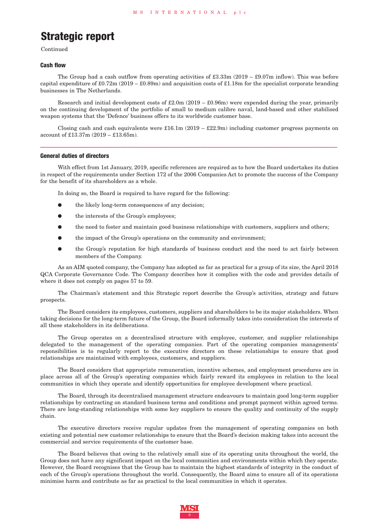## **Strategic report**

Continued

#### **Cash flow**

The Group had a cash outflow from operating activities of £3.33m (2019 – £9.07m inflow). This was before capital expenditure of £0.72m (2019 – £0.89m) and acquisition costs of £1.18m for the specialist corporate branding businesses in The Netherlands.

Research and initial development costs of  $£2.0m (2019 - £0.96m)$  were expended during the year, primarily on the continuing development of the portfolio of small to medium calibre naval, land-based and other stabilised weapon systems that the 'Defence' business offers to its worldwide customer base.

Closing cash and cash equivalents were  $£16.1m (2019 - £22.9m)$  including customer progress payments on account of £13.37m (2019 – £13.65m).

**222222222222222222222222222222222222222222222222**

#### **General duties of directors**

With effect from 1st January, 2019, specific references are required as to how the Board undertakes its duties in respect of the requirements under Section 172 of the 2006 Companies Act to promote the success of the Company for the benefit of its shareholders as a whole.

In doing so, the Board is required to have regard for the following:

- the likely long-term consequences of any decision;
- **●** the interests of the Group's employees;
- the need to foster and maintain good business relationships with customers, suppliers and others;
- the impact of the Group's operations on the community and environment;
- **●** the Group's reputation for high standards of business conduct and the need to act fairly between members of the Company.

As an AIM quoted company, the Company has adopted as far as practical for a group of its size, the April 2018 QCA Corporate Governance Code. The Company describes how it complies with the code and provides details of where it does not comply on pages 57 to 59.

The Chairman's statement and this Strategic report describe the Group's activities, strategy and future prospects.

The Board considers its employees, customers, suppliers and shareholders to be its major stakeholders. When taking decisions for the long-term future of the Group, the Board informally takes into consideration the interests of all these stakeholders in its deliberations.

The Group operates on a decentralised structure with employee, customer, and supplier relationships delegated to the management of the operating companies. Part of the operating companies managements' reponsibilities is to regularly report to the executive directors on these relationships to ensure that good relationships are maintained with employees, customers, and suppliers.

The Board considers that appropriate remuneration, incentive schemes, and employment procedures are in place across all of the Group's operating companies which fairly reward its employees in relation to the local communities in which they operate and identify opportunities for employee development where practical.

The Board, through its decentralised management structure endeavours to maintain good long-term supplier relationships by contracting on standard business terms and conditions and prompt payment within agreed terms. There are long-standing relationships with some key suppliers to ensure the quality and continuity of the supply chain.

The executive directors receive regular updates from the management of operating companies on both existing and potential new customer relationships to ensure that the Board's decision making takes into account the commercial and service requirements of the customer base.

The Board believes that owing to the relatively small size of its operating units throughout the world, the Group does not have any significant impact on the local communities and environments within which they operate. However, the Board recognises that the Group has to maintain the highest standards of integrity in the conduct of each of the Group's operations throughout the world. Consequently, the Board aims to ensure all of its operations minimise harm and contribute as far as practical to the local communities in which it operates.

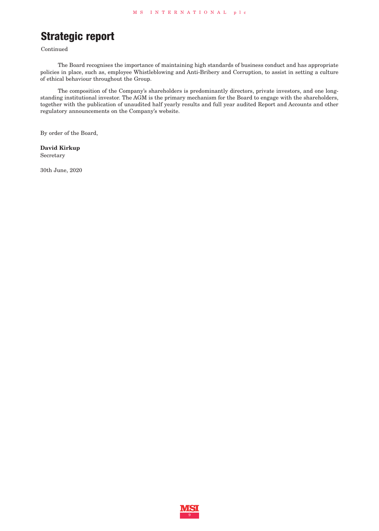## **Strategic report**

Continued

The Board recognises the importance of maintaining high standards of business conduct and has appropriate policies in place, such as, employee Whistleblowing and Anti-Bribery and Corruption, to assist in setting a culture of ethical behaviour throughout the Group.

The composition of the Company's shareholders is predominantly directors, private investors, and one longstanding institutional investor. The AGM is the primary mechanism for the Board to engage with the shareholders, together with the publication of unaudited half yearly results and full year audited Report and Accounts and other regulatory announcements on the Company's website.

By order of the Board,

### **David Kirkup**

Secretary

30th June, 2020

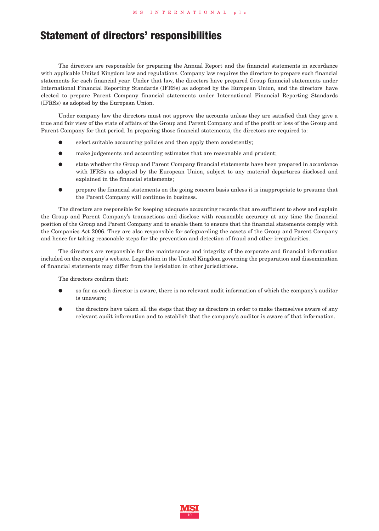## **Statement of directors' responsibilities**

The directors are responsible for preparing the Annual Report and the financial statements in accordance with applicable United Kingdom law and regulations. Company law requires the directors to prepare such financial statements for each financial year. Under that law, the directors have prepared Group financial statements under International Financial Reporting Standards (IFRSs) as adopted by the European Union, and the directors' have elected to prepare Parent Company financial statements under International Financial Reporting Standards (IFRSs) as adopted by the European Union.

Under company law the directors must not approve the accounts unless they are satisfied that they give a true and fair view of the state of affairs of the Group and Parent Company and of the profit or loss of the Group and Parent Company for that period. In preparing those financial statements, the directors are required to:

- select suitable accounting policies and then apply them consistently;
- **●** make judgements and accounting estimates that are reasonable and prudent;
- **●** state whether the Group and Parent Company financial statements have been prepared in accordance with IFRSs as adopted by the European Union, subject to any material departures disclosed and explained in the financial statements;
- **•** prepare the financial statements on the going concern basis unless it is inappropriate to presume that the Parent Company will continue in business.

The directors are responsible for keeping adequate accounting records that are sufficient to show and explain the Group and Parent Company's transactions and disclose with reasonable accuracy at any time the financial position of the Group and Parent Company and to enable them to ensure that the financial statements comply with the Companies Act 2006. They are also responsible for safeguarding the assets of the Group and Parent Company and hence for taking reasonable steps for the prevention and detection of fraud and other irregularities.

The directors are responsible for the maintenance and integrity of the corporate and financial information included on the company's website. Legislation in the United Kingdom governing the preparation and dissemination of financial statements may differ from the legislation in other jurisdictions.

The directors confirm that:

- so far as each director is aware, there is no relevant audit information of which the company's auditor is unaware;
- **●** the directors have taken all the steps that they as directors in order to make themselves aware of any relevant audit information and to establish that the company's auditor is aware of that information.

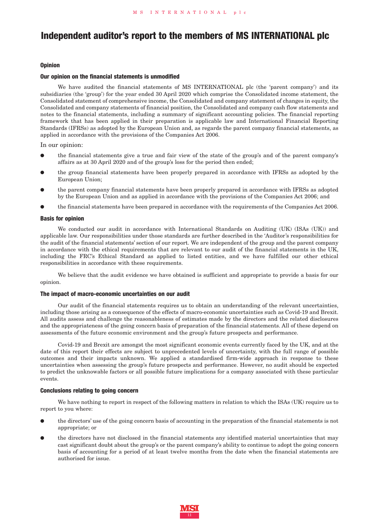#### **Opinion**

#### **Our opinion on the financial statements is unmodified**

We have audited the financial statements of MS INTERNATIONAL plc (the 'parent company') and its subsidiaries (the 'group') for the year ended 30 April 2020 which comprise the Consolidated income statement, the Consolidated statement of comprehensive income, the Consolidated and company statement of changes in equity, the Consolidated and company statements of financial position, the Consolidated and company cash flow statements and notes to the financial statements, including a summary of significant accounting policies. The financial reporting framework that has been applied in their preparation is applicable law and International Financial Reporting Standards (IFRSs) as adopted by the European Union and, as regards the parent company financial statements, as applied in accordance with the provisions of the Companies Act 2006.

In our opinion:

- the financial statements give a true and fair view of the state of the group's and of the parent company's affairs as at 30 April 2020 and of the group's loss for the period then ended;
- **●** the group financial statements have been properly prepared in accordance with IFRSs as adopted by the European Union;
- **●** the parent company financial statements have been properly prepared in accordance with IFRSs as adopted by the European Union and as applied in accordance with the provisions of the Companies Act 2006; and
- **●** the financial statements have been prepared in accordance with the requirements of the Companies Act 2006.

#### **Basis for opinion**

We conducted our audit in accordance with International Standards on Auditing (UK) (ISAs (UK)) and applicable law. Our responsibilities under those standards are further described in the 'Auditor's responsibilities for the audit of the financial statements' section of our report. We are independent of the group and the parent company in accordance with the ethical requirements that are relevant to our audit of the financial statements in the UK, including the FRC's Ethical Standard as applied to listed entities, and we have fulfilled our other ethical responsibilities in accordance with these requirements.

We believe that the audit evidence we have obtained is sufficient and appropriate to provide a basis for our opinion.

#### **The impact of macro-economic uncertainties on our audit**

Our audit of the financial statements requires us to obtain an understanding of the relevant uncertainties, including those arising as a consequence of the effects of macro-economic uncertainties such as Covid-19 and Brexit. All audits assess and challenge the reasonableness of estimates made by the directors and the related disclosures and the appropriateness of the going concern basis of preparation of the financial statements. All of these depend on assessments of the future economic environment and the group's future prospects and performance.

Covid-19 and Brexit are amongst the most significant economic events currently faced by the UK, and at the date of this report their effects are subject to unprecedented levels of uncertainty, with the full range of possible outcomes and their impacts unknown. We applied a standardised firm-wide approach in response to these uncertainties when assessing the group's future prospects and performance. However, no audit should be expected to predict the unknowable factors or all possible future implications for a company associated with these particular events.

#### **Conclusions relating to going concern**

We have nothing to report in respect of the following matters in relation to which the ISAs (UK) require us to report to you where:

- **●** the directors' use of the going concern basis of accounting in the preparation of the financial statements is not appropriate; or
- **●** the directors have not disclosed in the financial statements any identified material uncertainties that may cast significant doubt about the group's or the parent company's ability to continue to adopt the going concern basis of accounting for a period of at least twelve months from the date when the financial statements are authorised for issue.

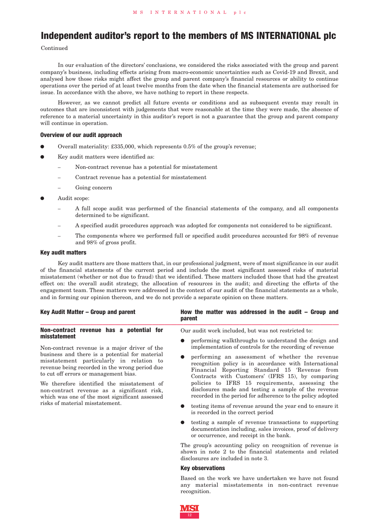Continued

In our evaluation of the directors' conclusions, we considered the risks associated with the group and parent company's business, including effects arising from macro-economic uncertainties such as Covid-19 and Brexit, and analysed how those risks might affect the group and parent company's financial resources or ability to continue operations over the period of at least twelve months from the date when the financial statements are authorised for issue. In accordance with the above, we have nothing to report in these respects.

However, as we cannot predict all future events or conditions and as subsequent events may result in outcomes that are inconsistent with judgements that were reasonable at the time they were made, the absence of reference to a material uncertainty in this auditor's report is not a guarantee that the group and parent company will continue in operation.

#### **Overview of our audit approach**

- Overall materiality: £335,000, which represents 0.5% of the group's revenue;
- **●** Key audit matters were identified as:
	- Non-contract revenue has a potential for misstatement
	- Contract revenue has a potential for misstatement
	- Going concern
- **●** Audit scope:
	- A full scope audit was performed of the financial statements of the company, and all components determined to be significant.
	- A specified audit procedures approach was adopted for components not considered to be significant.
	- The components where we performed full or specified audit procedures accounted for 98% of revenue and 98% of gross profit.

#### **Key audit matters**

Key audit matters are those matters that, in our professional judgment, were of most significance in our audit of the financial statements of the current period and include the most significant assessed risks of material misstatement (whether or not due to fraud) that we identified. These matters included those that had the greatest effect on: the overall audit strategy, the allocation of resources in the audit; and directing the efforts of the engagement team. These matters were addressed in the context of our audit of the financial statements as a whole, and in forming our opinion thereon, and we do not provide a separate opinion on these matters.

| Key Audit Matter – Group and parent                                                                                                                                                                                                                                                                                                                                                                                                                                                   | How the matter was addressed in the audit $-$ Group and<br>parent                                                                                                                                                                                                                                                                                                                                                                                                                                                                                                                                                                                                                                                                                                                                                                                                                                                                                                                                       |
|---------------------------------------------------------------------------------------------------------------------------------------------------------------------------------------------------------------------------------------------------------------------------------------------------------------------------------------------------------------------------------------------------------------------------------------------------------------------------------------|---------------------------------------------------------------------------------------------------------------------------------------------------------------------------------------------------------------------------------------------------------------------------------------------------------------------------------------------------------------------------------------------------------------------------------------------------------------------------------------------------------------------------------------------------------------------------------------------------------------------------------------------------------------------------------------------------------------------------------------------------------------------------------------------------------------------------------------------------------------------------------------------------------------------------------------------------------------------------------------------------------|
| Non-contract revenue has a potential for<br>misstatement<br>Non-contract revenue is a major driver of the<br>business and there is a potential for material<br>misstatement particularly in relation to<br>revenue being recorded in the wrong period due<br>to cut off errors or management bias.<br>We therefore identified the misstatement of<br>non-contract revenue as a significant risk,<br>which was one of the most significant assessed<br>risks of material misstatement. | Our audit work included, but was not restricted to:<br>performing walkthroughs to understand the design and<br>implementation of controls for the recording of revenue<br>performing an assessment of whether the revenue<br>recognition policy is in accordance with International<br>Financial Reporting Standard 15 'Revenue from<br>Contracts with Customers' (IFRS 15), by comparing<br>policies to IFRS 15 requirements, assessing the<br>disclosures made and testing a sample of the revenue<br>recorded in the period for adherence to the policy adopted<br>testing items of revenue around the year end to ensure it<br>is recorded in the correct period<br>testing a sample of revenue transactions to supporting<br>documentation including, sales invoices, proof of delivery<br>or occurrence, and receipt in the bank.<br>The group's accounting policy on recognition of revenue is<br>shown in note 2 to the financial statements and related<br>disclosures are included in note 3. |
|                                                                                                                                                                                                                                                                                                                                                                                                                                                                                       | <b>Key observations</b>                                                                                                                                                                                                                                                                                                                                                                                                                                                                                                                                                                                                                                                                                                                                                                                                                                                                                                                                                                                 |

Based on the work we have undertaken we have not found any material misstatements in non-contract revenue recognition.

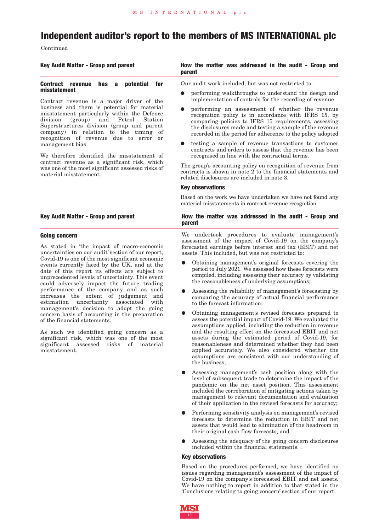Continued

#### **Key Audit Matter - Group and parent**

#### **How the matter was addressed in the audit - Group and parent 222222222222222222222222222222222222222222222222**

#### **Contract revenue has a potential for misstatement**

Contract revenue is a major driver of the business and there is potential for material misstatement particularly within the Defence division (group) and Petrol Station Superstructures division (group and parent company) in relation to the timing of recognition of revenue due to error or management bias.

We therefore identified the misstatement of contract revenue as a significant risk, which was one of the most significant assessed risks of material misstatement.

#### **Key Audit Matter - Group and parent**

#### **Going concern**

As stated in 'the impact of macro-economic uncertainties on our audit' section of our report, Covid-19 is one of the most significant economic events currently faced by the UK, and at the date of this report its effects are subject to unprecedented levels of uncertainty. This event could adversely impact the future trading performance of the company and as such increases the extent of judgement and estimation uncertainty associated with management's decision to adopt the going concern basis of accounting in the preparation of the financial statements.

As such we identified going concern as a significant risk, which was one of the most significant assessed risks of material misstatement.

Our audit work included, but was not restricted to:

- **●** performing walkthroughs to understand the design and implementation of controls for the recording of revenue
- performing an assessment of whether the revenue recognition policy is in accordance with IFRS 15, by comparing policies to IFRS 15 requirements, assessing the disclosures made and testing a sample of the revenue recorded in the period for adherence to the policy adopted
- testing a sample of revenue transactions to customer contracts and orders to assess that the revenue has been recognised in line with the contractual terms.

The group's accounting policy on recognition of revenue from contracts is shown in note 2 to the financial statements and related disclosures are included in note 3.

#### **Key observations**

Based on the work we have undertaken we have not found any material misstatements in contract revenue recognition.

#### **How the matter was addressed in the audit - Group and parent 222222222222222222222222222222222222222222222222**

We undertook procedures to evaluate management's assessment of the impact of Covid-19 on the company's forecasted earnings before interest and tax (EBIT) and net assets. This included, but was not restricted to:

- **●** Obtaining management's original forecasts covering the period to July 2021. We assessed how these forecasts were compiled, including assessing their accuracy by validating the reasonableness of underlying assumptions;
- Assessing the reliability of management's forecasting by comparing the accuracy of actual financial performance to the forecast information;
- Obtaining management's revised forecasts prepared to assess the potential impact of Covid-19. We evaluated the assumptions applied, including the reduction in revenue and the resulting effect on the forecasted EBIT and net assets during the estimated period of Covid-19, for reasonableness and determined whether they had been applied accurately. We also considered whether the assumptions are consistent with our understanding of the business;
- **●** Assessing management's cash position along with the level of subsequent trade to determine the impact of the pandemic on the net asset position. This assessment included the corroboration of mitigating actions taken by management to relevant documentation and evaluation of their application in the revised forecasts for accuracy;
- **●** Performing sensitivity analysis on management's revised forecasts to determine the reduction in EBIT and net assets that would lead to elimination of the headroom in their original cash flow forecasts; and
- **●** Assessing the adequacy of the going concern disclosures included within the financial statements. .

#### **Key observations**

Based on the procedures performed, we have identified no issues regarding management's assessment of the impact of Covid-19 on the company's forecasted EBIT and net assets. We have nothing to report in addition to that stated in the 'Conclusions relating to going concern' section of our report.

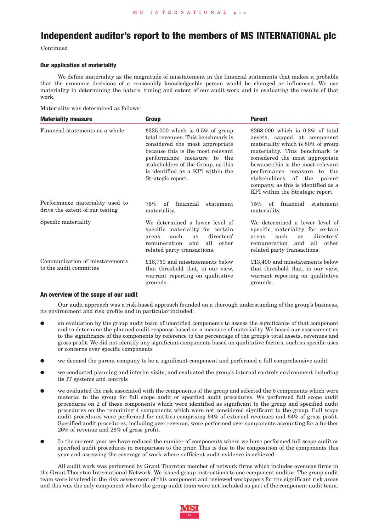Continued

#### **Our application of materiality**

We define materiality as the magnitude of misstatement in the financial statements that makes it probable that the economic decisions of a reasonably knowledgeable person would be changed or influenced. We use materiality in determining the nature, timing and extent of our audit work and in evaluating the results of that work.

Materiality was determined as follows:

| <b>Materiality measure</b>                                         | Group                                                                                                                                                                                                                                                                         | <b>Parent</b>                                                                                                                                                                                                                                                                                                                                              |
|--------------------------------------------------------------------|-------------------------------------------------------------------------------------------------------------------------------------------------------------------------------------------------------------------------------------------------------------------------------|------------------------------------------------------------------------------------------------------------------------------------------------------------------------------------------------------------------------------------------------------------------------------------------------------------------------------------------------------------|
| Financial statements as a whole                                    | £335,000 which is $0.5\%$ of group<br>total revenues. This benchmark is<br>considered the most appropriate<br>because this is the most relevant<br>performance measure to the<br>stakeholders of the Group, as this<br>is identified as a KPI within the<br>Strategic report. | £268,000 which is $0.8\%$ of total<br>assets, capped at component<br>materiality which is 80% of group<br>materiality. This benchmark is<br>considered the most appropriate<br>because this is the most relevant<br>performance measure<br>to the<br>stakeholders of the parent<br>company, as this is identified as a<br>KPI within the Strategic report. |
| Performance materiality used to<br>drive the extent of our testing | financial<br>75%<br>of<br>statement<br>materiality.                                                                                                                                                                                                                           | financial<br>of<br>statement<br>$75\%$<br>materiality.                                                                                                                                                                                                                                                                                                     |
| Specific materiality                                               | We determined a lower level of<br>specific materiality for certain<br>such<br>directors'<br><b>as</b><br>areas<br>remuneration<br>and<br>all<br>other<br>related party transactions.                                                                                          | We determined a lower level of<br>specific materiality for certain<br>directors'<br>such<br>as<br>areas<br>remuneration<br>and<br>all<br>other<br>related party transactions.                                                                                                                                                                              |
| Communication of misstatements<br>to the audit committee           | $£16,750$ and misstatements below<br>that threshold that, in our view,<br>warrant reporting on qualitative<br>grounds.                                                                                                                                                        | $£13,400$ and misstatements below<br>that threshold that, in our view,<br>warrant reporting on qualitative<br>grounds.                                                                                                                                                                                                                                     |

#### **An overview of the scope of our audit**

Our audit approach was a risk-based approach founded on a thorough understanding of the group's business, its environment and risk profile and in particular included:

- **●** an evaluation by the group audit team of identified components to assess the significance of that component and to determine the planned audit response based on a measure of materiality. We based our assessment as to the significance of the components by reference to the percentage of the group's total assets, revenues and gross profit. We did not identify any significant components based on qualitative factors, such as specific uses or concerns over specific components
- we deemed the parent company to be a significant component and performed a full comprehensive audit
- **●** we conducted planning and interim visits, and evaluated the group's internal controls environment including its IT systems and controls
- we evaluated the risk associated with the components of the group and selected the 6 components which were material to the group for full scope audit or specified audit procedures. We performed full scope audit procedures on 2 of these components which were identified as significant to the group and specified audit procedures on the remaining 4 components which were not considered significant to the group. Full scope audit procedures were performed for entities comprising 64% of external revenues and 64% of gross profit. Specified audit procedures, including over revenue, were performed over components accounting for a further 26% of revenue and 26% of gross profit.
- In the current year we have reduced the number of components where we have performed full scope audit or specified audit procedures in comparison to the prior. This is due to the composition of the components this year and assessing the coverage of work where sufficient audit evidence is achieved.

All audit work was performed by Grant Thornton member of network firms which includes overseas firms in the Grant Thornton International Network. We issued group instructions to one component auditor. The group audit team were involved in the risk assessment of this component and reviewed workpapers for the significant risk areas and this was the only component where the group audit team were not included as part of the component audit team.

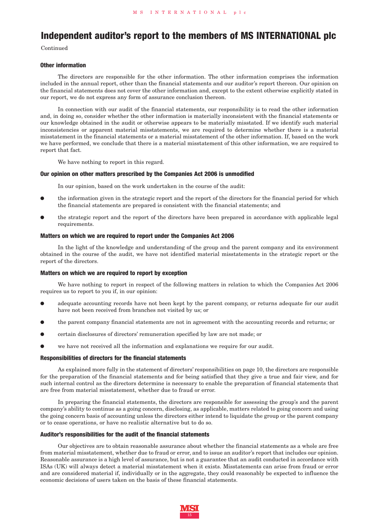Continued

### **Other information**

The directors are responsible for the other information. The other information comprises the information included in the annual report, other than the financial statements and our auditor's report thereon. Our opinion on the financial statements does not cover the other information and, except to the extent otherwise explicitly stated in our report, we do not express any form of assurance conclusion thereon.

In connection with our audit of the financial statements, our responsibility is to read the other information and, in doing so, consider whether the other information is materially inconsistent with the financial statements or our knowledge obtained in the audit or otherwise appears to be materially misstated. If we identify such material inconsistencies or apparent material misstatements, we are required to determine whether there is a material misstatement in the financial statements or a material misstatement of the other information. If, based on the work we have performed, we conclude that there is a material misstatement of this other information, we are required to report that fact.

We have nothing to report in this regard.

#### **Our opinion on other matters prescribed by the Companies Act 2006 is unmodified**

In our opinion, based on the work undertaken in the course of the audit:

- **●** the information given in the strategic report and the report of the directors for the financial period for which the financial statements are prepared is consistent with the financial statements; and
- **●** the strategic report and the report of the directors have been prepared in accordance with applicable legal requirements.

#### **Matters on which we are required to report under the Companies Act 2006**

In the light of the knowledge and understanding of the group and the parent company and its environment obtained in the course of the audit, we have not identified material misstatements in the strategic report or the report of the directors.

#### **Matters on which we are required to report by exception**

We have nothing to report in respect of the following matters in relation to which the Companies Act 2006 requires us to report to you if, in our opinion:

- **●** adequate accounting records have not been kept by the parent company, or returns adequate for our audit have not been received from branches not visited by us; or
- the parent company financial statements are not in agreement with the accounting records and returns; or
- **●** certain disclosures of directors' remuneration specified by law are not made; or
- we have not received all the information and explanations we require for our audit.

#### **Responsibilities of directors for the financial statements**

As explained more fully in the statement of directors' responsibilities on page 10, the directors are responsible for the preparation of the financial statements and for being satisfied that they give a true and fair view, and for such internal control as the directors determine is necessary to enable the preparation of financial statements that are free from material misstatement, whether due to fraud or error.

In preparing the financial statements, the directors are responsible for assessing the group's and the parent company's ability to continue as a going concern, disclosing, as applicable, matters related to going concern and using the going concern basis of accounting unless the directors either intend to liquidate the group or the parent company or to cease operations, or have no realistic alternative but to do so.

#### **Auditor's responsibilities for the audit of the financial statements**

Our objectives are to obtain reasonable assurance about whether the financial statements as a whole are free from material misstatement, whether due to fraud or error, and to issue an auditor's report that includes our opinion. Reasonable assurance is a high level of assurance, but is not a guarantee that an audit conducted in accordance with ISAs (UK) will always detect a material misstatement when it exists. Misstatements can arise from fraud or error and are considered material if, individually or in the aggregate, they could reasonably be expected to influence the economic decisions of users taken on the basis of these financial statements.

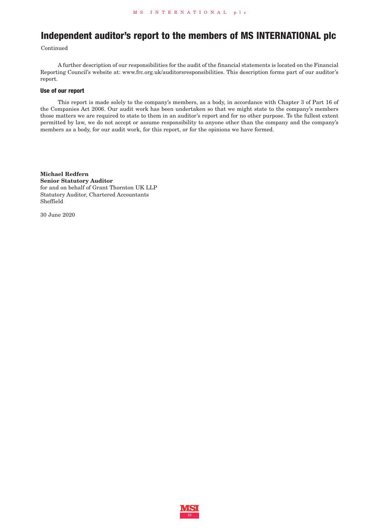Continued

A further description of our responsibilities for the audit of the financial statements is located on the Financial Reporting Council's website at: www.frc.org.uk/auditorsresponsibilities. This description forms part of our auditor's report.

#### **Use of our report**

This report is made solely to the company's members, as a body, in accordance with Chapter 3 of Part 16 of the Companies Act 2006. Our audit work has been undertaken so that we might state to the company's members those matters we are required to state to them in an auditor's report and for no other purpose. To the fullest extent permitted by law, we do not accept or assume responsibility to anyone other than the company and the company's members as a body, for our audit work, for this report, or for the opinions we have formed.

**Michael Redfern Senior Statutory Auditor** for and on behalf of Grant Thornton UK LLP Statutory Auditor, Chartered Accountants Sheffield

30 June 2020

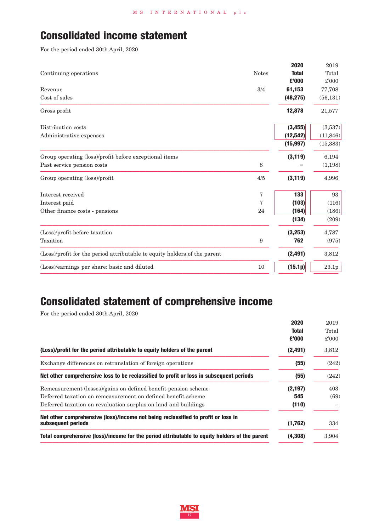# **Consolidated income statement**

For the period ended 30th April, 2020

|                                                                           |                | 2020         | 2019      |
|---------------------------------------------------------------------------|----------------|--------------|-----------|
| Continuing operations                                                     | <b>Notes</b>   | <b>Total</b> | Total     |
|                                                                           |                | £'000        | £'000     |
| Revenue                                                                   | 3/4            | 61,153       | 77,708    |
| Cost of sales                                                             |                | (48, 275)    | (56, 131) |
| Gross profit                                                              |                | 12,878       | 21,577    |
| Distribution costs                                                        |                | (3, 455)     | (3,537)   |
| Administrative expenses                                                   |                | (12, 542)    | (11, 846) |
|                                                                           |                | (15, 997)    | (15, 383) |
| Group operating (loss)/profit before exceptional items                    |                | (3, 119)     | 6,194     |
| Past service pension costs                                                | 8              |              | (1,198)   |
| Group operating (loss)/profit                                             | 4/5            | (3, 119)     | 4,996     |
| Interest received                                                         | $\overline{7}$ | 133          | 93        |
| Interest paid                                                             | 7              | (103)        | (116)     |
| Other finance costs - pensions                                            | 24             | (164)        | (186)     |
|                                                                           |                | (134)        | (209)     |
| (Loss)/profit before taxation                                             |                | (3, 253)     | 4,787     |
| Taxation                                                                  | 9              | 762          | (975)     |
| (Loss)/profit for the period attributable to equity holders of the parent |                | (2, 491)     | 3,812     |
| (Loss)/earnings per share: basic and diluted                              | 10             | (15.1p)      | 23.1p     |

# **Consolidated statement of comprehensive income**

For the period ended 30th April, 2020

|                                                                                                         | 2020         | 2019           |
|---------------------------------------------------------------------------------------------------------|--------------|----------------|
|                                                                                                         | <b>Total</b> | Total          |
|                                                                                                         | £'000        | $\pounds$ '000 |
| (Loss)/profit for the period attributable to equity holders of the parent                               | (2, 491)     | 3,812          |
| Exchange differences on retranslation of foreign operations                                             | (55)         | (242)          |
| Net other comprehensive loss to be reclassified to profit or loss in subsequent periods                 | (55)         | (242)          |
| Remeasurement (losses)/gains on defined benefit pension scheme                                          | (2, 197)     | 403            |
| Deferred taxation on remeasurement on defined benefit scheme                                            | 545          | (69)           |
| Deferred taxation on revaluation surplus on land and buildings                                          | (110)        |                |
| Net other comprehensive (loss)/income not being reclassified to profit or loss in<br>subsequent periods | (1,762)      | 334            |
| Total comprehensive (loss)/income for the period attributable to equity holders of the parent           | (4,308)      | 3,904          |
|                                                                                                         |              |                |

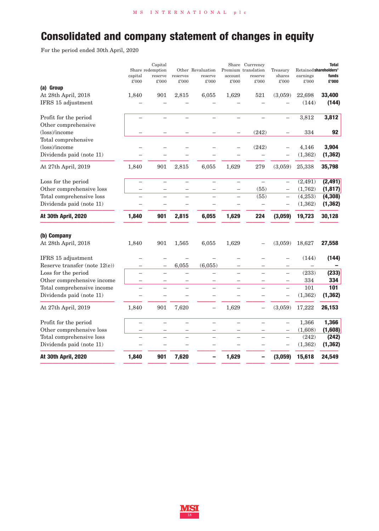# **Consolidated and company statement of changes in equity**

For the period ended 30th April, 2020

|                                | Capital<br>Share Currrency |                          |          | <b>Total</b>             |                          |                          |                          |                          |          |
|--------------------------------|----------------------------|--------------------------|----------|--------------------------|--------------------------|--------------------------|--------------------------|--------------------------|----------|
|                                |                            | Share redemption         |          | Other Revaluation        |                          | Premium translation      | Treasury                 | Retained shareholders'   |          |
|                                | capital                    | reserve                  | reserves | reserve                  | account                  | reserve                  | shares                   | earnings                 | funds    |
|                                | £'000                      | £'000                    | £'000    | £'000                    | £'000                    | £'000                    | £'000                    | £'000                    | £'000    |
| (a) Group                      |                            |                          |          |                          |                          |                          |                          |                          |          |
| At 28th April, 2018            | 1,840                      | 901                      | 2,815    | 6,055                    | 1,629                    | 521                      | (3,059)                  | 22,698                   | 33,400   |
| IFRS 15 adjustment             |                            |                          |          |                          |                          |                          |                          | (144)                    | (144)    |
| Profit for the period          |                            |                          |          |                          | $\equiv$                 |                          |                          | 3,812                    | 3,812    |
|                                |                            |                          |          |                          |                          |                          |                          |                          |          |
| Other comprehensive            |                            |                          |          |                          |                          |                          |                          |                          |          |
| $(\text{loss})/ \text{income}$ |                            |                          |          |                          |                          | (242)                    |                          | 334                      | 92       |
| Total comprehensive            |                            |                          |          |                          |                          |                          |                          |                          |          |
| $(\text{loss})/ \text{income}$ |                            |                          |          |                          |                          | (242)                    |                          | 4,146                    | 3,904    |
| Dividends paid (note 11)       |                            |                          |          |                          |                          |                          |                          | (1, 362)                 | (1, 362) |
| At 27th April, 2019            | 1,840                      | 901                      | 2,815    | 6,055                    | 1,629                    | 279                      | (3,059)                  | 25,338                   | 35,798   |
| Loss for the period            | $\overline{\phantom{0}}$   | $\overline{\phantom{0}}$ |          |                          | $\equiv$                 | $\overline{a}$           | $\overline{\phantom{0}}$ | (2, 491)                 | (2, 491) |
| Other comprehensive loss       | $\overline{\phantom{0}}$   |                          |          |                          | $\overline{\phantom{0}}$ | (55)                     | $\overline{\phantom{0}}$ | (1,762)                  | (1, 817) |
|                                |                            |                          |          |                          |                          |                          |                          |                          |          |
| Total comprehensive loss       | $\overline{\phantom{0}}$   |                          |          |                          | $\overline{\phantom{0}}$ | (55)                     | $\overline{\phantom{0}}$ | (4,253)                  | (4, 308) |
| Dividends paid (note 11)       |                            |                          |          |                          |                          | $\overline{\phantom{0}}$ |                          | (1, 362)                 | (1, 362) |
| At 30th April, 2020            | 1,840                      | 901                      | 2,815    | 6,055                    | 1,629                    | 224                      | (3,059)                  | 19,723                   | 30,128   |
| (b) Company                    |                            |                          |          |                          |                          |                          |                          |                          |          |
| At 28th April, 2018            | 1,840                      | 901                      | 1,565    | 6,055                    | 1,629                    |                          | (3,059)                  | 18,627                   | 27,558   |
|                                |                            |                          |          |                          |                          |                          |                          |                          |          |
| IFRS 15 adjustment             |                            |                          |          |                          |                          |                          |                          | (144)                    | (144)    |
| Reserve transfer (note 12(e))  |                            |                          | 6,055    | (6,055)                  |                          |                          | $\overline{\phantom{0}}$ | $\overline{\phantom{0}}$ |          |
| Loss for the period            | $\overline{\phantom{0}}$   |                          |          |                          | $\overline{\phantom{0}}$ |                          | $\overline{\phantom{0}}$ | (233)                    | (233)    |
| Other comprehensive income     | $\overline{\phantom{0}}$   |                          |          | —                        | —                        |                          |                          | 334                      | 334      |
| Total comprehensive income     | $\overline{\phantom{0}}$   |                          |          | $\overline{\phantom{0}}$ | $\overline{\phantom{0}}$ | $\overline{\phantom{0}}$ | $\overline{\phantom{0}}$ | 101                      | 101      |
| Dividends paid (note 11)       |                            |                          |          |                          |                          |                          |                          | (1, 362)                 | (1, 362) |
|                                |                            |                          |          |                          |                          |                          |                          |                          |          |
| At 27th April, 2019            | 1,840                      | 901                      | 7,620    |                          | 1,629                    |                          | (3,059)                  | 17,222                   | 26,153   |
| Profit for the period          | $\overline{\phantom{0}}$   |                          |          | $\equiv$                 | $\overline{\phantom{0}}$ | $\overline{\phantom{0}}$ |                          | 1,366                    | 1,366    |
| Other comprehensive loss       | $\overline{\phantom{0}}$   |                          |          |                          | $\overline{\phantom{0}}$ |                          |                          | (1,608)                  | (1,608)  |
| Total comprehensive loss       | $\overline{\phantom{0}}$   |                          |          | $\overline{\phantom{0}}$ | $\overline{\phantom{0}}$ | $\overline{\phantom{0}}$ | $\overline{\phantom{0}}$ | (242)                    | (242)    |
| Dividends paid (note 11)       |                            |                          |          |                          |                          |                          |                          | (1, 362)                 | (1, 362) |
| At 30th April, 2020            | 1,840                      | 901                      | 7,620    |                          | 1,629                    |                          | (3,059)                  | 15,618                   | 24,549   |

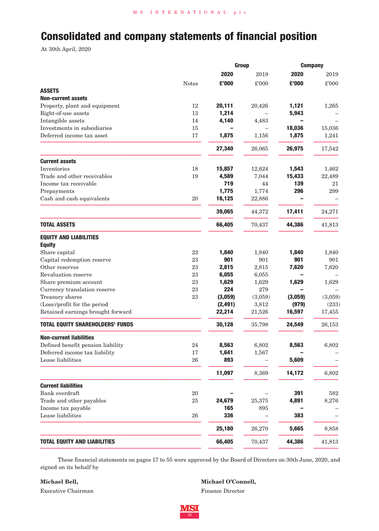# **Consolidated and company statements of financial position**

At 30th April, 2020

|                                                    |              | <b>Group</b> |         | <b>Company</b> |         |
|----------------------------------------------------|--------------|--------------|---------|----------------|---------|
|                                                    |              | 2020         | 2019    | 2020           | 2019    |
|                                                    | <b>Notes</b> | £'000        | £'000   | £'000          | £'000   |
| <b>ASSETS</b>                                      |              |              |         |                |         |
| <b>Non-current assets</b>                          |              |              |         |                |         |
| Property, plant and equipment                      | 12           | 20,111       | 20,426  | 1,121          | 1,265   |
| Right-of-use assets                                | 13           | 1,214        |         | 5,943          |         |
| Intangible assets                                  | 14           | 4,140        | 4,483   |                |         |
| Investments in subsidiaries                        | 15           |              |         | 18,036         | 15,036  |
| Deferred income tax asset                          | 17           | 1,875        | 1,156   | 1,875          | 1,241   |
|                                                    |              | 27,340       | 26,065  | 26,975         | 17,542  |
| <b>Current assets</b>                              |              |              |         |                |         |
| Inventories                                        | 18           | 15,857       | 12,624  | 1,543          | 1,462   |
| Trade and other receivables                        | 19           | 4,589        | 7,044   | 15,433         | 22,489  |
| Income tax receivable                              |              | 719          | 44      | 139            | 21      |
| Prepayments                                        |              | 1,775        | 1,774   | 296            | 299     |
| Cash and cash equivalents                          | 20           | 16,125       | 22,886  |                |         |
|                                                    |              | 39,065       | 44,372  | 17,411         | 24,271  |
| <b>TOTAL ASSETS</b>                                |              | 66,405       | 70,437  | 44,386         | 41,813  |
| <b>EQUITY AND LIABILITIES</b>                      |              |              |         |                |         |
| <b>Equity</b>                                      |              |              |         |                |         |
| Share capital                                      | 22           | 1,840        | 1,840   | 1,840          | 1,840   |
| Capital redemption reserve                         | 23           | 901          | 901     | 901            | 901     |
| Other reserves                                     | 23           | 2,815        | 2,815   | 7,620          | 7,620   |
| Revaluation reserve                                | 23           | 6,055        | 6,055   |                |         |
| Share premium account                              | 23           | 1,629        | 1,629   | 1,629          | 1,629   |
| Currency translation reserve                       | 23           | 224          | 279     |                |         |
| Treasury shares                                    | 23           | (3,059)      | (3,059) | (3,059)        | (3,059) |
| (Loss)/profit for the period                       |              | (2, 491)     | 3,812   | (979)          | (233)   |
| Retained earnings brought forward                  |              | 22,214       | 21,526  | 16,597         | 17,455  |
| <b>TOTAL EQUITY SHAREHOLDERS' FUNDS</b>            |              | 30,128       | 35,798  | 24,549         | 26,153  |
| <b>Non-current liabilities</b>                     |              |              |         |                |         |
| Defined benefit pension liability                  | 24           | 8,563        | 6,802   | 8,563          | 6,802   |
| Deferred income tax liability<br>Lease liabilities | 17           | 1,641        | 1,567   |                |         |
|                                                    | ${\bf 26}$   | 893          |         | 5,609          |         |
|                                                    |              | 11,097       | 8,369   | 14,172         | 6,802   |
| <b>Current liabilities</b>                         |              |              |         |                |         |
| Bank overdraft                                     | $20\,$       |              |         | 391            | 582     |
| Trade and other payables                           | $25\,$       | 24,679       | 25,375  | 4,891          | 8,276   |
| Income tax payable<br>Lease liabilities            | 26           | 165<br>336   | 895     | 383            |         |
|                                                    |              | 25,180       | 26,270  | 5,665          | 8,858   |
| <b>TOTAL EQUITY AND LIABILITIES</b>                |              |              |         |                |         |
|                                                    |              | 66,405       | 70,437  | 44,386         | 41,813  |

These financial statements on pages 17 to 55 were approved by the Board of Directors on 30th June, 2020, and signed on its behalf by

Executive Chairman Finance Director

**Michael Bell, Michael O'Connell,**

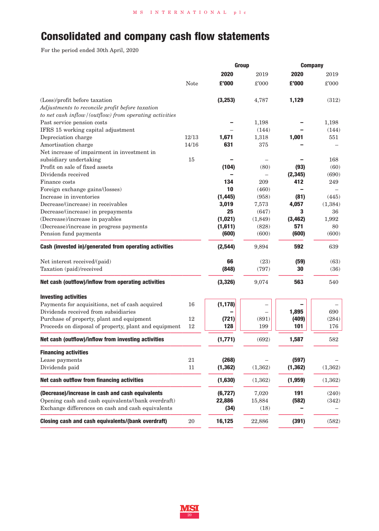# **Consolidated and company cash flow statements**

For the period ended 30th April, 2020

|                                                        |             |          | <b>Group</b>             |          | <b>Company</b> |
|--------------------------------------------------------|-------------|----------|--------------------------|----------|----------------|
|                                                        |             | 2020     | 2019                     | 2020     | 2019           |
|                                                        | <b>Note</b> | £'000    | £'000                    | £'000    | £'000          |
| (Loss)/profit before taxation                          |             | (3, 253) | 4,787                    | 1,129    | (312)          |
| Adjustments to reconcile profit before taxation        |             |          |                          |          |                |
| to net cash inflow/(outflow) from operating activities |             |          |                          |          |                |
| Past service pension costs                             |             |          | 1,198                    |          | 1,198          |
| IFRS 15 working capital adjustment                     |             |          | (144)                    |          | (144)          |
| Depreciation charge                                    | 12/13       | 1,671    | 1,318                    | 1,001    | 551            |
| Amortisation charge                                    | 14/16       | 631      | 375                      |          |                |
| Net increase of impairment in investment in            |             |          |                          |          |                |
| subsidiary undertaking                                 | 15          |          |                          |          | 168            |
| Profit on sale of fixed assets                         |             | (104)    | (80)                     | (93)     | (60)           |
| Dividends received                                     |             |          |                          | (2, 345) | (690)          |
| Finance costs                                          |             | 134      | 209                      | 412      | 249            |
| Foreign exchange gains/(losses)                        |             | 10       | (460)                    |          |                |
| Increase in inventories                                |             | (1, 445) | (958)                    | (81)     | (445)          |
| Decrease/(increase) in receivables                     |             | 3,019    | 7,573                    | 4,057    | (1, 384)       |
| Decrease/(increase) in prepayments                     |             | 25       | (647)                    | 3        | 36             |
| (Decrease)/increase in payables                        |             | (1,021)  | (1,849)                  | (3, 462) | 1,992          |
| (Decrease)/increase in progress payments               |             | (1,611)  | (828)                    | 571      | 80             |
|                                                        |             |          |                          |          |                |
| Pension fund payments                                  |             | (600)    | (600)                    | (600)    | (600)          |
| Cash (invested in)/generated from operating activities |             | (2, 544) | 9,894                    | 592      | 639            |
| Net interest received/(paid)                           |             | 66       | (23)                     | (59)     | (63)           |
| Taxation (paid)/received                               |             | (848)    | (797)                    | 30       | (36)           |
|                                                        |             |          |                          |          |                |
| Net cash (outflow)/inflow from operating activities    |             | (3, 326) | 9,074                    | 563      | 540            |
| <b>Investing activities</b>                            |             |          |                          |          |                |
| Payments for acquisitions, net of cash acquired        | 16          | (1, 178) |                          |          |                |
| Dividends received from subsidiaries                   |             |          | $\overline{\phantom{0}}$ | 1,895    | 690            |
| Purchase of property, plant and equipment              | 12          | (721)    | (891)                    | (409)    | (284)          |
| Proceeds on disposal of property, plant and equipment  | 12          | 128      | 199                      | 101      | 176            |
| Net cash (outflow)/inflow from investing activities    |             | (1,771)  | (692)                    | 1,587    | 582            |
| <b>Financing activities</b>                            |             |          |                          |          |                |
| Lease payments                                         | $21\,$      | (268)    |                          | (597)    |                |
| Dividends paid                                         | $11\,$      | (1, 362) | (1, 362)                 | (1, 362) | (1, 362)       |
| Net cash outflow from financing activities             |             | (1,630)  | (1,362)                  | (1, 959) | (1, 362)       |
| (Decrease)/increase in cash and cash equivalents       |             | (6, 727) | 7,020                    | 191      | (240)          |
| Opening cash and cash equivalents/(bank overdraft)     |             | 22,886   | 15,884                   | (582)    | (342)          |
| Exchange differences on cash and cash equivalents      |             | (34)     | (18)                     |          |                |
| Closing cash and cash equivalents/(bank overdraft)     | $20\,$      | 16,125   | 22,886                   | (391)    | (582)          |
|                                                        |             |          |                          |          |                |

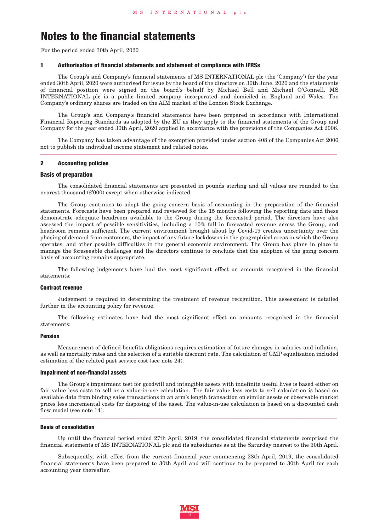For the period ended 30th April, 2020

#### **1 Authorisation of financial statements and statement of compliance with IFRSs**

The Group's and Company's financial statements of MS INTERNATIONAL plc (the 'Company') for the year ended 30th April, 2020 were authorised for issue by the board of the directors on 30th June, 2020 and the statements of financial position were signed on the board's behalf by Michael Bell and Michael O'Connell. MS INTERNATIONAL plc is a public limited company incorporated and domiciled in England and Wales. The Company's ordinary shares are traded on the AIM market of the London Stock Exchange.

The Group's and Company's financial statements have been prepared in accordance with International Financial Reporting Standards as adopted by the EU as they apply to the financial statements of the Group and Company for the year ended 30th April, 2020 applied in accordance with the provisions of the Companies Act 2006.

The Company has taken advantage of the exemption provided under section 408 of the Companies Act 2006 not to publish its individual income statement and related notes. **222222222222222222222222222222222222222222222222**

#### **2 Accounting policies**

#### **Basis of preparation**

The consolidated financial statements are presented in pounds sterling and all values are rounded to the nearest thousand (£'000) except when otherwise indicated.

The Group continues to adopt the going concern basis of accounting in the preparation of the financial statements. Forecasts have been prepared and reviewed for the 15 months following the reporting date and these demonstrate adequate headroom available to the Group during the forecasted period. The directors have also assessed the impact of possible sensitivities, including a 10% fall in forecasted revenue across the Group, and headroom remains sufficient. The current environment brought about by Covid-19 creates uncertainty over the phasing of demand from customers, the impact of any future lockdowns in the geographical areas in which the Group operates, and other possible difficulties in the general economic environment. The Group has plans in place to manage the foreseeable challenges and the directors continue to conclude that the adoption of the going concern basis of accounting remains appropriate.

The following judgements have had the most significant effect on amounts recognised in the financial statements:

#### **Contract revenue**

Judgement is required in determining the treatment of revenue recognition. This assessment is detailed further in the accounting policy for revenue.

The following estimates have had the most significant effect on amounts recognised in the financial statements:

#### **Pension**

Measurement of defined benefits obligations requires estimation of future changes in salaries and inflation, as well as mortality rates and the selection of a suitable discount rate. The calculation of GMP equalisation included estimation of the related past service cost (see note 24).

#### **Impairment of non-financial assets**

The Group's impairment test for goodwill and intangible assets with indefinite useful lives is based either on fair value less costs to sell or a value-in-use calculation. The fair value less costs to sell calculation is based on available data from binding sales transactions in an arm's length transaction on similar assets or observable market prices less incremental costs for disposing of the asset. The value-in-use calculation is based on a discounted cash flow model (see note 14). **222222222222222222222222222222222222222222222222**

#### **Basis of consolidation**

Up until the financial period ended 27th April, 2019, the consolidated financial statements comprised the financial statements of MS INTERNATIONAL plc and its subsidiaries as at the Saturday nearest to the 30th April.

Subsequently, with effect from the current financial year commencing 28th April, 2019, the consolidated financial statements have been prepared to 30th April and will continue to be prepared to 30th April for each accounting year thereafter.

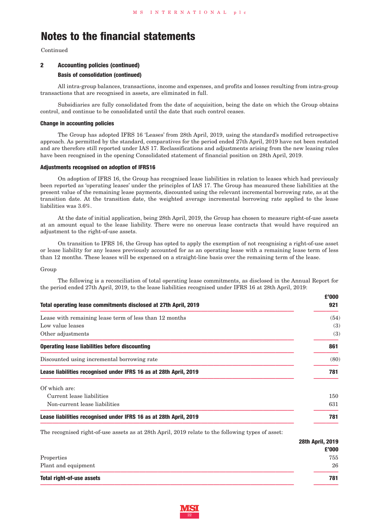Continued

#### **2 Accounting policies (continued)**

#### **Basis of consolidation (continued)**

All intra-group balances, transactions, income and expenses, and profits and losses resulting from intra-group transactions that are recognised in assets, are eliminated in full.

Subsidiaries are fully consolidated from the date of acquisition, being the date on which the Group obtains control, and continue to be consolidated until the date that such control ceases.

#### **Change in accounting policies**

The Group has adopted IFRS 16 'Leases' from 28th April, 2019, using the standard's modified retrospective approach. As permitted by the standard, comparatives for the period ended 27th April, 2019 have not been restated and are therefore still reported under IAS 17. Reclassifications and adjustments arising from the new leasing rules have been recognised in the opening Consolidated statement of financial position on 28th April, 2019.

#### **Adjustments recognised on adoption of IFRS16**

On adoption of IFRS 16, the Group has recognised lease liabilities in relation to leases which had previously been reported as 'operating leases' under the principles of IAS 17. The Group has measured these liabilities at the present value of the remaining lease payments, discounted using the relevant incremental borrowing rate, as at the transition date. At the transition date, the weighted average incremental borrowing rate applied to the lease liabilities was 3.6%.

At the date of initial application, being 28th April, 2019, the Group has chosen to measure right-of-use assets at an amount equal to the lease liability. There were no onerous lease contracts that would have required an adjustment to the right-of-use assets.

On transition to IFRS 16, the Group has opted to apply the exemption of not recognising a right-of-use asset or lease liability for any leases previously accounted for as an operating lease with a remaining lease term of less than 12 months. These leases will be expensed on a straight-line basis over the remaining term of the lease.

#### Group

The following is a reconciliation of total operating lease commitments, as disclosed in the Annual Report for the period ended 27th April, 2019, to the lease liabilities recognised under IFRS 16 at 28th April, 2019:

| Total operating lease commitments disclosed at 27th April, 2019   | £'000<br>921 |  |
|-------------------------------------------------------------------|--------------|--|
| Lease with remaining lease term of less than 12 months            | (54)         |  |
| Low value leases                                                  | (3)          |  |
| Other adjustments                                                 | (3)          |  |
| <b>Operating lease liabilities before discounting</b>             | 861          |  |
| Discounted using incremental borrowing rate                       | (80)         |  |
| Lease liabilities recognised under IFRS 16 as at 28th April, 2019 | 781          |  |
| Of which are:                                                     |              |  |
| Current lease liabilities                                         | 150          |  |
| Non-current lease liabilities                                     | 631          |  |
| Lease liabilities recognised under IFRS 16 as at 28th April, 2019 |              |  |

The recognised right-of-use assets as at 28th April, 2019 relate to the following types of asset:

|                                  | <b>28th April, 2019</b> |
|----------------------------------|-------------------------|
|                                  | £'000                   |
| Properties                       | 755                     |
| Plant and equipment              | 26                      |
| <b>Total right-of-use assets</b> | 781                     |

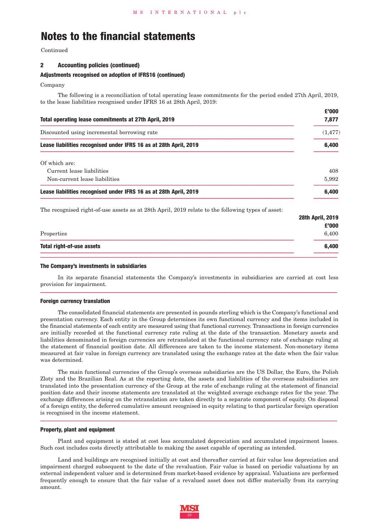Continued

#### **2 Accounting policies (continued)**

#### **Adjustments recognised on adoption of IFRS16 (continued)**

Company

The following is a reconciliation of total operating lease commitments for the period ended 27th April, 2019, to the lease liabilities recognised under IFRS 16 at 28th April, 2019:

| Lease liabilities recognised under IFRS 16 as at 28th April, 2019 |                |
|-------------------------------------------------------------------|----------------|
| Discounted using incremental borrowing rate                       | (1.477)        |
| Total operating lease commitments at 27th April, 2019             | £'000<br>7.877 |

| Lease liabilities recognised under IFRS 16 as at 28th April, 2019 | 6.400 |
|-------------------------------------------------------------------|-------|
| Non-current lease liabilities                                     | 5.992 |
| Current lease liabilities                                         | 408   |
| Of which are:                                                     |       |

The recognised right-of-use assets as at 28th April, 2019 relate to the following types of asset:

|                                                | <b>28th April, 2019</b> |
|------------------------------------------------|-------------------------|
|                                                | £'000                   |
| Properties<br><b>Total right-of-use assets</b> | 6,400                   |
|                                                | 6,400                   |
|                                                |                         |

#### **The Company's investments in subsidiaries**

In its separate financial statements the Company's investments in subsidiaries are carried at cost less provision for impairment. **222222222222222222222222222222222222222222222222**

#### **Foreign currency translation**

The consolidated financial statements are presented in pounds sterling which is the Company's functional and presentation currency. Each entity in the Group determines its own functional currency and the items included in the financial statements of each entity are measured using that functional currency. Transactions in foreign currencies are initially recorded at the functional currency rate ruling at the date of the transaction. Monetary assets and liabilities denominated in foreign currencies are retranslated at the functional currency rate of exchange ruling at the statement of financial position date. All differences are taken to the income statement. Non-monetary items measured at fair value in foreign currency are translated using the exchange rates at the date when the fair value was determined.

The main functional currencies of the Group's overseas subsidiaries are the US Dollar, the Euro, the Polish Zloty and the Brazilian Real. As at the reporting date, the assets and liabilities of the overseas subsidiaries are translated into the presentation currency of the Group at the rate of exchange ruling at the statement of financial position date and their income statements are translated at the weighted average exchange rates for the year. The exchange differences arising on the retranslation are taken directly to a separate component of equity. On disposal of a foreign entity, the deferred cumulative amount recognised in equity relating to that particular foreign operation is recognised in the income statement. **222222222222222222222222222222222222222222222222**

#### **Property, plant and equipment**

Plant and equipment is stated at cost less accumulated depreciation and accumulated impairment losses. Such cost includes costs directly attributable to making the asset capable of operating as intended.

Land and buildings are recognised initially at cost and thereafter carried at fair value less depreciation and impairment charged subsequent to the date of the revaluation. Fair value is based on periodic valuations by an external independent valuer and is determined from market-based evidence by appraisal. Valuations are performed frequently enough to ensure that the fair value of a revalued asset does not differ materially from its carrying amount.

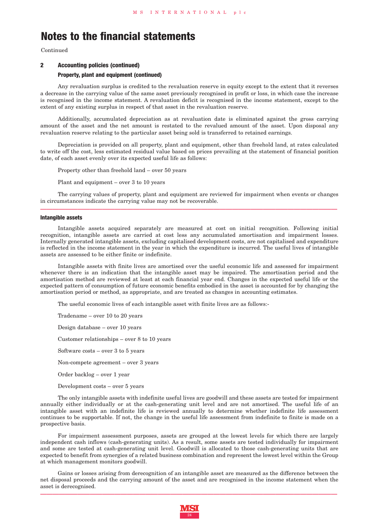Continued

#### **2 Accounting policies (continued)**

#### **Property, plant and equipment (continued)**

Any revaluation surplus is credited to the revaluation reserve in equity except to the extent that it reverses a decrease in the carrying value of the same asset previously recognised in profit or loss, in which case the increase is recognised in the income statement. A revaluation deficit is recognised in the income statement, except to the extent of any existing surplus in respect of that asset in the revaluation reserve.

Additionally, accumulated depreciation as at revaluation date is eliminated against the gross carrying amount of the asset and the net amount is restated to the revalued amount of the asset. Upon disposal any revaluation reserve relating to the particular asset being sold is transferred to retained earnings.

Depreciation is provided on all property, plant and equipment, other than freehold land, at rates calculated to write off the cost, less estimated residual value based on prices prevailing at the statement of financial position date, of each asset evenly over its expected useful life as follows:

Property other than freehold land – over 50 years

Plant and equipment – over 3 to 10 years

The carrying values of property, plant and equipment are reviewed for impairment when events or changes in circumstances indicate the carrying value may not be recoverable. **222222222222222222222222222222222222222222222222**

#### **Intangible assets**

Intangible assets acquired separately are measured at cost on initial recognition. Following initial recognition, intangible assets are carried at cost less any accumulated amortisation and impairment losses. Internally generated intangible assets, excluding capitalised development costs, are not capitalised and expenditure is reflected in the income statement in the year in which the expenditure is incurred. The useful lives of intangible assets are assessed to be either finite or indefinite.

Intangible assets with finite lives are amortised over the useful economic life and assessed for impairment whenever there is an indication that the intangible asset may be impaired. The amortisation period and the amortisation method are reviewed at least at each financial year end. Changes in the expected useful life or the expected pattern of consumption of future economic benefits embodied in the asset is accounted for by changing the amortisation period or method, as appropriate, and are treated as changes in accounting estimates.

The useful economic lives of each intangible asset with finite lives are as follows:-

Tradename – over 10 to 20 years

Design database – over 10 years

Customer relationships – over 8 to 10 years

Software costs – over 3 to 5 years

Non-compete agreement – over 3 years

Order backlog – over 1 year

Development costs – over 5 years

The only intangible assets with indefinite useful lives are goodwill and these assets are tested for impairment annually either individually or at the cash-generating unit level and are not amortised. The useful life of an intangible asset with an indefinite life is reviewed annually to determine whether indefinite life assessment continues to be supportable. If not, the change in the useful life assessment from indefinite to finite is made on a prospective basis.

For impairment assessment purposes, assets are grouped at the lowest levels for which there are largely independent cash inflows (cash-generating units). As a result, some assets are tested individually for impairment and some are tested at cash-generating unit level. Goodwill is allocated to those cash-generating units that are expected to benefit from synergies of a related business combination and represent the lowest level within the Group at which management monitors goodwill.

Gains or losses arising from derecognition of an intangible asset are measured as the difference between the net disposal proceeds and the carrying amount of the asset and are recognised in the income statement when the asset is derecognised. **222222222222222222222222222222222222222222222222**

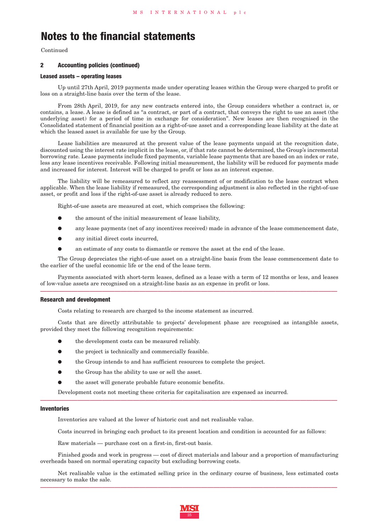Continued

#### **2 Accounting policies (continued)**

#### **Leased assets – operating leases**

Up until 27th April, 2019 payments made under operating leases within the Group were charged to profit or loss on a straight-line basis over the term of the lease.

From 28th April, 2019, for any new contracts entered into, the Group considers whether a contract is, or contains, a lease. A lease is defined as "a contract, or part of a contract, that conveys the right to use an asset (the underlying asset) for a period of time in exchange for consideration". New leases are then recognised in the Consolidated statement of financial position as a right-of-use asset and a corresponding lease liability at the date at which the leased asset is available for use by the Group.

Lease liabilities are measured at the present value of the lease payments unpaid at the recognition date, discounted using the interest rate implicit in the lease, or, if that rate cannot be determined, the Group's incremental borrowing rate. Lease payments include fixed payments, variable lease payments that are based on an index or rate, less any lease incentives receivable. Following initial measurement, the liability will be reduced for payments made and increased for interest. Interest will be charged to profit or loss as an interest expense.

The liability will be remeasured to reflect any reassessment of or modification to the lease contract when applicable. When the lease liability if remeasured, the corresponding adjustment is also reflected in the right-of-use asset, or profit and loss if the right-of-use asset is already reduced to zero.

Right-of-use assets are measured at cost, which comprises the following:

- the amount of the initial measurement of lease liability,
- any lease payments (net of any incentives received) made in advance of the lease commencement date,
- **●** any initial direct costs incurred,
- an estimate of any costs to dismantle or remove the asset at the end of the lease.

The Group depreciates the right-of-use asset on a straight-line basis from the lease commencement date to the earlier of the useful economic life or the end of the lease term.

Payments associated with short-term leases, defined as a lease with a term of 12 months or less, and leases of low-value assets are recognised on a straight-line basis as an expense in profit or loss. **222222222222222222222222222222222222222222222222**

#### **Research and development**

Costs relating to research are charged to the income statement as incurred.

Costs that are directly attributable to projects' development phase are recognised as intangible assets, provided they meet the following recognition requirements:

- **•** the development costs can be measured reliably.
- **●** the project is technically and commercially feasible.
- the Group intends to and has sufficient resources to complete the project.
- **●** the Group has the ability to use or sell the asset.
- the asset will generate probable future economic benefits.

Development costs not meeting these criteria for capitalisation are expensed as incurred. **222222222222222222222222222222222222222222222222**

#### **Inventories**

Inventories are valued at the lower of historic cost and net realisable value.

Costs incurred in bringing each product to its present location and condition is accounted for as follows:

Raw materials — purchase cost on a first-in, first-out basis.

Finished goods and work in progress — cost of direct materials and labour and a proportion of manufacturing overheads based on normal operating capacity but excluding borrowing costs.

Net realisable value is the estimated selling price in the ordinary course of business, less estimated costs necessary to make the sale. **222222222222222222222222222222222222222222222222**

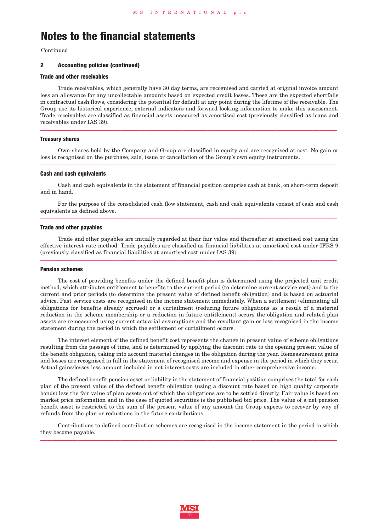Continued

#### **2 Accounting policies (continued)**

#### **Trade and other receivables**

Trade receivables, which generally have 30 day terms, are recognised and carried at original invoice amount less an allowance for any uncollectable amounts based on expected credit losses. These are the expected shortfalls in contractual cash flows, considering the potential for default at any point during the lifetime of the receivable. The Group use its historical experience, external indicators and forward looking information to make this assessment. Trade receivables are classified as financial assets measured as amortised cost (previously classified as loans and receivables under IAS 39). **222222222222222222222222222222222222222222222222**

### **Treasury shares**

Own shares held by the Company and Group are classified in equity and are recognised at cost. No gain or loss is recognised on the purchase, sale, issue or cancellation of the Group's own equity instruments. **222222222222222222222222222222222222222222222222**

#### **Cash and cash equivalents**

Cash and cash equivalents in the statement of financial position comprise cash at bank, on short-term deposit and in hand.

For the purpose of the consolidated cash flow statement, cash and cash equivalents consist of cash and cash equivalents as defined above. **222222222222222222222222222222222222222222222222**

#### **Trade and other payables**

Trade and other payables are initially regarded at their fair value and thereafter at amortised cost using the effective interest rate method. Trade payables are classified as financial liabilities at amortised cost under IFRS 9 (previously classified as financial liabilities at amortised cost under IAS 39). **222222222222222222222222222222222222222222222222**

#### **Pension schemes**

The cost of providing benefits under the defined benefit plan is determined using the projected unit credit method, which attributes entitlement to benefits to the current period (to determine current service cost) and to the current and prior periods (to determine the present value of defined benefit obligation) and is based on actuarial advice. Past service costs are recognised in the income statement immediately. When a settlement (eliminating all obligations for benefits already accrued) or a curtailment (reducing future obligations as a result of a material reduction in the scheme membership or a reduction in future entitlement) occurs the obligation and related plan assets are remeasured using current actuarial assumptions and the resultant gain or loss recognised in the income statement during the period in which the settlement or curtailment occurs.

The interest element of the defined benefit cost represents the change in present value of scheme obligations resulting from the passage of time, and is determined by applying the discount rate to the opening present value of the benefit obligation, taking into account material changes in the obligation during the year. Remeasurement gains and losses are recognised in full in the statement of recognised income and expense in the period in which they occur. Actual gains/losses less amount included in net interest costs are included in other comprehensive income.

The defined benefit pension asset or liability in the statement of financial position comprises the total for each plan of the present value of the defined benefit obligation (using a discount rate based on high quality corporate bonds) less the fair value of plan assets out of which the obligations are to be settled directly. Fair value is based on market price information and in the case of quoted securities is the published bid price. The value of a net pension benefit asset is restricted to the sum of the present value of any amount the Group expects to recover by way of refunds from the plan or reductions in the future contributions.

Contributions to defined contribution schemes are recognised in the income statement in the period in which they become payable. **222222222222222222222222222222222222222222222222**

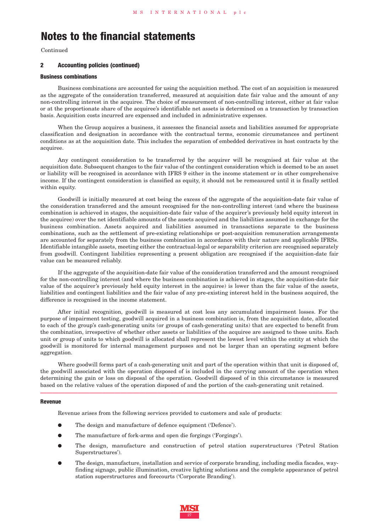Continued

#### **2 Accounting policies (continued)**

#### **Business combinations**

Business combinations are accounted for using the acquisition method. The cost of an acquisition is measured as the aggregate of the consideration transferred, measured at acquisition date fair value and the amount of any non-controlling interest in the acquiree. The choice of measurement of non-controlling interest, either at fair value or at the proportionate share of the acquiree's identifiable net assets is determined on a transaction by transaction basis. Acquisition costs incurred are expensed and included in administrative expenses.

When the Group acquires a business, it assesses the financial assets and liabilities assumed for appropriate classification and designation in accordance with the contractual terms, economic circumstances and pertinent conditions as at the acquisition date. This includes the separation of embedded derivatives in host contracts by the acquiree.

Any contingent consideration to be transferred by the acquirer will be recognised at fair value at the acquisition date. Subsequent changes to the fair value of the contingent consideration which is deemed to be an asset or liability will be recognised in accordance with IFRS 9 either in the income statement or in other comprehensive income. If the contingent consideration is classified as equity, it should not be remeasured until it is finally settled within equity.

Goodwill is initially measured at cost being the excess of the aggregate of the acquisition-date fair value of the consideration transferred and the amount recognised for the non-controlling interest (and where the business combination is achieved in stages, the acquisition-date fair value of the acquirer's previously held equity interest in the acquiree) over the net identifiable amounts of the assets acquired and the liabilities assumed in exchange for the business combination. Assets acquired and liabilities assumed in transactions separate to the business combinations, such as the settlement of pre-existing relationships or post-acquisition remuneration arrangements are accounted for separately from the business combination in accordance with their nature and applicable IFRSs. Identifiable intangible assets, meeting either the contractual-legal or separability criterion are recognised separately from goodwill. Contingent liabilities representing a present obligation are recognised if the acquisition-date fair value can be measured reliably.

If the aggregate of the acquisition-date fair value of the consideration transferred and the amount recognised for the non-controlling interest (and where the business combination is achieved in stages, the acquisition-date fair value of the acquirer's previously held equity interest in the acquiree) is lower than the fair value of the assets, liabilities and contingent liabilities and the fair value of any pre-existing interest held in the business acquired, the difference is recognised in the income statement.

After initial recognition, goodwill is measured at cost less any accumulated impairment losses. For the purpose of impairment testing, goodwill acquired in a business combination is, from the acquisition date, allocated to each of the group's cash-generating units (or groups of cash-generating units) that are expected to benefit from the combination, irrespective of whether other assets or liabilities of the acquiree are assigned to those units. Each unit or group of units to which goodwill is allocated shall represent the lowest level within the entity at which the goodwill is monitored for internal management purposes and not be larger than an operating segment before aggregation.

Where goodwill forms part of a cash-generating unit and part of the operation within that unit is disposed of, the goodwill associated with the operation disposed of is included in the carrying amount of the operation when determining the gain or loss on disposal of the operation. Goodwill disposed of in this circumstance is measured based on the relative values of the operation disposed of and the portion of the cash-generating unit retained. **222222222222222222222222222222222222222222222222**

#### **Revenue**

Revenue arises from the following services provided to customers and sale of products:

- The design and manufacture of defence equipment ('Defence').
- **●** The manufacture of fork-arms and open die forgings ('Forgings').
- **●** The design, manufacture and construction of petrol station superstructures ('Petrol Station Superstructures').
- The design, manufacture, installation and service of corporate branding, including media facades, wayfinding signage, public illumination, creative lighting solutions and the complete appearance of petrol station superstructures and forecourts ('Corporate Branding').

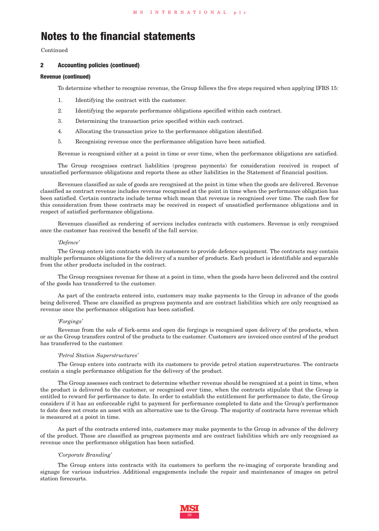Continued

#### **2 Accounting policies (continued)**

#### **Revenue (continued)**

To determine whether to recognise revenue, the Group follows the five steps required when applying IFRS 15:

- 1. Identifying the contract with the customer.
- 2. Identifying the separate performance obligations specified within each contract.
- 3. Determining the transaction price specified within each contract.
- 4. Allocating the transaction price to the performance obligation identified.
- 5. Recognising revenue once the performance obligation have been satisfied.

Revenue is recognised either at a point in time or over time, when the performance obligations are satisfied.

The Group recognises contract liabilities (progress payments) for consideration received in respect of unsatisfied performance obligations and reports these as other liabilities in the Statement of financial position.

Revenues classified as sale of goods are recognised at the point in time when the goods are delivered. Revenue classified as contract revenue includes revenue recognised at the point in time when the performance obligation has been satisfied. Certain contracts include terms which mean that revenue is recognised over time. The cash flow for this consideration from these contracts may be received in respect of unsatisfied performance obligations and in respect of satisfied performance obligations.

Revenues classified as rendering of services includes contracts with customers. Revenue is only recognised once the customer has received the benefit of the full service.

#### *'Defence'*

The Group enters into contracts with its customers to provide defence equipment. The contracts may contain multiple performance obligations for the delivery of a number of products. Each product is identifiable and separable from the other products included in the contract.

The Group recognises revenue for these at a point in time, when the goods have been delivered and the control of the goods has transferred to the customer.

As part of the contracts entered into, customers may make payments to the Group in advance of the goods being delivered. These are classified as progress payments and are contract liabilities which are only recognised as revenue once the performance obligation has been satisfied.

#### *'Forgings'*

Revenue from the sale of fork-arms and open die forgings is recognised upon delivery of the products, when or as the Group transfers control of the products to the customer. Customers are invoiced once control of the product has transferred to the customer.

#### *'Petrol Station Superstructures'*

The Group enters into contracts with its customers to provide petrol station superstructures. The contracts contain a single performance obligation for the delivery of the product.

The Group assesses each contract to determine whether revenue should be recognised at a point in time, when the product is delivered to the customer, or recognised over time, when the contracts stipulate that the Group is entitled to reward for performance to date. In order to establish the entitlement for performance to date, the Group considers if it has an enforceable right to payment for performance completed to date and the Group's performance to date does not create an asset with an alternative use to the Group. The majority of contracts have revenue which is measured at a point in time.

As part of the contracts entered into, customers may make payments to the Group in advance of the delivery of the product. These are classified as progress payments and are contract liabilities which are only recognised as revenue once the performance obligation has been satisfied.

### *'Corporate Branding'*

The Group enters into contracts with its customers to perform the re-imaging of corporate branding and signage for various industries. Additional engagements include the repair and maintenance of images on petrol station forecourts.

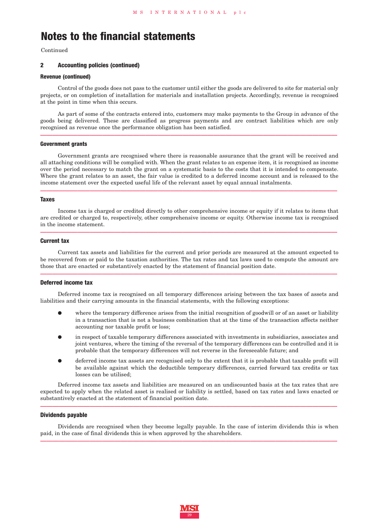Continued

#### **2 Accounting policies (continued)**

#### **Revenue (continued)**

Control of the goods does not pass to the customer until either the goods are delivered to site for material only projects, or on completion of installation for materials and installation projects. Accordingly, revenue is recognised at the point in time when this occurs.

As part of some of the contracts entered into, customers may make payments to the Group in advance of the goods being delivered. These are classified as progress payments and are contract liabilities which are only recognised as revenue once the performance obligation has been satisfied. **222222222222222222222222222222222222222222222222**

#### **Government grants**

Government grants are recognised where there is reasonable assurance that the grant will be received and all attaching conditions will be complied with. When the grant relates to an expense item, it is recognised as income over the period necessary to match the grant on a systematic basis to the costs that it is intended to compensate. Where the grant relates to an asset, the fair value is credited to a deferred income account and is released to the income statement over the expected useful life of the relevant asset by equal annual instalments. **222222222222222222222222222222222222222222222222**

#### **Taxes**

Income tax is charged or credited directly to other comprehensive income or equity if it relates to items that are credited or charged to, respectively, other comprehensive income or equity. Otherwise income tax is recognised in the income statement. **222222222222222222222222222222222222222222222222**

#### **Current tax**

Current tax assets and liabilities for the current and prior periods are measured at the amount expected to be recovered from or paid to the taxation authorities. The tax rates and tax laws used to compute the amount are those that are enacted or substantively enacted by the statement of financial position date. **222222222222222222222222222222222222222222222222**

#### **Deferred income tax**

Deferred income tax is recognised on all temporary differences arising between the tax bases of assets and liabilities and their carrying amounts in the financial statements, with the following exceptions:

- where the temporary difference arises from the initial recognition of goodwill or of an asset or liability in a transaction that is not a business combination that at the time of the transaction affects neither accounting nor taxable profit or loss;
- **●** in respect of taxable temporary differences associated with investments in subsidiaries, associates and joint ventures, where the timing of the reversal of the temporary differences can be controlled and it is probable that the temporary differences will not reverse in the foreseeable future; and
- **●** deferred income tax assets are recognised only to the extent that it is probable that taxable profit will be available against which the deductible temporary differences, carried forward tax credits or tax losses can be utilised;

Deferred income tax assets and liabilities are measured on an undiscounted basis at the tax rates that are expected to apply when the related asset is realised or liability is settled, based on tax rates and laws enacted or substantively enacted at the statement of financial position date. **222222222222222222222222222222222222222222222222**

#### **Dividends payable**

Dividends are recognised when they become legally payable. In the case of interim dividends this is when paid, in the case of final dividends this is when approved by the shareholders. **222222222222222222222222222222222222222222222222**

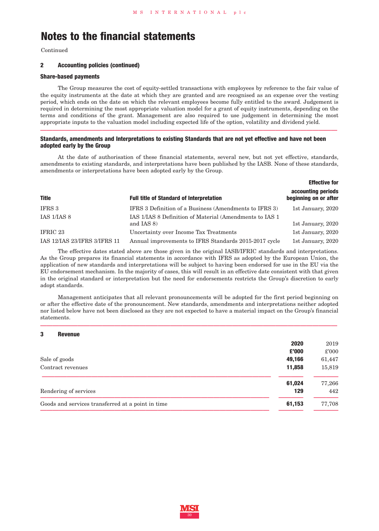Continued

#### **2 Accounting policies (continued)**

#### **Share-based payments**

The Group measures the cost of equity-settled transactions with employees by reference to the fair value of the equity instruments at the date at which they are granted and are recognised as an expense over the vesting period, which ends on the date on which the relevant employees become fully entitled to the award. Judgement is required in determining the most appropriate valuation model for a grant of equity instruments, depending on the terms and conditions of the grant. Management are also required to use judgement in determining the most appropriate inputs to the valuation model including expected life of the option, volatility and dividend yield. **222222222222222222222222222222222222222222222222**

#### **Standards, amendments and Interpretations to existing Standards that are not yet effective and have not been adopted early by the Group**

At the date of authorisation of these financial statements, several new, but not yet effective, standards, amendments to existing standards, and interpretations have been published by the IASB. None of these standards, amendments or interpretations have been adopted early by the Group.

**Effective for**

| Title                        | <b>Full title of Standard of Interpretation</b>                        | <b>Effective for</b><br>accounting periods<br>beginning on or after |
|------------------------------|------------------------------------------------------------------------|---------------------------------------------------------------------|
| IFRS 3                       | IFRS 3 Definition of a Business (Amendments to IFRS 3)                 | 1st January, 2020                                                   |
| IAS 1/IAS 8                  | IAS 1/IAS 8 Definition of Material (Amendments to IAS 1)<br>and IAS 8) | 1st January, 2020                                                   |
| IFRIC 23                     | Uncertainty over Income Tax Treatments                                 | 1st January, 2020                                                   |
| IAS 12/IAS 23/IFRS 3/IFRS 11 | Annual improvements to IFRS Standards 2015-2017 cycle                  | 1st January, 2020                                                   |

The effective dates stated above are those given in the original IASB/IFRIC standards and interpretations. As the Group prepares its financial statements in accordance with IFRS as adopted by the European Union, the application of new standards and interpretations will be subject to having been endorsed for use in the EU via the EU endorsement mechanism. In the majority of cases, this will result in an effective date consistent with that given in the original standard or interpretation but the need for endorsements restricts the Group's discretion to early adopt standards.

Management anticipates that all relevant pronouncements will be adopted for the first period beginning on or after the effective date of the pronouncement. New standards, amendments and interpretations neither adopted nor listed below have not been disclosed as they are not expected to have a material impact on the Group's financial statements. **222222222222222222222222222222222222222222222222**

| 3<br><b>Revenue</b>                               |        |                |
|---------------------------------------------------|--------|----------------|
|                                                   | 2020   | 2019           |
|                                                   | £'000  | $\pounds$ '000 |
| Sale of goods                                     | 49,166 | 61,447         |
| Contract revenues                                 | 11,858 | 15,819         |
|                                                   | 61,024 | 77,266         |
| Rendering of services                             | 129    | 442            |
| Goods and services transferred at a point in time | 61,153 | 77,708         |
|                                                   |        |                |

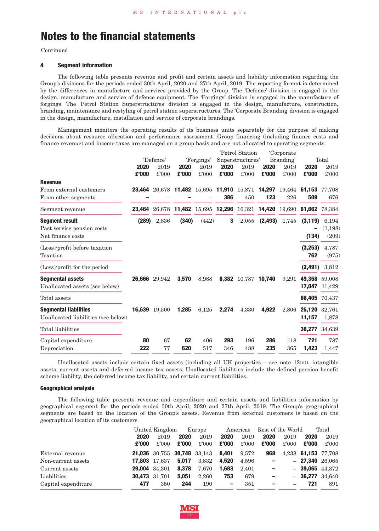Continued

#### **4 Segment information**

The following table presents revenue and profit and certain assets and liability information regarding the Group's divisions for the periods ended 30th April, 2020 and 27th April, 2019. The reporting format is determined by the differences in manufacture and services provided by the Group. The 'Defence' division is engaged in the design, manufacture and service of defence equipment. The 'Forgings' division is engaged in the manufacture of forgings. The 'Petrol Station Superstructures' division is engaged in the design, manufacture, construction, branding, maintenance and restyling of petrol station superstructures. The 'Corporate Branding' division is engaged in the design, manufacture, installation and service of corporate brandings.

Management monitors the operating results of its business units separately for the purpose of making decisions about resource allocation and performance assessment. Group financing (including finance costs and finance revenue) and income taxes are managed on a group basis and are not allocated to operating segments.

|                                     |               |           |                                                  |            |       | Petrol Station   |                      | 'Corporate |               |         |
|-------------------------------------|---------------|-----------|--------------------------------------------------|------------|-------|------------------|----------------------|------------|---------------|---------|
|                                     |               | 'Defence' |                                                  | 'Forgings' |       | Superstructures' |                      | Branding'  |               | Total   |
|                                     | 2020          | 2019      | 2020                                             | 2019       | 2020  | 2019             | 2020                 | 2019       | 2020          | 2019    |
|                                     | £'000         | £'000     | £'000                                            | £'000      | £'000 | £'000            | £'000                | £'000      | £'000         | £'000   |
| <b>Revenue</b>                      |               |           |                                                  |            |       |                  |                      |            |               |         |
| From external customers             | 23.464        |           | 26,678 11,482 15,695 11,910 15,871               |            |       |                  | <b>14,297</b> 19,464 |            | 61,153        | 77,708  |
| From other segments                 |               |           |                                                  |            | 386   | 450              | 123                  | 226        | 509           | 676     |
| Segment revenue                     | 23.464        |           | 26,678 11,482 15,695 12,296 16,321 14,420 19,690 |            |       |                  |                      |            | 61,662 78,384 |         |
| <b>Segment result</b>               | (289)         | 2,836     | (340)                                            | (442)      | 3     | 2,055            | (2, 493)             | 1,745      | (3, 119)      | 6,194   |
| Past service pension costs          |               |           |                                                  |            |       |                  |                      |            |               | (1,198) |
| Net finance costs                   |               |           |                                                  |            |       |                  |                      |            | (134)         | (209)   |
| (Loss)/profit before taxation       |               |           |                                                  |            |       |                  |                      |            | (3, 253)      | 4,787   |
| Taxation                            |               |           |                                                  |            |       |                  |                      |            | 762           | (975)   |
| (Loss)/profit for the period        |               |           |                                                  |            |       |                  |                      |            | (2, 491)      | 3,812   |
| <b>Segmental assets</b>             | 26,666        | 29,942    | 3,570                                            | 8,988      |       | 8,382 10,787     | 10,740               | 9,291      | 49,358        | 59,008  |
| Unallocated assets (see below)      |               |           |                                                  |            |       |                  |                      |            | 17,047        | 11,429  |
| Total assets                        |               |           |                                                  |            |       |                  |                      |            | 66,405        | 70,437  |
| <b>Segmental liabilities</b>        | 16,639 19,500 |           | 1,285                                            | 6,125      | 2,274 | 4,330            | 4,922                | 2,806      | 25,120        | 32,761  |
| Unallocated liabilities (see below) |               |           |                                                  |            |       |                  |                      |            | 11,157        | 1,878   |
| <b>Total liabilities</b>            |               |           |                                                  |            |       |                  |                      |            | 36,277        | 34,639  |
| Capital expenditure                 | 80            | 67        | 62                                               | 406        | 293   | 196              | 286                  | 118        | 721           | 787     |
| Depreciation                        | 222           | 77        | 620                                              | 517        | 346   | 488              | 235                  | 365        | 1,423         | 1,447   |

Unallocated assets include certain fixed assets (including all UK properties – see note  $12(e)$ ), intangible assets, current assets and deferred income tax assets. Unallocated liabilities include the defined pension benefit scheme liability, the deferred income tax liability, and certain current liabilities.

#### **Geographical analysis**

The following table presents revenue and expenditure and certain assets and liabilities information by geographical segment for the periods ended 30th April, 2020 and 27th April, 2019. The Group's geographical segments are based on the location of the Group's assets. Revenue from external customers is based on the geographical location of its customers.

|                     |       | United Kingdom              |       | Europe |                          | Americas      | Rest of the World        |                          |                     | Total |
|---------------------|-------|-----------------------------|-------|--------|--------------------------|---------------|--------------------------|--------------------------|---------------------|-------|
|                     | 2020  | 2019                        | 2020  | 2019   | 2020                     | 2019          | 2020                     | 2019                     | 2020                | 2019  |
|                     | £'000 | £'000                       | £'000 | £'000  | £'000                    | $\pounds 000$ | £'000                    | £'000                    | £'000               | £'000 |
| External revenue    |       | 21,036 30,755 30,748 33,143 |       |        | 8.401                    | 9.572         | 968                      |                          | 4,238 61,153 77,708 |       |
| Non-current assets  |       | 17,803 17,637               | 5,017 | 3,832  | 4.520                    | 4.596         | $\overline{\phantom{a}}$ |                          | $-$ 27,340 26,065   |       |
| Current assets      |       | <b>29,004</b> 34,301        | 8.378 | 7,670  | 1.683                    | 2.401         | $\overline{\phantom{m}}$ |                          | $-$ 39,065 44,372   |       |
| Liabilities         |       | 30,473 31,701               | 5,051 | 2,260  | 753                      | 679           | $\overline{\phantom{m}}$ |                          | $-$ 36,277 34,640   |       |
| Capital expenditure | 477   | 350                         | 244   | 190    | $\overline{\phantom{a}}$ | 351           | $\overline{\phantom{0}}$ | $\overline{\phantom{0}}$ | 721                 | 891   |

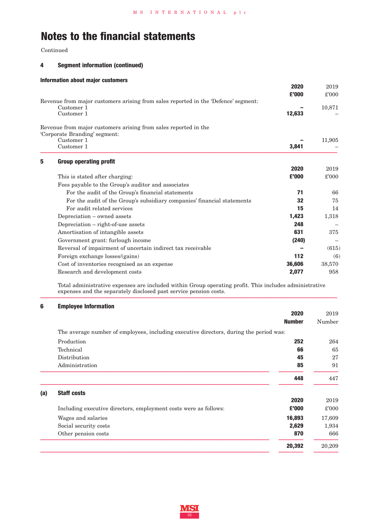Continued

### **4 Segment information (continued)**

### **Information about major customers**

|   |                                                                                                                | 2020<br>£'000 | 2019<br>£'000 |
|---|----------------------------------------------------------------------------------------------------------------|---------------|---------------|
|   | Revenue from major customers arising from sales reported in the 'Defence' segment:<br>Customer 1<br>Customer 1 | 12,633        | 10,871        |
|   | Revenue from major customers arising from sales reported in the<br>'Corporate Branding' segment:               |               |               |
|   | Customer 1                                                                                                     |               | 11,905        |
|   | Customer 1                                                                                                     | 3,841         |               |
| 5 | <b>Group operating profit</b>                                                                                  |               |               |
|   |                                                                                                                | 2020          | 2019          |
|   | This is stated after charging:                                                                                 | £'000         | £'000         |
|   | Fees payable to the Group's auditor and associates                                                             |               |               |
|   | For the audit of the Group's financial statements                                                              | 71            | 66            |
|   | For the audit of the Group's subsidiary companies' financial statements                                        | 32            | 75            |
|   | For audit related services                                                                                     | 15            | 14            |
|   | Depreciation – owned assets                                                                                    | 1,423         | 1,318         |
|   | Depreciation – right-of-use assets                                                                             | 248           |               |
|   | Amortisation of intangible assets                                                                              | 631           | 375           |
|   | Government grant: furlough income                                                                              | (240)         |               |
|   | Reversal of impairment of uncertain indirect tax receivable                                                    |               | (615)         |
|   | Foreign exchange losses/(gains)                                                                                | 112           | (6)           |
|   | Cost of inventories recognised as an expense                                                                   | 36,606        | 38,570        |
|   | Research and development costs                                                                                 | 2,077         | 958           |
|   |                                                                                                                |               |               |

Total administrative expenses are included within Group operating profit. This includes administrative expenses and the separately disclosed past service pension costs.

### **6 Employee Information**

|     |                                                                                        | 2020          | 2019           |
|-----|----------------------------------------------------------------------------------------|---------------|----------------|
|     |                                                                                        | <b>Number</b> | Number         |
|     | The average number of employees, including executive directors, during the period was: |               |                |
|     | Production                                                                             | 252           | 264            |
|     | Technical                                                                              | 66            | 65             |
|     | Distribution                                                                           | 45            | 27             |
|     | Administration                                                                         | 85            | 91             |
|     |                                                                                        | 448           | 447            |
| (a) | <b>Staff costs</b>                                                                     |               |                |
|     |                                                                                        | 2020          | 2019           |
|     | Including executive directors, employment costs were as follows:                       | £'000         | $\pounds$ '000 |
|     | Wages and salaries                                                                     | 16,893        | 17,609         |
|     | Social security costs                                                                  | 2,629         | 1,934          |
|     | Other pension costs                                                                    | 870           | 666            |
|     |                                                                                        | 20,392        | 20,209         |

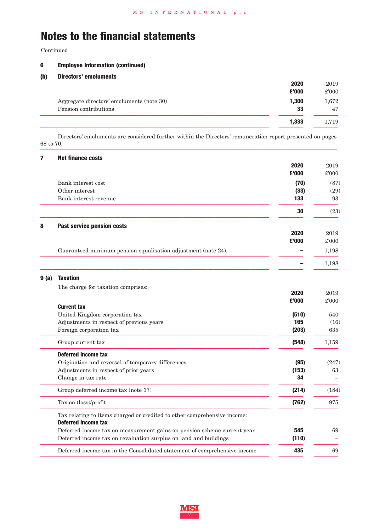Continued

### **6 Employee Information (continued)**

### **(b) Directors' emoluments**

|                                           | 2020  | 2019          |
|-------------------------------------------|-------|---------------|
|                                           | £'000 | $\pounds 000$ |
| Aggregate directors' emoluments (note 30) | 1,300 | 1,672         |
| Pension contributions                     | 33    | 47            |
|                                           | 1,333 | 1,719         |

Directors' emoluments are considered further within the Directors' remuneration report presented on pages <sup>68</sup> to 70. **<sup>222222222222222222222222222222222222222222222222</sup>**

| $\overline{\mathbf{z}}$ | <b>Net finance costs</b>                                                  |       |               |
|-------------------------|---------------------------------------------------------------------------|-------|---------------|
|                         |                                                                           | 2020  | 2019          |
|                         |                                                                           | £'000 | £'000         |
|                         | Bank interest cost                                                        | (70)  | (87)          |
|                         | Other interest                                                            | (33)  | (29)          |
|                         | Bank interest revenue                                                     | 133   | 93            |
|                         |                                                                           | 30    | (23)          |
| 8                       | Past service pension costs                                                |       |               |
|                         |                                                                           | 2020  | 2019          |
|                         |                                                                           | £'000 | £'000         |
|                         | Guaranteed minimum pension equalisation adjustment (note 24).             |       | 1,198         |
|                         |                                                                           |       | 1,198         |
| 9(a)                    | <b>Taxation</b>                                                           |       |               |
|                         | The charge for taxation comprises:                                        | 2020  | 2019          |
|                         |                                                                           | £'000 | $\pounds 000$ |
|                         | <b>Current tax</b>                                                        |       |               |
|                         | United Kingdom corporation tax                                            | (510) | 540           |
|                         | Adjustments in respect of previous years                                  | 165   | (16)          |
|                         | Foreign corporation tax                                                   | (203) | 635           |
|                         | Group current tax                                                         | (548) | 1,159         |
|                         | Deferred income tax                                                       |       |               |
|                         | Origination and reversal of temporary differences                         | (95)  | (247)         |
|                         | Adjustments in respect of prior years                                     | (153) | 63            |
|                         | Change in tax rate                                                        | 34    |               |
|                         | Group deferred income tax (note 17)                                       | (214) | (184)         |
|                         | Tax on (loss)/profit                                                      | (762) | 975           |
|                         | Tax relating to items charged or credited to other comprehensive income:  |       |               |
|                         | <b>Deferred income tax</b>                                                |       |               |
|                         | Deferred income tax on measurement gains on pension scheme current year   | 545   | 69            |
|                         | Deferred income tax on revaluation surplus on land and buildings          | (110) |               |
|                         | Deferred income tax in the Consolidated statement of comprehensive income | 435   | 69            |

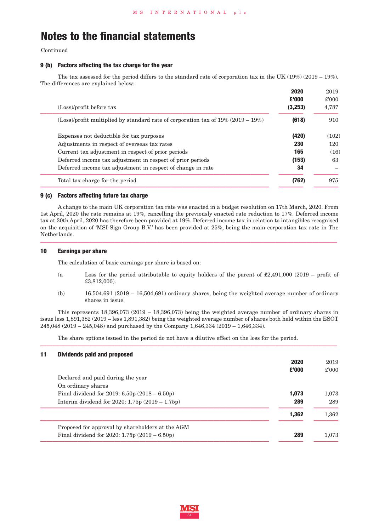Continued

#### **9 (b) Factors affecting the tax charge for the year**

The tax assessed for the period differs to the standard rate of corporation tax in the UK (19%) (2019 – 19%). The differences are explained below:

| $(Loss)/profit$ before tax                                                              | 2020<br>£'000<br>(3,253) | 2019<br>£'000<br>4,787 |
|-----------------------------------------------------------------------------------------|--------------------------|------------------------|
| (Loss)/profit multiplied by standard rate of corporation tax of $19\%$ (2019 – $19\%$ ) | (618)                    | 910                    |
| Expenses not deductible for tax purposes                                                | (420)                    | (102)                  |
| Adjustments in respect of overseas tax rates                                            | 230                      | 120                    |
| Current tax adjustment in respect of prior periods                                      | 165                      | (16)                   |
| Deferred income tax adjustment in respect of prior periods                              | (153)                    | 63                     |
| Deferred income tax adjustment in respect of change in rate                             | 34                       |                        |
| Total tax charge for the period                                                         | (762)                    | 975                    |
|                                                                                         |                          |                        |

#### **9 (c) Factors affecting future tax charge**

A change to the main UK corporation tax rate was enacted in a budget resolution on 17th March, 2020. From 1st April, 2020 the rate remains at 19%, cancelling the previously enacted rate reduction to 17%. Deferred income tax at 30th April, 2020 has therefore been provided at 19%. Deferred income tax in relation to intangibles recognised on the acquisition of 'MSI-Sign Group B.V.' has been provided at 25%, being the main corporation tax rate in The Netherlands. **222222222222222222222222222222222222222222222222**

#### **10 Earnings per share**

The calculation of basic earnings per share is based on:

- (a Loss for the period attributable to equity holders of the parent of £2,491,000 (2019 profit of £3,812,000).
- (b) 16,504,691 (2019 16,504,691) ordinary shares, being the weighted average number of ordinary shares in issue.

This represents 18,396,073 (2019 – 18,396,073) being the weighted average number of ordinary shares in issue less 1,891,382 (2019 – less 1,891,382) being the weighted average number of shares both held within the ESOT 245,048 (2019 – 245,048) and purchased by the Company 1,646,334 (2019 – 1,646,334).

The share options issued in the period do not have a dilutive effect on the loss for the period. **222222222222222222222222222222222222222222222222**

### **11 Dividends paid and proposed**

|                                                  | 2020  | 2019  |
|--------------------------------------------------|-------|-------|
|                                                  | £'000 | £'000 |
| Declared and paid during the year                |       |       |
| On ordinary shares                               |       |       |
| Final dividend for 2019: $6.50p(2018-6.50p)$     | 1,073 | 1,073 |
| Interim dividend for 2020: $1.75p(2019 - 1.75p)$ | 289   | 289   |
|                                                  | 1.362 | 1,362 |
| Proposed for approval by shareholders at the AGM |       |       |
| Final dividend for 2020: $1.75p(2019 - 6.50p)$   | 289   | 1,073 |

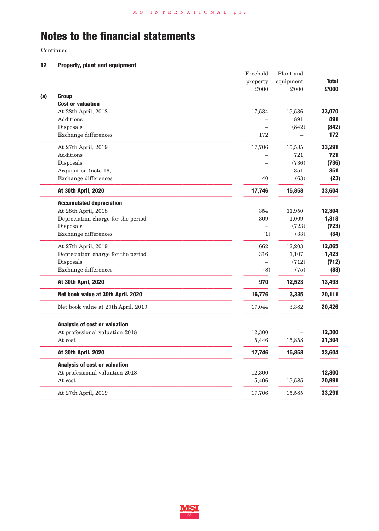Continued

### **12 Property, plant and equipment**

|     |                                    | Freehold<br>property<br>$\pounds 000$ | Plant and<br>equipment<br>$\pounds 000$ | <b>Total</b><br>£'000 |
|-----|------------------------------------|---------------------------------------|-----------------------------------------|-----------------------|
| (a) | Group<br><b>Cost or valuation</b>  |                                       |                                         |                       |
|     | At 28th April, 2018                | 17,534                                | 15,536                                  | 33,070                |
|     | Additions                          |                                       | 891                                     | 891                   |
|     | Disposals                          |                                       | (842)                                   | (842)                 |
|     | Exchange differences               | 172                                   |                                         | 172                   |
|     | At 27th April, 2019                | 17,706                                | 15,585                                  | 33,291                |
|     | <b>Additions</b>                   |                                       | 721                                     | 721                   |
|     | Disposals                          |                                       | (736)                                   | (736)                 |
|     | Acquisition (note 16)              |                                       | 351                                     | 351                   |
|     | Exchange differences               | 40                                    | (63)                                    | (23)                  |
|     | At 30th April, 2020                | 17,746                                | 15,858                                  | 33,604                |
|     | <b>Accumulated depreciation</b>    |                                       |                                         |                       |
|     | At 28th April, 2018                | 354                                   | 11,950                                  | 12,304                |
|     | Depreciation charge for the period | 309                                   | 1,009                                   | 1,318                 |
|     | Disposals                          |                                       | (723)                                   | (723)                 |
|     | Exchange differences               | (1)                                   | (33)                                    | (34)                  |
|     | At 27th April, 2019                | 662                                   | 12,203                                  | 12,865                |
|     | Depreciation charge for the period | 316                                   | 1,107                                   | 1,423                 |
|     | Disposals                          |                                       | (712)                                   | (712)                 |
|     | Exchange differences               | (8)                                   | (75)                                    | (83)                  |
|     | At 30th April, 2020                | 970                                   | 12,523                                  | 13,493                |
|     | Net book value at 30th April, 2020 | 16,776                                | 3,335                                   | 20,111                |
|     | Net book value at 27th April, 2019 | 17,044                                | 3,382                                   | 20,426                |
|     | Analysis of cost or valuation      |                                       |                                         |                       |
|     | At professional valuation 2018     | 12,300                                |                                         | 12,300                |
|     | At cost                            | 5,446                                 | 15,858                                  | 21,304                |
|     | At 30th April, 2020                | 17,746                                | 15,858                                  | 33,604                |
|     | Analysis of cost or valuation      |                                       |                                         |                       |
|     | At professional valuation 2018     | 12,300                                |                                         | 12,300                |
|     | At cost                            | 5,406                                 | 15,585                                  | 20,991                |
|     | At 27th April, 2019                | 17,706                                | 15,585                                  | 33,291                |

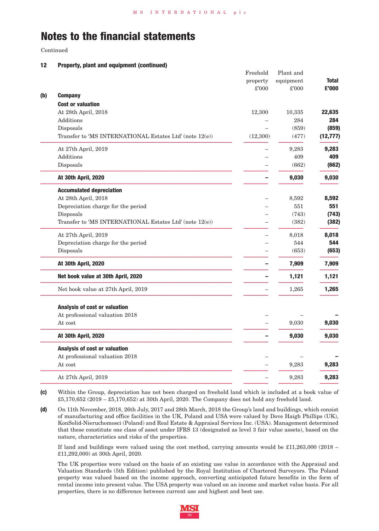Continued

### **12 Property, plant and equipment (continued)**

|     |                                                                        | Freehold<br>property<br>£'000 | Plant and<br>equipment<br>£'000 | <b>Total</b><br>£'000 |
|-----|------------------------------------------------------------------------|-------------------------------|---------------------------------|-----------------------|
| (b) | <b>Company</b>                                                         |                               |                                 |                       |
|     | <b>Cost or valuation</b>                                               |                               |                                 |                       |
|     | At 28th April, 2018<br>Additions                                       | 12,300                        | 10,335<br>284                   | 22,635<br>284         |
|     | Disposals                                                              |                               | (859)                           | (859)                 |
|     | Transfer to 'MS INTERNATIONAL Estates Ltd' (note 12(e))                | (12, 300)                     | (477)                           | (12, 777)             |
|     | At 27th April, 2019                                                    |                               | 9,283                           | 9,283                 |
|     | Additions                                                              |                               | 409                             | 409                   |
|     | Disposals                                                              |                               | (662)                           | (662)                 |
|     | At 30th April, 2020                                                    |                               | 9,030                           | 9,030                 |
|     | <b>Accumulated depreciation</b>                                        |                               |                                 |                       |
|     | At 28th April, 2018                                                    |                               | 8,592                           | 8,592                 |
|     | Depreciation charge for the period                                     |                               | 551                             | 551                   |
|     | Disposals                                                              |                               | (743)                           | (743)                 |
|     | Transfer to 'MS INTERNATIONAL Estates Ltd' (note 12(e))                |                               | (382)                           | (382)                 |
|     | At 27th April, 2019                                                    |                               | 8,018                           | 8,018                 |
|     | Depreciation charge for the period                                     |                               | 544                             | 544                   |
|     | Disposals                                                              |                               | (653)                           | (653)                 |
|     | At 30th April, 2020                                                    |                               | 7,909                           | 7,909                 |
|     | Net book value at 30th April, 2020                                     |                               | 1,121                           | 1,121                 |
|     | Net book value at 27th April, 2019                                     |                               | 1,265                           | 1,265                 |
|     | Analysis of cost or valuation<br>At professional valuation 2018        |                               |                                 |                       |
|     | At cost                                                                |                               | 9,030                           | 9,030                 |
|     | At 30th April, 2020                                                    |                               | 9,030                           | 9,030                 |
|     |                                                                        |                               |                                 |                       |
|     | <b>Analysis of cost or valuation</b><br>At professional valuation 2018 |                               |                                 |                       |
|     | At cost                                                                |                               | 9,283                           | 9,283                 |
|     | At 27th April, 2019                                                    |                               | 9,283                           | 9,283                 |

**(c)** Within the Group, depreciation has not been charged on freehold land which is included at a book value of £5,170,652 (2019 – £5,170,652) at 30th April, 2020. The Company does not hold any freehold land.

**(d)** On 11th November, 2018, 26th July, 2017 and 28th March, 2018 the Group's land and buildings, which consist of manufacturing and office facilities in the UK, Poland and USA were valued by Dove Haigh Phillips (UK), KonSolid-Nieruchomosci (Poland) and Real Estate & Appraisal Services Inc. (USA). Management determined that these constitute one class of asset under IFRS 13 (designated as level 3 fair value assets), based on the nature, characteristics and risks of the properties.

If land and buildings were valued using the cost method, carrying amounts would be £11,263,000 (2018 – £11,292,000) at 30th April, 2020.

The UK properties were valued on the basis of an existing use value in accordance with the Appraisal and Valuation Standards (5th Edition) published by the Royal Institution of Chartered Surveyors. The Poland property was valued based on the income approach, converting anticipated future benefits in the form of rental income into present value. The USA property was valued on an income and market value basis. For all properties, there is no difference between current use and highest and best use.

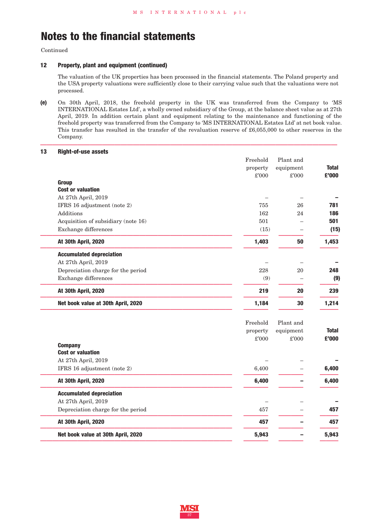Continued

### **12 Property, plant and equipment (continued)**

The valuation of the UK properties has been processed in the financial statements. The Poland property and the USA property valuations were sufficiently close to their carrying value such that the valuations were not processed.

**(e)** On 30th April, 2018, the freehold property in the UK was transferred from the Company to 'MS INTERNATIONAL Estates Ltd', a wholly owned subsidiary of the Group, at the balance sheet value as at 27th April, 2019. In addition certain plant and equipment relating to the maintenance and functioning of the freehold property was transferred from the Company to 'MS INTERNATIONAL Estates Ltd' at net book value. This transfer has resulted in the transfer of the revaluation reserve of £6,055,000 to other reserves in the Company. **222222222222222222222222222222222222222222222222**

### **13 Right-of-use assets**

|                                            | Freehold       | Plant and     |              |
|--------------------------------------------|----------------|---------------|--------------|
|                                            | property       | equipment     | <b>Total</b> |
|                                            | $\pounds$ '000 | $\pounds 000$ | £'000        |
| Group                                      |                |               |              |
| <b>Cost or valuation</b>                   |                |               |              |
| At 27th April, 2019                        |                |               |              |
| IFRS 16 adjustment (note 2)                | 755            | 26            | 781          |
| Additions                                  | 162            | 24            | 186          |
| Acquisition of subsidiary (note 16)        | 501            |               | 501          |
| Exchange differences                       | (15)           |               | (15)         |
| At 30th April, 2020                        | 1,403          | 50            | 1,453        |
| <b>Accumulated depreciation</b>            |                |               |              |
| At 27th April, 2019                        |                |               |              |
| Depreciation charge for the period         | 228            | 20            | 248          |
| Exchange differences                       | (9)            |               | (9)          |
| At 30th April, 2020                        | 219            | 20            | 239          |
| Net book value at 30th April, 2020         | 1,184          | 30            | 1,214        |
|                                            |                |               |              |
|                                            | Freehold       | Plant and     |              |
|                                            | property       | equipment     | <b>Total</b> |
|                                            | $\pounds$ '000 | $\pounds 000$ | £'000        |
| <b>Company</b><br><b>Cost or valuation</b> |                |               |              |
| At 27th April, 2019                        |                |               |              |
| IFRS 16 adjustment (note 2)                | 6,400          |               | 6,400        |
|                                            |                |               |              |
| At 30th April, 2020                        | 6,400          |               | 6,400        |
| <b>Accumulated depreciation</b>            |                |               |              |
| At 27th April, 2019                        |                |               |              |
| Depreciation charge for the period         | 457            |               | 457          |
| At 30th April, 2020                        | 457            |               | 457          |
| Net book value at 30th April, 2020         | 5,943          |               | 5,943        |
|                                            |                |               |              |

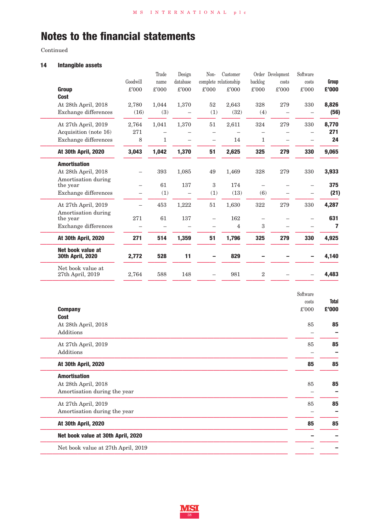Continued

### **14 Intangible assets**

|                        |                                                     |               | Trade             | Design                   | Non-                     | Customer                 |                   | Order Development        | Software                           |                         |
|------------------------|-----------------------------------------------------|---------------|-------------------|--------------------------|--------------------------|--------------------------|-------------------|--------------------------|------------------------------------|-------------------------|
|                        |                                                     | Goodwill      | name              | database                 |                          | complete relationship    | backlog           | costs                    | costs                              | Group                   |
| Group                  |                                                     | $\pounds 000$ | £'000             | $\pounds 000$            | $\pounds 000$            | $\pounds 000$            | $\pounds$ '000    | $\pounds 000$            | $\pounds 000$                      | £'000                   |
| <b>Cost</b>            | At 28th April, 2018                                 | 2,780         | 1,044             | 1,370                    | $52\,$                   | 2,643                    | 328               | 279                      | 330                                | 8,826                   |
|                        | Exchange differences                                | (16)          | (3)               |                          | (1)                      | (32)                     | (4)               |                          | $\overline{\phantom{0}}$           | (56)                    |
|                        | At 27th April, 2019                                 | 2,764         | 1,041             | 1,370                    | $51\,$                   | 2,611                    | 324               | 279                      | 330                                | 8,770                   |
|                        | Acquisition (note 16)                               | 271           | $\qquad \qquad -$ |                          | $\overline{\phantom{0}}$ | $\overline{\phantom{0}}$ | $\qquad \qquad -$ |                          |                                    | 271                     |
|                        | Exchange differences                                | 8             | $\mathbf{1}$      | $\overline{\phantom{m}}$ | —                        | 14                       | 1                 | $\overline{\phantom{0}}$ |                                    | 24                      |
|                        | At 30th April, 2020                                 | 3,043         | 1,042             | 1,370                    | 51                       | 2,625                    | 325               | 279                      | 330                                | 9,065                   |
| <b>Amortisation</b>    |                                                     |               |                   |                          |                          |                          |                   |                          |                                    |                         |
|                        | At 28th April, 2018<br>Amortisation during          |               | $393\,$           | 1,085                    | 49                       | 1,469                    | 328               | 279                      | 330                                | 3,933                   |
| the year               |                                                     |               | 61                | 137                      | 3                        | 174                      | $\qquad \qquad -$ |                          |                                    | 375                     |
|                        | Exchange differences                                |               | (1)               | $\qquad \qquad -$        | (1)                      | (13)                     | (6)               |                          |                                    | (21)                    |
|                        | At 27th April, 2019                                 |               | 453               | 1,222                    | $51\,$                   | 1,630                    | $322\,$           | 279                      | 330                                | 4,287                   |
| the year               | Amortisation during                                 | 271           | 61                | 137                      | $\overline{\phantom{0}}$ | 162                      | —                 |                          |                                    | 631                     |
|                        | Exchange differences                                |               |                   |                          |                          | 4                        | $\,3$             |                          |                                    | $\overline{\mathbf{z}}$ |
|                        | At 30th April, 2020                                 | 271           | 514               | 1,359                    | 51                       | 1,796                    | 325               | 279                      | 330                                | 4,925                   |
|                        | Net book value at<br>30th April, 2020               | 2,772         | 528               | 11                       |                          | 829                      |                   |                          |                                    | 4,140                   |
|                        | Net book value at<br>27th April, 2019               | 2,764         | 588               | 148                      | $\overline{\phantom{0}}$ | 981                      | $\,2$             |                          |                                    | 4,483                   |
| <b>Company</b><br>Cost |                                                     |               |                   |                          |                          |                          |                   |                          | Software<br>costs<br>$\pounds 000$ | <b>Total</b><br>£'000   |
|                        | At 28th April, 2018                                 |               |                   |                          |                          |                          |                   |                          | 85                                 | 85                      |
| Additions              |                                                     |               |                   |                          |                          |                          |                   |                          |                                    |                         |
| Additions              | At 27th April, 2019                                 |               |                   |                          |                          |                          |                   |                          | 85                                 | 85                      |
|                        | At 30th April, 2020                                 |               |                   |                          |                          |                          |                   |                          | 85                                 | 85                      |
| <b>Amortisation</b>    | At 28th April, 2018<br>Amortisation during the year |               |                   |                          |                          |                          |                   |                          | 85                                 | 85                      |
|                        | At 27th April, 2019<br>Amortisation during the year |               |                   |                          |                          |                          |                   |                          | 85                                 | 85                      |
|                        | At 30th April, 2020                                 |               |                   |                          |                          |                          |                   |                          | 85                                 | 85                      |
|                        | Net book value at 30th April, 2020                  |               |                   |                          |                          |                          |                   |                          |                                    |                         |
|                        | Net book value at 27th April, 2019                  |               |                   |                          |                          |                          |                   |                          |                                    |                         |
|                        |                                                     |               |                   |                          |                          |                          |                   |                          |                                    |                         |

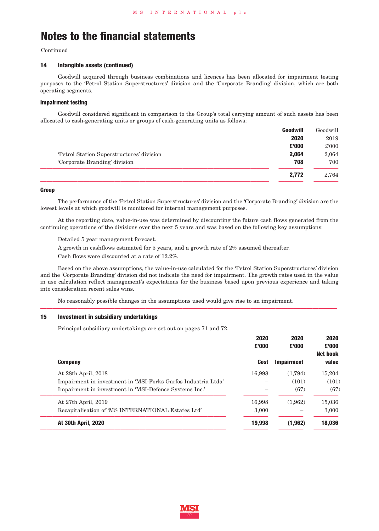Continued

### **14 Intangible assets (continued)**

Goodwill acquired through business combinations and licences has been allocated for impairment testing purposes to the 'Petrol Station Superstructures' division and the 'Corporate Branding' division, which are both operating segments.

### **Impairment testing**

Goodwill considered significant in comparison to the Group's total carrying amount of such assets has been allocated to cash-generating units or groups of cash-generating units as follows:

|                                           | Goodwill | Goodwill       |
|-------------------------------------------|----------|----------------|
|                                           | 2020     | 2019           |
|                                           | £'000    | $\pounds$ '000 |
| 'Petrol Station Superstructures' division | 2,064    | 2,064          |
| 'Corporate Branding' division             | 708      | 700            |
|                                           | 2,772    | 2,764          |
|                                           |          |                |

### **Group**

The performance of the 'Petrol Station Superstructures' division and the 'Corporate Branding' division are the lowest levels at which goodwill is monitored for internal management purposes.

At the reporting date, value-in-use was determined by discounting the future cash flows generated from the continuing operations of the divisions over the next 5 years and was based on the following key assumptions:

Detailed 5 year management forecast.

A growth in cashflows estimated for 5 years, and a growth rate of 2% assumed thereafter.

Cash flows were discounted at a rate of 12.2%.

Based on the above assumptions, the value-in-use calculated for the 'Petrol Station Superstructures' division and the 'Corporate Branding' division did not indicate the need for impairment. The growth rates used in the value in use calculation reflect management's expectations for the business based upon previous experience and taking into consideration recent sales wins.

No reasonably possible changes in the assumptions used would give rise to an impairment. **222222222222222222222222222222222222222222222222**

### **15 Investment in subsidiary undertakings**

Principal subsidiary undertakings are set out on pages 71 and 72.

| <b>Company</b>                                                | 2020<br>£'000<br><b>Cost</b> | 2020<br>£'000<br><b>Impairment</b> | 2020<br>£'000<br><b>Net book</b><br>value |
|---------------------------------------------------------------|------------------------------|------------------------------------|-------------------------------------------|
|                                                               |                              |                                    |                                           |
| At 28th April, 2018                                           | 16,998                       | (1,794)                            | 15,204                                    |
| Impairment in investment in 'MSI-Forks Garfos Industria Ltda' |                              | (101)                              | (101)                                     |
| Impairment in investment in 'MSI-Defence Systems Inc.'        |                              | (67)                               | (67)                                      |
| At 27th April, 2019                                           | 16,998                       | (1,962)                            | 15,036                                    |
| Recapitalisation of 'MS INTERNATIONAL Estates Ltd'            | 3.000                        |                                    | 3.000                                     |
| <b>At 30th April, 2020</b>                                    | 19,998                       | (1, 962)                           | 18,036                                    |
|                                                               |                              |                                    |                                           |

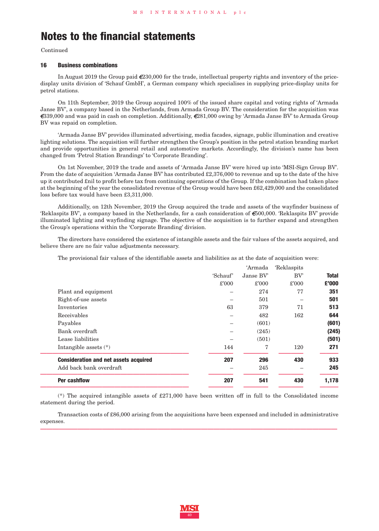Continued

### **16 Business combinations**

In August 2019 the Group paid  $\epsilon$ 230,000 for the trade, intellectual property rights and inventory of the pricedisplay units division of 'Schauf GmbH', a German company which specialises in supplying price-display units for petrol stations.

On 11th September, 2019 the Group acquired 100% of the issued share capital and voting rights of 'Armada Janse BV', a company based in the Netherlands, from Armada Group BV. The consideration for the acquisition was 2339,000 and was paid in cash on completion. Additionally, 2281,000 owing by 'Armada Janse BV' to Armada Group BV was repaid on completion.

'Armada Janse BV' provides illuminated advertising, media facades, signage, public illumination and creative lighting solutions. The acquisition will further strengthen the Group's position in the petrol station branding market and provide opportunities in general retail and automotive markets. Accordingly, the division's name has been changed from 'Petrol Station Brandings' to 'Corporate Branding'.

On 1st November, 2019 the trade and assets of 'Armada Janse BV' were hived up into 'MSI-Sign Group BV'. From the date of acquisition 'Armada Janse BV' has contributed £2,376,000 to revenue and up to the date of the hive up it contributed £nil to profit before tax from continuing operations of the Group. If the combination had taken place at the beginning of the year the consolidated revenue of the Group would have been £62,429,000 and the consolidated loss before tax would have been £3,311,000.

Additionally, on 12th November, 2019 the Group acquired the trade and assets of the wayfinder business of 'Reklaspits BV', a company based in the Netherlands, for a cash consideration of  $\epsilon$ 500,000. 'Reklaspits BV' provide illuminated lighting and wayfinding signage. The objective of the acquisition is to further expand and strengthen the Group's operations within the 'Corporate Branding' division.

The directors have considered the existence of intangible assets and the fair values of the assets acquired, and believe there are no fair value adjustments necessary.

The provisional fair values of the identifiable assets and liabilities as at the date of acquisition were:

| <b>Per cashflow</b>                                                     | 207      | 541        | 430               | 1,178        |
|-------------------------------------------------------------------------|----------|------------|-------------------|--------------|
| <b>Consideration and net assets acquired</b><br>Add back bank overdraft | 207      | 296<br>245 | 430               | 933<br>245   |
| Intangible assets $(*)$                                                 | 144      | 7          | 120               | 271          |
| Lease liabilities                                                       |          | (501)      |                   | (501)        |
| Bank overdraft                                                          |          | (245)      |                   | (245)        |
| Payables                                                                |          | (601)      |                   | (601)        |
| Receivables                                                             |          | 482        | 162               | 644          |
| Inventories                                                             | 63       | 379        | 71                | 513          |
| Right-of-use assets                                                     |          | 501        |                   | 501          |
| Plant and equipment                                                     |          | 274        | 77                | 351          |
|                                                                         | £'000    | £'000      | £'000             | £'000        |
|                                                                         | 'Schauf' | Janse BV'  | BV'               | <b>Total</b> |
|                                                                         |          | 'Armada    | <b>Reklaspits</b> |              |

 $(*)$  The acquired intangible assets of £271,000 have been written off in full to the Consolidated income statement during the period.

Transaction costs of £86,000 arising from the acquisitions have been expensed and included in administrative expenses. **222222222222222222222222222222222222222222222222**

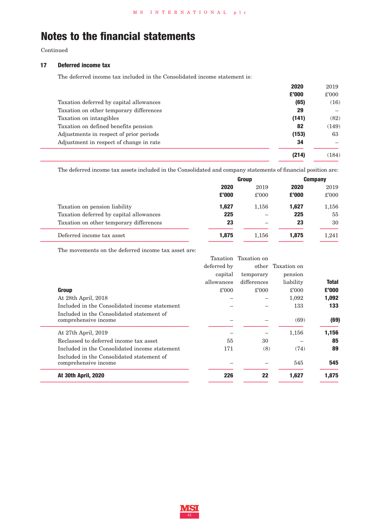Continued

### **17 Deferred income tax**

The deferred income tax included in the Consolidated income statement is:

|                                         | 2020  | 2019           |
|-----------------------------------------|-------|----------------|
|                                         | £'000 | $\pounds$ '000 |
| Taxation deferred by capital allowances | (65)  | (16)           |
| Taxation on other temporary differences | 29    |                |
| Taxation on intangibles                 | (141) | (82)           |
| Taxation on defined benefits pension    | 82    | (149)          |
| Adjustments in respect of prior periods | (153) | 63             |
| Adjustment in respect of change in rate | 34    |                |
|                                         | (214) | (184)          |
|                                         |       |                |

The deferred income tax assets included in the Consolidated and company statements of financial position are:

|                                         | Group |       | <b>Company</b> |           |
|-----------------------------------------|-------|-------|----------------|-----------|
|                                         | 2020  | 2019  | 2020           | 2019      |
|                                         | £'000 | £'000 | £'000          | £'000     |
| Taxation on pension liability           | 1,627 | 1,156 | 1,627          | $1.156\,$ |
| Taxation deferred by capital allowances | 225   |       | 225            | 55        |
| Taxation on other temporary differences | 23    |       | 23             | 30        |
| Deferred income tax asset               | 1.875 | 1,156 | 1.875          | 1,241     |

The movements on the deferred income tax asset are:

| <b>At 30th April, 2020</b>                                        | 226         | 22                   | 1,627             | 1,875        |
|-------------------------------------------------------------------|-------------|----------------------|-------------------|--------------|
|                                                                   |             |                      |                   |              |
| Included in the Consolidated statement of<br>comprehensive income |             |                      | 545               | 545          |
| Included in the Consolidated income statement                     | 171         | (8)                  | (74)              | 89           |
| Reclassed to deferred income tax asset                            | 55          | 30                   |                   | 85           |
| At 27th April, 2019                                               |             |                      | 1,156             | 1,156        |
| Included in the Consolidated statement of<br>comprehensive income |             |                      | (69)              | (69)         |
| Included in the Consolidated income statement                     |             |                      | 133               | 133          |
| At 28th April, 2018                                               |             |                      | 1,092             | 1,092        |
| Group                                                             | £'000       | £'000                | £'000             | £'000        |
|                                                                   | allowances  | differences          | liability         | <b>Total</b> |
|                                                                   | capital     | temporary            | pension           |              |
|                                                                   | deferred by |                      | other Taxation on |              |
|                                                                   |             | Taxation Taxation on |                   |              |

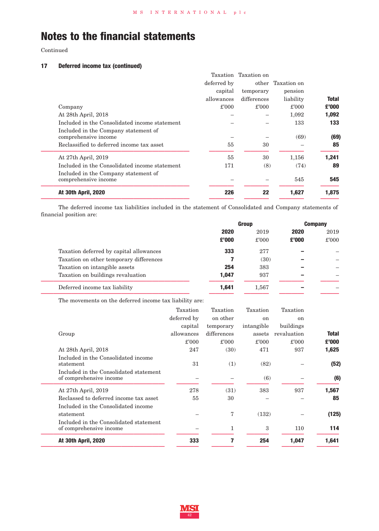Continued

### **17 Deferred income tax (continued)**

| <b>At 30th April, 2020</b>                                   | 226         | 22                   | 1,627             | 1,875 |
|--------------------------------------------------------------|-------------|----------------------|-------------------|-------|
| Included in the Company statement of<br>comprehensive income |             |                      | 545               | 545   |
| Included in the Consolidated income statement                | 171         | (8)                  | (74)              | 89    |
| At 27th April, 2019                                          | 55          | 30                   | 1,156             | 1,241 |
| Reclassified to deferred income tax asset                    | 55          | 30                   |                   | 85    |
| Included in the Company statement of<br>comprehensive income |             |                      | (69)              | (69)  |
| Included in the Consolidated income statement                |             |                      | 133               | 133   |
| At 28th April, 2018                                          |             |                      | 1,092             | 1,092 |
| Company                                                      | £'000       | £'000                | £'000             | £'000 |
|                                                              | allowances  | differences          | liability         | Total |
|                                                              | capital     | temporary            | pension           |       |
|                                                              | deferred by |                      | other Taxation on |       |
|                                                              |             | Taxation Taxation on |                   |       |

The deferred income tax liabilities included in the statement of Consolidated and Company statements of financial position are:

|                                         | Group |       | <b>Company</b> |                |
|-----------------------------------------|-------|-------|----------------|----------------|
|                                         | 2020  | 2019  | 2020           | 2019           |
|                                         | £'000 | £'000 | £'000          | $\pounds$ '000 |
| Taxation deferred by capital allowances | 333   | 277   |                |                |
| Taxation on other temporary differences |       | (30)  |                |                |
| Taxation on intangible assets           | 254   | 383   |                |                |
| Taxation on buildings revaluation       | 1.047 | 937   |                |                |
| Deferred income tax liability           | 1.641 | 1,567 |                |                |

The movements on the deferred income tax liability are:

| <b>At 30th April, 2020</b>                                        | 333            |                | 254            | 1,047          | 1,641        |
|-------------------------------------------------------------------|----------------|----------------|----------------|----------------|--------------|
| of comprehensive income                                           |                | 1              | 3              | 110            | 114          |
| Included in the Consolidated statement                            |                |                |                |                |              |
| Included in the Consolidated income<br>statement                  |                | 7              | (132)          |                | (125)        |
| Reclassed to deferred income tax asset                            | 55             | 30             |                |                | 85           |
| At 27th April, 2019                                               | 278            | (31)           | 383            | 937            | 1,567        |
| Included in the Consolidated statement<br>of comprehensive income |                |                | (6)            |                | (6)          |
| Included in the Consolidated income<br>statement                  | 31             | (1)            | (82)           |                | (52)         |
| At 28th April, 2018                                               | 247            | (30)           | 471            | 937            | 1,625        |
|                                                                   | $\pounds$ '000 | $\pounds$ '000 | $\pounds$ '000 | $\pounds$ '000 | £'000        |
| Group                                                             | allowances     | differences    | assets         | revaluation    | <b>Total</b> |
|                                                                   | capital        | temporary      | intangible     | buildings      |              |
|                                                                   | deferred by    | on other       | on             | <sub>on</sub>  |              |
|                                                                   | Taxation       | Taxation       | Taxation       | Taxation       |              |

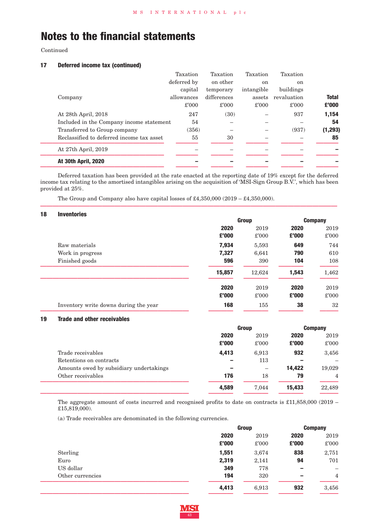Continued

### **17 Deferred income tax (continued)**

| <b>At 30th April, 2020</b>                |             |                |               |             |              |
|-------------------------------------------|-------------|----------------|---------------|-------------|--------------|
| At 27th April, 2019                       |             |                |               |             |              |
| Reclassified to deferred income tax asset | 55          | 30             |               |             | 85           |
| Transferred to Group company              | (356)       |                |               | (937)       | (1, 293)     |
| Included in the Company income statement  | 54          |                |               |             | 54           |
| At 28th April, 2018                       | 247         | (30)           |               | 937         | 1,154        |
|                                           | £'000       | $\pounds$ '000 | £'000         | £'000       | £'000        |
| Company                                   | allowances  | differences    | assets        | revaluation | <b>Total</b> |
|                                           | capital     | temporary      | intangible    | buildings   |              |
|                                           | deferred by | on other       | <sub>on</sub> | on          |              |
|                                           | Taxation    | Taxation       | Taxation      | Taxation    |              |

Deferred taxation has been provided at the rate enacted at the reporting date of 19% except for the deferred income tax relating to the amortised intangibles arising on the acquisition of 'MSI-Sign Group B.V.', which has been provided at 25%.

The Group and Company also have capital losses of  $\text{\pounds}4.350,000$  (2019 –  $\text{\pounds}4.350,000$ ). **222222222222222222222222222222222222222222222222**

### **18 Inventories**

|                                       | Group  |                | <b>Company</b> |       |
|---------------------------------------|--------|----------------|----------------|-------|
|                                       | 2020   | 2019           | 2020           | 2019  |
|                                       | £'000  | £'000          | £'000          | £'000 |
| Raw materials                         | 7,934  | 5,593          | 649            | 744   |
| Work in progress                      | 7,327  | 6,641          | 790            | 610   |
| Finished goods                        | 596    | 390            | 104            | 108   |
|                                       | 15,857 | 12,624         | 1,543          | 1,462 |
|                                       | 2020   | 2019           | 2020           | 2019  |
|                                       | £'000  | $\pounds$ '000 | £'000          | £'000 |
| Inventory write downs during the year | 168    | 155            | 38             | 32    |

### **19 Trade and other receivables**

|                                         | Group |                          | <b>Company</b> |                |
|-----------------------------------------|-------|--------------------------|----------------|----------------|
|                                         | 2020  | 2019                     | 2020           | 2019           |
|                                         | £'000 | £'000                    | £'000          | $\pounds 000$  |
| Trade receivables                       | 4,413 | 6,913                    | 932            | 3,456          |
| Retentions on contracts                 |       | 113                      |                |                |
| Amounts owed by subsidiary undertakings |       | $\overline{\phantom{m}}$ | 14,422         | 19,029         |
| Other receivables                       | 176   | 18                       | 79             | $\overline{4}$ |
|                                         | 4,589 | 7.044                    | 15,433         | 22,489         |

The aggregate amount of costs incurred and recognised profits to date on contracts is £11,858,000 (2019 – £15,819,000).

(a) Trade receivables are denominated in the following currencies.

|                  |       | Group         |                          | <b>Company</b>           |  |
|------------------|-------|---------------|--------------------------|--------------------------|--|
|                  | 2020  | 2019          | 2020                     | 2019                     |  |
|                  | £'000 | $\pounds 000$ | £'000                    | £'000                    |  |
| Sterling         | 1,551 | 3,674         | 838                      | 2,751                    |  |
| Euro             | 2,319 | 2,141         | 94                       | 701                      |  |
| US dollar        | 349   | 778           | $\overline{\phantom{a}}$ | $\overline{\phantom{0}}$ |  |
| Other currencies | 194   | 320           | $\overline{\phantom{a}}$ | $\overline{4}$           |  |
|                  | 4,413 | 6,913         | 932                      | 3,456                    |  |
|                  |       |               |                          |                          |  |

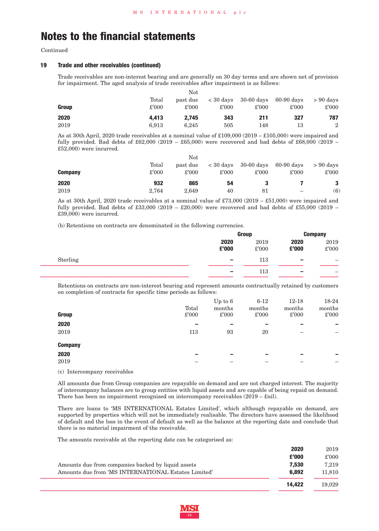Continued

### **19 Trade and other receivables (continued)**

Trade receivables are non-interest bearing and are generally on 30 day terms and are shown net of provision for impairment. The aged analysis of trade receivables after impairment is as follows:

|       |               | <b>Not</b>     |               |                |                                                         |                |
|-------|---------------|----------------|---------------|----------------|---------------------------------------------------------|----------------|
|       | Total         | past due       |               |                | $\langle 30 \text{ days} \rangle$ 30-60 days 60-90 days | $>90$ days     |
| Group | $\pounds 000$ | $\pounds$ '000 | $\pounds 000$ | $\pounds$ '000 | $\pounds$ '000                                          | $\pounds 000$  |
| 2020  | 4.413         | 2.745          | 343           | 211            | 327                                                     | 787            |
| 2019  | 6.913         | 6.245          | 505           | 148            | 13                                                      | $\overline{2}$ |

As at 30th April, 2020 trade receivables at a nominal value of £109,000 (2019 – £105,000) were impaired and fully provided. Bad debts of £62,000 (2019 – £65,000) were recovered and bad debts of £68,000 (2019 – £52,000) were incurred.

|                |       | Not            |                |               |               |                |
|----------------|-------|----------------|----------------|---------------|---------------|----------------|
|                | Total | past due       | $<$ 30 days    | 30-60 days    | 60-90 days    | $> 90$ days    |
| <b>Company</b> | £'000 | $\pounds$ '000 | $\pounds$ '000 | $\pounds 000$ | $\pounds 000$ | $\pounds$ '000 |
| 2020           | 932   | 865            | 54             |               |               | $\mathbf{3}$   |
| 2019           | 2,764 | 2.649          | 40             | 81            |               | (6)            |

As at 30th April, 2020 trade receivables at a nominal value of £73,000 (2019 – £51,000) were impaired and fully provided. Bad debts of £33,000 (2019 – £20,000) were recovered and bad debts of £55,000 (2019 – £39,000) were incurred.

(b) Retentions on contracts are denominated in the following currencies.

|          |                          | <b>Group</b> |                          | <b>Company</b> |
|----------|--------------------------|--------------|--------------------------|----------------|
|          | 2020                     | 2019         | 2020                     | 2019           |
|          | £'000                    | £'000        | £'000                    | $\pounds 000$  |
| Sterling | $\overline{\phantom{0}}$ | 113          | $\overline{\phantom{a}}$ | —              |
|          | $\overline{\phantom{a}}$ | 113          | $\,$                     | -              |

Retentions on contracts are non-interest bearing and represent amounts contractually retained by customers on completion of contracts for specific time periods as follows:

| Group          | Total<br>$\pounds 000$ | Up to $6$<br>months<br>$\pounds 000$ | $6 - 12$<br>months<br>$\pounds 000$ | 12-18<br>months<br>$\pounds$ '000 | 18-24<br>months<br>£'000 |
|----------------|------------------------|--------------------------------------|-------------------------------------|-----------------------------------|--------------------------|
| 2020           | -                      | -                                    | -                                   |                                   |                          |
| 2019           | 113                    | 93                                   | 20                                  |                                   |                          |
| <b>Company</b> |                        |                                      |                                     |                                   |                          |
| 2020           |                        | -                                    | -                                   |                                   | -                        |
| 2019           |                        |                                      |                                     |                                   |                          |
|                |                        |                                      |                                     |                                   |                          |

(c) Intercompany receivables

All amounts due from Group companies are repayable on demand and are not charged interest. The majority of intercompany balances are to group entities with liquid assets and are capable of being repaid on demand. There has been no impairment recognised on intercompany receivables  $(2019 - \text{fnil})$ .

There are loans to 'MS INTERNATIONAL Estates Limited', which although repayable on demand, are supported by properties which will not be immediately realisable. The directors have assessed the likelihood of default and the loss in the event of default as well as the balance at the reporting date and conclude that there is no material impairment of the receivable.

The amounts receivable at the reporting date can be categorised as:

|                                                     | 2020   | 2019   |
|-----------------------------------------------------|--------|--------|
|                                                     | £'000  | £'000  |
| Amounts due from companies backed by liquid assets  | 7.530  | 7,219  |
| Amounts due from 'MS INTERNATIONAL Estates Limited' | 6.892  | 11.810 |
|                                                     | 14.422 | 19.029 |

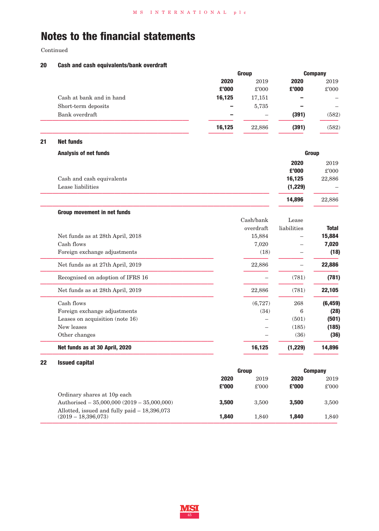Continued

### **20 Cash and cash equivalents/bank overdraft**

|                          | <b>Group</b> |        | <b>Company</b> |       |
|--------------------------|--------------|--------|----------------|-------|
|                          | 2020         | 2019   | 2020           | 2019  |
|                          | £'000        | £'000  | £'000          | £'000 |
| Cash at bank and in hand | 16,125       | 17,151 |                |       |
| Short-term deposits      |              | 5,735  |                |       |
| Bank overdraft           | -            | —      | (391)          | (582) |
|                          | 16,125       | 22,886 | (391)          | (582) |

### **21 Net funds**

|               | <b>Analysis of net funds</b>       |           | <b>Group</b> |              |  |
|---------------|------------------------------------|-----------|--------------|--------------|--|
|               |                                    |           | 2020         | 2019         |  |
|               |                                    |           | £'000        | £'000        |  |
|               | Cash and cash equivalents          |           | 16,125       | 22,886       |  |
|               | Lease liabilities                  |           | (1, 229)     |              |  |
|               |                                    |           | 14,896       | 22,886       |  |
|               | <b>Group movement in net funds</b> |           |              |              |  |
|               |                                    | Cash/bank | Lease        |              |  |
|               |                                    | overdraft | liabilities  | <b>Total</b> |  |
|               | Net funds as at 28th April, 2018   | 15,884    |              | 15,884       |  |
| Cash flows    |                                    | 7,020     |              | 7,020        |  |
|               | Foreign exchange adjustments       | (18)      |              | (18)         |  |
|               | Net funds as at 27th April, 2019   | 22,886    |              | 22,886       |  |
|               | Recognised on adoption of IFRS 16  |           | (781)        | (781)        |  |
|               | Net funds as at 28th April, 2019   | 22,886    | (781)        | 22,105       |  |
| Cash flows    |                                    | (6,727)   | 268          | (6, 459)     |  |
|               | Foreign exchange adjustments       | (34)      | 6            | (28)         |  |
|               | Leases on acquisition (note 16)    |           | (501)        | (501)        |  |
| New leases    |                                    |           | (185)        | (185)        |  |
| Other changes |                                    |           | (36)         | (36)         |  |
|               | Net funds as at 30 April, 2020     | 16,125    | (1, 229)     | 14,896       |  |

### **22 Issued capital**

|                                               |       | Group |       | <b>Company</b> |
|-----------------------------------------------|-------|-------|-------|----------------|
|                                               | 2020  | 2019  | 2020  | 2019           |
|                                               | £'000 | £'000 | £'000 | $\pounds$ '000 |
| Ordinary shares at 10p each                   |       |       |       |                |
| Authorised - 35,000,000 (2019 - 35,000,000)   | 3.500 | 3.500 | 3.500 | 3.500          |
| Allotted, issued and fully paid $-18,396,073$ |       |       |       |                |
| $(2019 - 18,396,073)$                         | 1.840 | 1.840 | 1.840 | 1.840          |

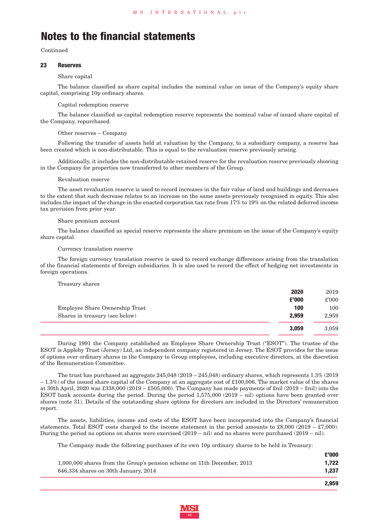Continued

### **23 Reserves**

### Share capital

The balance classified as share capital includes the nominal value on issue of the Company's equity share capital, comprising 10p ordinary shares.

Capital redemption reserve

The balance classified as capital redemption reserve represents the nominal value of issued share capital of the Company, repurchased.

### Other reserves – Company

Following the transfer of assets held at valuation by the Company, to a subsidiary company, a reserve has been created which is non-distributable. This is equal to the revaluation reserve previously arising.

Additionally, it includes the non-distributable retained reserve for the revaluation reserve previously showing in the Company for properties now transferred to other members of the Group.

### Revaluation reserve

The asset revaluation reserve is used to record increases in the fair value of land and buildings and decreases to the extent that such decrease relates to an increase on the same assets previously recognised in equity. This also includes the impact of the change in the enacted corporation tax rate from 17% to 19% on the related deferred income tax provision from prior year.

### Share premium account

The balance classified as special reserve represents the share premium on the issue of the Company's equity share capital.

### Currency translation reserve

The foreign currency translation reserve is used to record exchange differences arising from the translation of the financial statements of foreign subsidiaries. It is also used to record the effect of hedging net investments in foreign operations.

Treasury shares

|                                | 2020  | 2019  |
|--------------------------------|-------|-------|
|                                | £'000 | £'000 |
| Employee Share Ownership Trust | 100   | 100   |
| Shares in treasury (see below) | 2,959 | 2,959 |
|                                | 3,059 | 3,059 |

During 1991 the Company established an Employee Share Ownership Trust ("ESOT"). The trustee of the ESOT is Appleby Trust (Jersey) Ltd, an independent company registered in Jersey. The ESOT provides for the issue of options over ordinary shares in the Company to Group employees, including executive directors, at the discretion of the Remuneration Committee.

The trust has purchased an aggregate 245,048 (2019 – 245,048) ordinary shares, which represents 1.3% (2019  $-1.3\%$ ) of the issued share capital of the Company at an aggregate cost of £100,006. The market value of the shares at 30th April, 2020 was  $\text{\textsterling}38,000$  (2019 –  $\text{\textsterling}50,000$ ). The Company has made payments of £nil (2019 – £nil) into the ESOT bank accounts during the period. During the period 1,575,000 (2019 – nil) options have been granted over shares (note 31). Details of the outstanding share options for directors are included in the Directors' remuneration report.

The assets, liabilities, income and costs of the ESOT have been incorporated into the Company's financial statements. Total ESOT costs charged to the income statement in the period amounts to £8,000 (2019 – £7,000). During the period no options on shares were exercised (2019 – nil) and no shares were purchased (2019 – nil).

The Company made the following purchases of its own 10p ordinary shares to be held in Treasury:

| 1,000,000 shares from the Group's pension scheme on 11th December, 2013 | £'000<br>1.722 |
|-------------------------------------------------------------------------|----------------|
| $646,334$ shares on 30th January, 2014                                  | 1.237          |
|                                                                         | 2.959          |

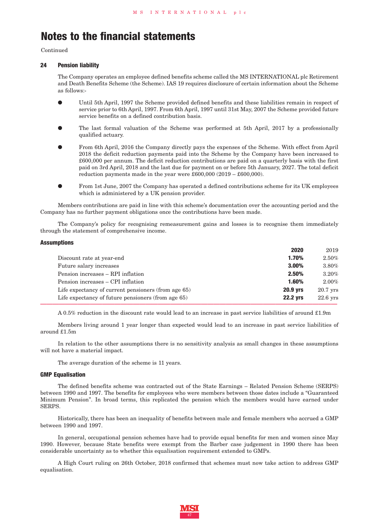Continued

### **24 Pension liability**

The Company operates an employee defined benefits scheme called the MS INTERNATIONAL plc Retirement and Death Benefits Scheme (the Scheme). IAS 19 requires disclosure of certain information about the Scheme as follows:-

- Until 5th April, 1997 the Scheme provided defined benefits and these liabilities remain in respect of service prior to 6th April, 1997. From 6th April, 1997 until 31st May, 2007 the Scheme provided future service benefits on a defined contribution basis.
- The last formal valuation of the Scheme was performed at 5th April, 2017 by a professionally qualified actuary.
- **●** From 6th April, 2016 the Company directly pays the expenses of the Scheme. With effect from April 2018 the deficit reduction payments paid into the Scheme by the Company have been increased to £600,000 per annum. The deficit reduction contributions are paid on a quarterly basis with the first paid on 3rd April, 2018 and the last due for payment on or before 5th January, 2027. The total deficit reduction payments made in the year were  $£600,000 (2019 - £600,000)$ .
- From 1st June, 2007 the Company has operated a defined contributions scheme for its UK employees which is administered by a UK pension provider.

Members contributions are paid in line with this scheme's documentation over the accounting period and the Company has no further payment obligations once the contributions have been made.

The Company's policy for recognising remeasurement gains and losses is to recognise them immediately through the statement of comprehensive income.

### **Assumptions**

|                                                     | 2020            | 2019       |
|-----------------------------------------------------|-----------------|------------|
| Discount rate at year-end                           | 1.70%           | 2.50%      |
| Future salary increases                             | 3.00%           | 3.80%      |
| Pension increases – RPI inflation                   | 2.50%           | 3.20%      |
| Pension increases – CPI inflation                   | 1.60%           | 2.00%      |
| Life expectancy of current pensioners (from age 65) | <b>20.9 yrs</b> | $20.7$ yrs |
| Life expectancy of future pensioners (from age 65)  | <b>22.2 yrs</b> | $22.6$ yrs |

A 0.5% reduction in the discount rate would lead to an increase in past service liabilities of around £1.9m

Members living around 1 year longer than expected would lead to an increase in past service liabilities of around £1.5m

In relation to the other assumptions there is no sensitivity analysis as small changes in these assumptions will not have a material impact.

The average duration of the scheme is 11 years.

### **GMP Equalisation**

The defined benefits scheme was contracted out of the State Earnings – Related Pension Scheme (SERPS) between 1990 and 1997. The benefits for employees who were members between those dates include a "Guaranteed Minimum Pension". In broad terms, this replicated the pension which the members would have earned under SERPS.

Historically, there has been an inequality of benefits between male and female members who accrued a GMP between 1990 and 1997.

In general, occupational pension schemes have had to provide equal benefits for men and women since May 1990. However, because State benefits were exempt from the Barber case judgement in 1990 there has been considerable uncertainty as to whether this equalisation requirement extended to GMPs.

A High Court ruling on 26th October, 2018 confirmed that schemes must now take action to address GMP equalisation.

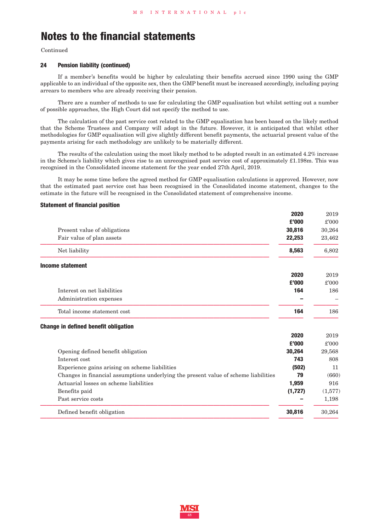Continued

### **24 Pension liability (continued)**

If a member's benefits would be higher by calculating their benefits accrued since 1990 using the GMP applicable to an individual of the opposite sex, then the GMP benefit must be increased accordingly, including paying arrears to members who are already receiving their pension.

There are a number of methods to use for calculating the GMP equalisation but whilst setting out a number of possible approaches, the High Court did not specify the method to use.

The calculation of the past service cost related to the GMP equalisation has been based on the likely method that the Scheme Trustees and Company will adopt in the future. However, it is anticipated that whilst other methodologies for GMP equalisation will give slightly different benefit payments, the actuarial present value of the payments arising for each methodology are unlikely to be materially different.

The results of the calculation using the most likely method to be adopted result in an estimated 4.2% increase in the Scheme's liability which gives rise to an unrecognised past service cost of approximately £1.198m. This was recognised in the Consolidated income statement for the year ended 27th April, 2019.

It may be some time before the agreed method for GMP equalisation calculations is approved. However, now that the estimated past service cost has been recognised in the Consolidated income statement, changes to the estimate in the future will be recognised in the Consolidated statement of comprehensive income.

### **Statement of financial position**

|                                                                                     | 2020    | 2019    |
|-------------------------------------------------------------------------------------|---------|---------|
|                                                                                     | £'000   | £'000   |
| Present value of obligations                                                        | 30,816  | 30,264  |
| Fair value of plan assets                                                           | 22,253  | 23,462  |
| Net liability                                                                       | 8,563   | 6,802   |
| <b>Income statement</b>                                                             |         |         |
|                                                                                     | 2020    | 2019    |
|                                                                                     | £'000   | £'000   |
| Interest on net liabilities                                                         | 164     | 186     |
| Administration expenses                                                             |         |         |
| Total income statement cost                                                         | 164     | 186     |
| <b>Change in defined benefit obligation</b>                                         |         |         |
|                                                                                     | 2020    | 2019    |
|                                                                                     | £'000   | £'000   |
| Opening defined benefit obligation                                                  | 30,264  | 29,568  |
| Interest cost                                                                       | 743     | 808     |
| Experience gains arising on scheme liabilities                                      | (502)   | 11      |
| Changes in financial assumptions underlying the present value of scheme liabilities | 79      | (660)   |
| Actuarial losses on scheme liabilities                                              | 1,959   | 916     |
| Benefits paid                                                                       | (1,727) | (1,577) |
| Past service costs                                                                  |         | 1,198   |
| Defined benefit obligation                                                          | 30,816  | 30,264  |

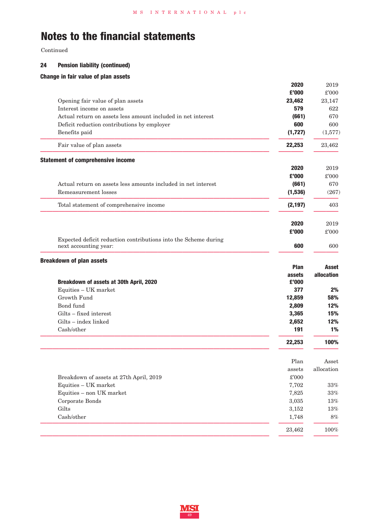Continued

### **24 Pension liability (continued)**

### **Change in fair value of plan assets**

|                                                                 | 2020          | 2019          |
|-----------------------------------------------------------------|---------------|---------------|
|                                                                 | £'000         | £'000         |
| Opening fair value of plan assets                               | 23,462        | 23,147        |
| Interest income on assets                                       | 579           | 622           |
| Actual return on assets less amount included in net interest    | (661)         | 670           |
| Deficit reduction contributions by employer                     | 600           | 600           |
| Benefits paid                                                   | (1, 727)      | (1,577)       |
| Fair value of plan assets                                       | 22,253        | 23,462        |
| <b>Statement of comprehensive income</b>                        |               |               |
|                                                                 | 2020          | 2019          |
|                                                                 | £'000         | $\pounds 000$ |
| Actual return on assets less amounts included in net interest   | (661)         | 670           |
| Remeasurement losses                                            | (1,536)       | (267)         |
| Total statement of comprehensive income                         | (2, 197)      | 403           |
|                                                                 | 2020          | 2019          |
|                                                                 | £'000         | £'000         |
| Expected deficit reduction contributions into the Scheme during |               |               |
| next accounting year:                                           | 600           | 600           |
| <b>Breakdown of plan assets</b>                                 |               |               |
|                                                                 | <b>Plan</b>   | <b>Asset</b>  |
|                                                                 | assets        | allocation    |
| Breakdown of assets at 30th April, 2020                         | £'000         |               |
| Equities - UK market                                            | 377           | 2%            |
| Growth Fund                                                     | 12,859        | 58%           |
| Bond fund                                                       | 2,809         | 12%           |
| Gilts - fixed interest                                          | 3,365         | 15%           |
| Gilts – index linked                                            | 2,652         | 12%           |
| Cash/other                                                      | 191           | 1%            |
|                                                                 | 22,253        | 100%          |
|                                                                 | Plan          | Asset         |
|                                                                 | assets        | allocation    |
| Breakdown of assets at 27th April, 2019                         | $\pounds 000$ |               |
|                                                                 | 7,702         | $33\%$        |
| Equities - UK market<br>Equities - non UK market                | 7,825         | $33\%$        |
|                                                                 |               |               |
| Corporate Bonds                                                 | 3,035         | $13\%$        |
| Gilts                                                           | 3,152         | $13\%$        |
| Cash/other                                                      | 1,748         | 8%            |
|                                                                 | 23,462        | 100%          |

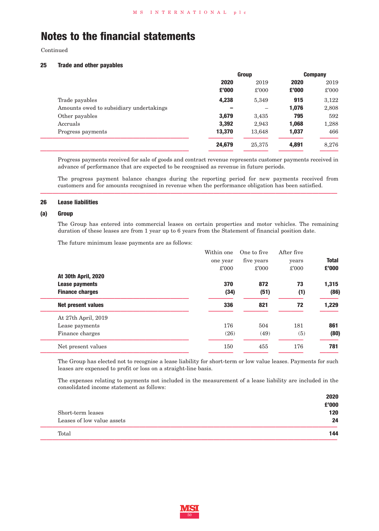Continued

### **25 Trade and other payables**

|        |        |              | <b>Company</b> |
|--------|--------|--------------|----------------|
| 2020   | 2019   | 2020         | 2019           |
| £'000  | £'000  | £'000        | $\pounds 000$  |
| 4,238  | 5,349  | 915          | 3,122          |
|        |        | 1,076        | 2,808          |
| 3,679  | 3,435  | 795          | 592            |
| 3,392  | 2,943  | 1,068        | 1,288          |
| 13,370 | 13,648 | 1,037        | 466            |
| 24,679 | 25,375 | 4,891        | 8,276          |
|        |        | <b>Group</b> |                |

Progress payments received for sale of goods and contract revenue represents customer payments received in advance of performance that are expected to be recognised as revenue in future periods.

The progress payment balance changes during the reporting period for new payments received from customers and for amounts recognised in revenue when the performance obligation has been satisfied. **222222222222222222222222222222222222222222222222**

### **26 Lease liabilities**

### **(a) Group**

The Group has entered into commercial leases on certain properties and motor vehicles. The remaining duration of these leases are from 1 year up to 6 years from the Statement of financial position date.

The future minimum lease payments are as follows:

|                            | Within one | One to five   | After five |              |
|----------------------------|------------|---------------|------------|--------------|
|                            | one year   | five years    | years      | <b>Total</b> |
|                            | £'000      | $\pounds 000$ | £'000      | £'000        |
| <b>At 30th April, 2020</b> |            |               |            |              |
| <b>Lease payments</b>      | 370        | 872           | 73         | 1,315        |
| <b>Finance charges</b>     | (34)       | (51)          | (1)        | (86)         |
| <b>Net present values</b>  | 336        | 821           | 72         | 1,229        |
| At 27th April, 2019        |            |               |            |              |
| Lease payments             | 176        | 504           | 181        | 861          |
| Finance charges            | (26)       | (49)          | (5)        | (80)         |
| Net present values         | 150        | 455           | 176        | 781          |
|                            |            |               |            |              |

The Group has elected not to recognise a lease liability for short-term or low value leases. Payments for such leases are expensed to profit or loss on a straight-line basis.

The expenses relating to payments not included in the measurement of a lease liability are included in the consolidated income statement as follows:

|                                                 | 2020<br>£'000 |
|-------------------------------------------------|---------------|
| Short-term leases<br>Leases of low value assets | 120<br>24     |
| Total                                           | 144           |

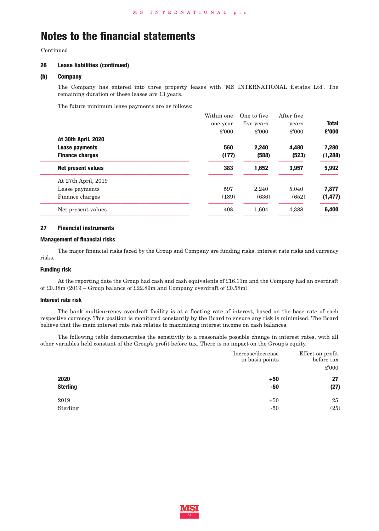Continued

### **26 Lease liabilities (continued)**

### **(b) Company**

The Company has entered into three property leases with 'MS INTERNATIONAL Estates Ltd'. The remaining duration of these leases are 13 years.

The future minimum lease payments are as follows:

|                            | Within one | One to five | After five     |              |
|----------------------------|------------|-------------|----------------|--------------|
|                            | one year   | five years  | years          | <b>Total</b> |
|                            | £'000      | £'000       | $\pounds$ '000 | £'000        |
| <b>At 30th April, 2020</b> |            |             |                |              |
| Lease payments             | 560        | 2,240       | 4,480          | 7,280        |
| <b>Finance charges</b>     | (177)      | (588)       | (523)          | (1, 288)     |
| <b>Net present values</b>  | 383        | 1,652       | 3,957          | 5,992        |
| At 27th April, 2019        |            |             |                |              |
| Lease payments             | 597        | 2,240       | 5,040          | 7,877        |
| Finance charges            | (189)      | (636)       | (652)          | (1, 477)     |
| Net present values         | 408        | 1,604       | 4,388          | 6,400        |
|                            |            |             |                |              |

### **27 Financial instruments**

### **Management of financial risks**

The major financial risks faced by the Group and Company are funding risks, interest rate risks and currency risks.

### **Funding risk**

At the reporting date the Group had cash and cash equivalents of £16.13m and the Company had an overdraft of £0.38m (2019 – Group balance of £22.89m and Company overdraft of £0.58m).

### **Interest rate risk**

The bank multicurrency overdraft facility is at a floating rate of interest, based on the base rate of each respective currency. This position is monitored constantly by the Board to ensure any risk is minimised. The Board believe that the main interest rate risk relates to maximising interest income on cash balances.

The following table demonstrates the sensitivity to a reasonable possible change in interest rates, with all other variables held constant of the Group's profit before tax. There is no impact on the Group's equity.

|                 | Increase/decrease<br>in basis points | Effect on profit<br>before tax |
|-----------------|--------------------------------------|--------------------------------|
|                 |                                      | $\pounds 000$                  |
| 2020            | $+50$                                | 27                             |
| <b>Sterling</b> | $-50$                                | (27)                           |
| 2019            | $+50$                                | 25                             |
| Sterling        | $-50$                                | (25)                           |

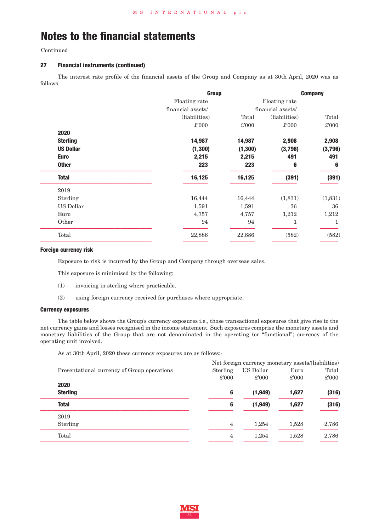Continued

### **27 Financial instruments (continued)**

The interest rate profile of the financial assets of the Group and Company as at 30th April, 2020 was as follows:

|                  | <b>Group</b>      |          | <b>Company</b>    |              |
|------------------|-------------------|----------|-------------------|--------------|
|                  | Floating rate     |          | Floating rate     |              |
|                  | financial assets/ |          | financial assets/ |              |
|                  | (liabilities)     | Total    | (liabilities)     | Total        |
|                  | $\pounds 000$     | £'000    | £'000             | £'000        |
| 2020             |                   |          |                   |              |
| <b>Sterling</b>  | 14,987            | 14,987   | 2,908             | 2,908        |
| <b>US Dollar</b> | (1, 300)          | (1, 300) | (3,796)           | (3,796)      |
| <b>Euro</b>      | 2,215             | 2,215    | 491               | 491          |
| <b>Other</b>     | 223               | 223      | 6                 | 6            |
| <b>Total</b>     | 16,125            | 16,125   | (391)             | (391)        |
| 2019             |                   |          |                   |              |
| <b>Sterling</b>  | 16,444            | 16,444   | (1,831)           | (1,831)      |
| US Dollar        | 1,591             | 1,591    | 36                | 36           |
| Euro             | 4,757             | 4,757    | 1,212             | 1,212        |
| Other            | 94                | 94       | 1                 | $\mathbf{1}$ |
| Total            | 22,886            | 22,886   | (582)             | (582)        |

### **Foreign currency risk**

Exposure to risk is incurred by the Group and Company through overseas sales.

This exposure is minimised by the following:

- (1) invoicing in sterling where practicable.
- (2) using foreign currency received for purchases where appropriate.

### **Currency exposures**

The table below shows the Group's currency exposures i.e., those transactional exposures that give rise to the net currency gains and losses recognised in the income statement. Such exposures comprise the monetary assets and monetary liabilities of the Group that are not denominated in the operating (or "functional") currency of the operating unit involved.

As at 30th April, 2020 these currency exposures are as follows:-

|                                             | Net foreign currency monetary assets/(liabilities) |                |       |               |  |  |  |
|---------------------------------------------|----------------------------------------------------|----------------|-------|---------------|--|--|--|
| Presentational currency of Group operations | Sterling                                           | US Dollar      | Euro  | Total         |  |  |  |
|                                             | $\pounds$ '000                                     | $\pounds$ '000 | £'000 | $\pounds 000$ |  |  |  |
| 2020<br><b>Sterling</b>                     | 6                                                  | (1, 949)       | 1,627 | (316)         |  |  |  |
|                                             |                                                    |                |       |               |  |  |  |
| <b>Total</b>                                | 6                                                  | (1, 949)       | 1,627 | (316)         |  |  |  |
| 2019                                        |                                                    |                |       |               |  |  |  |
| Sterling                                    | 4                                                  | 1,254          | 1,528 | 2,786         |  |  |  |
| Total                                       | 4                                                  | 1,254          | 1,528 | 2,786         |  |  |  |
|                                             |                                                    |                |       |               |  |  |  |

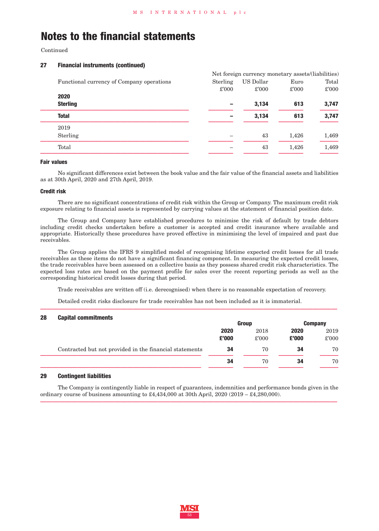Continued

### **27 Financial instruments (continued)**

|                                           | Net foreign currency monetary assets/(liabilities) |           |       |       |  |  |
|-------------------------------------------|----------------------------------------------------|-----------|-------|-------|--|--|
| Functional currency of Company operations | Sterling                                           | US Dollar | Euro  | Total |  |  |
|                                           | $\pounds$ '000                                     | £'000     | £'000 | £'000 |  |  |
| 2020                                      |                                                    |           |       |       |  |  |
| <b>Sterling</b>                           |                                                    | 3,134     | 613   | 3,747 |  |  |
| <b>Total</b>                              |                                                    | 3,134     | 613   | 3,747 |  |  |
| 2019                                      |                                                    |           |       |       |  |  |
| Sterling                                  |                                                    | 43        | 1,426 | 1,469 |  |  |
| Total                                     |                                                    | 43        | 1,426 | 1,469 |  |  |

### **Fair values**

No significant differences exist between the book value and the fair value of the financial assets and liabilities as at 30th April, 2020 and 27th April, 2019.

### **Credit risk**

There are no significant concentrations of credit risk within the Group or Company. The maximum credit risk exposure relating to financial assets is represented by carrying values at the statement of financial position date.

The Group and Company have established procedures to minimise the risk of default by trade debtors including credit checks undertaken before a customer is accepted and credit insurance where available and appropriate. Historically these procedures have proved effective in minimising the level of impaired and past due receivables.

The Group applies the IFRS 9 simplified model of recognising lifetime expected credit losses for all trade receivables as these items do not have a significant financing component. In measuring the expected credit losses, the trade receivables have been assessed on a collective basis as they possess shared credit risk characteristics. The expected loss rates are based on the payment profile for sales over the recent reporting periods as well as the corresponding historical credit losses during that period.

Trade receivables are written off (i.e. derecognised) when there is no reasonable expectation of recovery.

Detailed credit risks disclosure for trade receivables has not been included as it is immaterial. **222222222222222222222222222222222222222222222222**

### **28 Capital commitments**

| -- | <u>sapita: ssi::::::::::/:::/</u>                       |       | <b>Group</b>   | <b>Company</b> |                |  |
|----|---------------------------------------------------------|-------|----------------|----------------|----------------|--|
|    |                                                         | 2020  | 2018           | 2020           | 2019           |  |
|    |                                                         | £'000 | $\pounds$ '000 | £'000          | $\pounds$ '000 |  |
|    | Contracted but not provided in the financial statements | 34    | 70             | 34             | 70             |  |
|    |                                                         | 34    | 70             | 34             | 70             |  |
|    |                                                         |       |                |                |                |  |

### **29 Contingent liabilities**

The Company is contingently liable in respect of guarantees, indemnities and performance bonds given in the ordinary course of business amounting to  $\pounds4,434,000$  at 30th April, 2020 (2019 –  $\pounds4,280,000$ ). **222222222222222222222222222222222222222222222222**

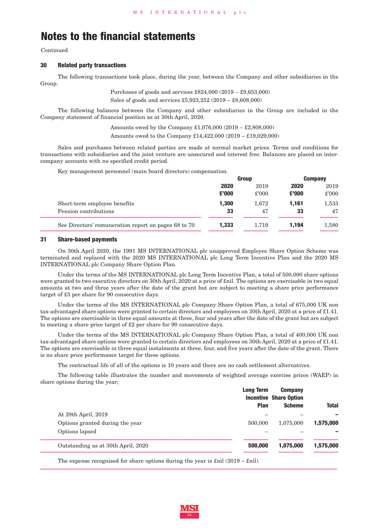Continued

### **30 Related party transactions**

The following transactions took place, during the year, between the Company and other subsidiaries in the Group.

> Purchases of goods and services £824,000 (2019 – £9,653,000) Sales of goods and services £5,923,252 (2019 – £8,608,000)

The following balances between the Company and other subsidiaries in the Group are included in the Company statement of financial position as at 30th April, 2020.

> Amounts owed by the Company £1,076,000 (2019 – £2,808,000) Amounts owed to the Company £14,422,000 (2019 – £19,029,000)

Sales and purchases between related parties are made at normal market prices. Terms and conditions for transactions with subsidiaries and the joint venture are unsecured and interest free. Balances are placed on intercompany accounts with no specified credit period.

Key management personnel (main board directors) compensation.

|                                                      | Group |                | <b>Company</b> |                |  |
|------------------------------------------------------|-------|----------------|----------------|----------------|--|
|                                                      | 2020  | 2019           | 2020           | 2019           |  |
|                                                      | £'000 | $\pounds$ '000 | £'000          | $\pounds$ '000 |  |
| Short-term employee benefits                         | 1,300 | 1.672          | 1,161          | 1,533          |  |
| Pension contributions                                | 33    | 47             | 33             | 47             |  |
| See Directors' remuneration report on pages 68 to 70 | 1.333 | 1.719          | 1.194          | 1,580          |  |

### **31 Share-based payments**

On 30th April 2020, the 1991 MS INTERNATIONAL plc unapproved Employee Share Option Scheme was terminated and replaced with the 2020 MS INTERNATIONAL plc Long Term Incentive Plan and the 2020 MS INTERNATIONAL plc Company Share Option Plan.

Under the terms of the MS INTERNATIONAL plc Long Term Incentive Plan, a total of 500,000 share options were granted to two executive directors on 30th April, 2020 at a price of £nil. The options are exercisable in two equal amounts at two and three years after the date of the grant but are subject to meeting a share price performance target of £3 per share for 90 consecutive days.

Under the terms of the MS INTERNATIONAL plc Company Share Option Plan, a total of 675,000 UK non tax-advantaged share options were granted to certain directors and employees on 30th April, 2020 at a price of £1.41. The options are exercisable in three equal amounts at three, four and years after the date of the grant but are subject to meeting a share price target of £2 per share for 90 consecutive days.

Under the terms of the MS INTERNATIONAL plc Company Share Option Plan, a total of 400,000 UK non tax-advantaged share options were granted to certain directors and employees on 30th April, 2020 at a price of £1.41. The options are exercisable in three equal instalments at three, four, and five years after the date of the grant. There is no share price performance target for these options.

The contractual life of all of the options is 10 years and there are no cash settlement alternatives.

The following table illustrates the number and movements of weighted average exercise prices (WAEP) in share options during the year;

|                                    | <b>Long Term</b><br><b>Plan</b> | <b>Company</b><br><b>Incentive Share Option</b><br><b>Scheme</b> | <b>Total</b> |
|------------------------------------|---------------------------------|------------------------------------------------------------------|--------------|
| At 28th April, 2019                |                                 |                                                                  | -            |
| Options granted during the year    | 500,000                         | 1,075,000                                                        | 1,575,000    |
| Options lapsed                     |                                 |                                                                  | -            |
| Outstanding as at 30th April, 2020 | 500,000                         | 1,075,000                                                        | 1,575,000    |
|                                    |                                 |                                                                  |              |

The expense recognised for share options during the year is £nil (2019 – £nil). **222222222222222222222222222222222222222222222222**

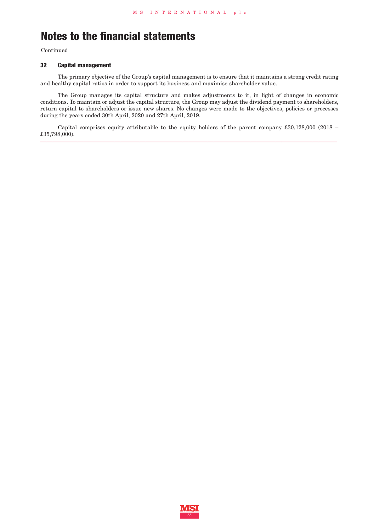Continued

### **32 Capital management**

The primary objective of the Group's capital management is to ensure that it maintains a strong credit rating and healthy capital ratios in order to support its business and maximise shareholder value.

The Group manages its capital structure and makes adjustments to it, in light of changes in economic conditions. To maintain or adjust the capital structure, the Group may adjust the dividend payment to shareholders, return capital to shareholders or issue new shares. No changes were made to the objectives, policies or processes during the years ended 30th April, 2020 and 27th April, 2019.

Capital comprises equity attributable to the equity holders of the parent company £30,128,000 (2018 – £35,798,000). **222222222222222222222222222222222222222222222222**

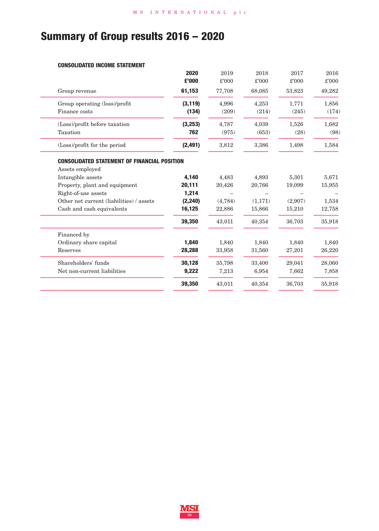# **Summary of Group results 2016 – 2020**

### **CONSOLIDATED INCOME STATEMENT**

|                                                     | 2020     | 2019    | 2018    | 2017    | 2016          |
|-----------------------------------------------------|----------|---------|---------|---------|---------------|
|                                                     | £'000    | £'000   | £'000   | £'000   | $\pounds 000$ |
| Group revenue                                       | 61,153   | 77,708  | 68,085  | 53,823  | 49,282        |
| Group operating (loss)/profit                       | (3, 119) | 4,996   | 4,253   | 1,771   | 1,856         |
| Finance costs                                       | (134)    | (209)   | (214)   | (245)   | (174)         |
| (Loss)/profit before taxation                       | (3, 253) | 4,787   | 4,039   | 1,526   | 1,682         |
| Taxation                                            | 762      | (975)   | (653)   | (28)    | (98)          |
| (Loss)/profit for the period                        | (2, 491) | 3,812   | 3,386   | 1,498   | 1,584         |
| <b>CONSOLIDATED STATEMENT OF FINANCIAL POSITION</b> |          |         |         |         |               |
| Assets employed                                     |          |         |         |         |               |
| Intangible assets                                   | 4,140    | 4,483   | 4,893   | 5,301   | 5,671         |
| Property, plant and equipment                       | 20,111   | 20,426  | 20,766  | 19,099  | 15,955        |
| Right-of-use assets                                 | 1,214    |         |         |         |               |
| Other net current (liabilities) / assets            | (2, 240) | (4,784) | (1,171) | (2,907) | 1,534         |
| Cash and cash equivalents                           | 16,125   | 22,886  | 15,866  | 15,210  | 12,758        |
|                                                     | 39,350   | 43,011  | 40,354  | 36,703  | 35,918        |
| Financed by                                         |          |         |         |         |               |
| Ordinary share capital                              | 1,840    | 1,840   | 1,840   | 1,840   | 1,840         |
| Reserves                                            | 28,288   | 33,958  | 31,560  | 27,201  | 26,220        |
| Shareholders' funds                                 | 30,128   | 35,798  | 33,400  | 29,041  | 28,060        |
| Net non-current liabilities                         | 9,222    | 7,213   | 6,954   | 7,662   | 7,858         |
|                                                     | 39,350   | 43,011  | 40,354  | 36,703  | 35,918        |
|                                                     |          |         |         |         |               |

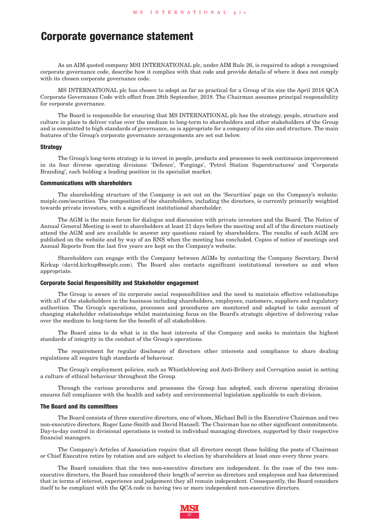### **Corporate governance statement**

As an AIM quoted company MSI INTERNATIONAL plc, under AIM Rule 26, is required to adopt a recognised corporate governance code, describe how it complies with that code and provide details of where it does not comply with its chosen corporate governance code.

MS INTERNATIONAL plc has chosen to adopt as far as practical for a Group of its size the April 2018 QCA Corporate Governance Code with effect from 28th September, 2018. The Chairman assumes principal responsibility for corporate governance.

The Board is responsible for ensuring that MS INTERNATIONAL plc has the strategy, people, structure and culture in place to deliver value over the medium to long-term to shareholders and other stakeholders of the Group and is committed to high standards of governance, as is appropriate for a company of its size and structure. The main features of the Group's corporate governance arrangements are set out below.

#### **Strategy**

The Group's long-term strategy is to invest in people, products and processes to seek continuous improvement in its four diverse operating divisions: 'Defence', 'Forgings', 'Petrol Station Superstructures' and 'Corporate Branding', each holding a leading position in its specialist market.

#### **Communications with shareholders**

The shareholding structure of the Company is set out on the 'Securities' page on the Company's website: msiplc.com/securities. The composition of the shareholders, including the directors, is currently primarily weighted towards private investors, with a significant institutional shareholder.

The AGM is the main forum for dialogue and discussion with private investors and the Board. The Notice of Annual General Meeting is sent to shareholders at least 21 days before the meeting and all of the directors routinely attend the AGM and are available to answer any questions raised by shareholders. The results of each AGM are published on the website and by way of an RNS when the meeting has concluded. Copies of notice of meetings and Annual Reports from the last five years are kept on the Company's website.

Shareholders can engage with the Company between AGMs by contacting the Company Secretary, David Kirkup (david.kirkup@msiplc.com). The Board also contacts significant institutional investors as and when appropriate.

### **Corporate Social Responsibility and Stakeholder engagement**

The Group is aware of its corporate social responsibilities and the need to maintain effective relationships with all of the stakeholders in the business including shareholders, employees, customers, suppliers and regulatory authorities. The Group's operations, processes and procedures are monitored and adapted to take account of changing stakeholder relationships whilst maintaining focus on the Board's strategic objective of delivering value over the medium to long-term for the benefit of all stakeholders.

The Board aims to do what is in the best interests of the Company and seeks to maintain the highest standards of integrity in the conduct of the Group's operations.

The requirement for regular disclosure of directors other interests and compliance to share dealing regulations all require high standards of behaviour.

The Group's employment policies, such as Whistleblowing and Anti-Bribery and Corruption assist in setting a culture of ethical behaviour throughout the Group.

Through the various procedures and processes the Group has adopted, each diverse operating division ensures full compliance with the health and safety and environmental legislation applicable to each division.

#### **The Board and its committees**

The Board consists of three executive directors, one of whom, Michael Bell is the Executive Chairman and two non-executive directors, Roger Lane-Smith and David Hansell. The Chairman has no other significant commitments. Day-to-day control in divisional operations is vested in individual managing directors, supported by their respective financial managers.

The Company's Articles of Association require that all directors except those holding the posts of Chairman or Chief Executive retire by rotation and are subject to election by shareholders at least once every three years.

The Board considers that the two non-executive directors are independent. In the case of the two nonexecutive directors, the Board has considered their length of service as directors and employees and has determined that in terms of interest, experience and judgement they all remain independent. Consequently, the Board considers itself to be compliant with the QCA code in having two or more independent non-executive directors.

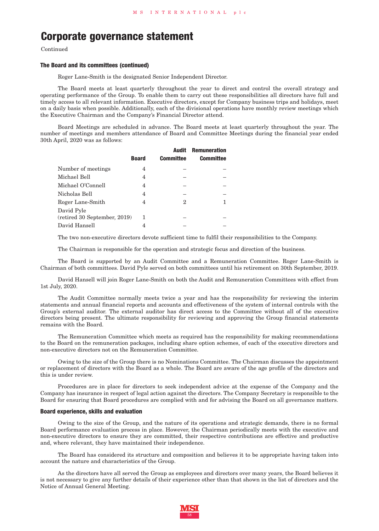### **Corporate governance statement**

Continued

### **The Board and its committees (continued)**

Roger Lane-Smith is the designated Senior Independent Director.

The Board meets at least quarterly throughout the year to direct and control the overall strategy and operating performance of the Group. To enable them to carry out these responsibilities all directors have full and timely access to all relevant information. Executive directors, except for Company business trips and holidays, meet on a daily basis when possible. Additionally, each of the divisional operations have monthly review meetings which the Executive Chairman and the Company's Financial Director attend.

Board Meetings are scheduled in advance. The Board meets at least quarterly throughout the year. The number of meetings and members attendance of Board and Committee Meetings during the financial year ended 30th April, 2020 was as follows:

|                              | <b>Board</b> | Audit            | <b>Remuneration</b><br><b>Committee</b> |
|------------------------------|--------------|------------------|-----------------------------------------|
|                              |              | <b>Committee</b> |                                         |
| Number of meetings           | 4            |                  |                                         |
| Michael Bell                 | 4            |                  |                                         |
| Michael O'Connell            | 4            |                  |                                         |
| Nicholas Bell                | 4            |                  |                                         |
| Roger Lane-Smith             | 4            | 2                |                                         |
| David Pyle                   |              |                  |                                         |
| (retired 30 September, 2019) | 1            |                  |                                         |
| David Hansell                |              |                  |                                         |

The two non-executive directors devote sufficient time to fulfil their responsibilities to the Company.

The Chairman is responsible for the operation and strategic focus and direction of the business.

The Board is supported by an Audit Committee and a Remuneration Committee. Roger Lane-Smith is Chairman of both committees. David Pyle served on both committees until his retirement on 30th September, 2019.

David Hansell will join Roger Lane-Smith on both the Audit and Remuneration Committees with effect from 1st July, 2020.

The Audit Committee normally meets twice a year and has the responsibility for reviewing the interim statements and annual financial reports and accounts and effectiveness of the system of internal controls with the Group's external auditor. The external auditor has direct access to the Committee without all of the executive directors being present. The ultimate responsibility for reviewing and approving the Group financial statements remains with the Board.

The Remuneration Committee which meets as required has the responsibility for making recommendations to the Board on the remuneration packages, including share option schemes, of each of the executive directors and non-executive directors not on the Remuneration Committee.

Owing to the size of the Group there is no Nominations Committee. The Chairman discusses the appointment or replacement of directors with the Board as a whole. The Board are aware of the age profile of the directors and this is under review.

Procedures are in place for directors to seek independent advice at the expense of the Company and the Company has insurance in respect of legal action against the directors. The Company Secretary is responsible to the Board for ensuring that Board procedures are complied with and for advising the Board on all governance matters.

### **Board experience, skills and evaluation**

Owing to the size of the Group, and the nature of its operations and strategic demands, there is no formal Board performance evaluation process in place. However, the Chairman periodically meets with the executive and non-executive directors to ensure they are committed, their respective contributions are effective and productive and, where relevant, they have maintained their independence.

The Board has considered its structure and composition and believes it to be appropriate having taken into account the nature and characteristics of the Group.

As the directors have all served the Group as employees and directors over many years, the Board believes it is not necessary to give any further details of their experience other than that shown in the list of directors and the Notice of Annual General Meeting.

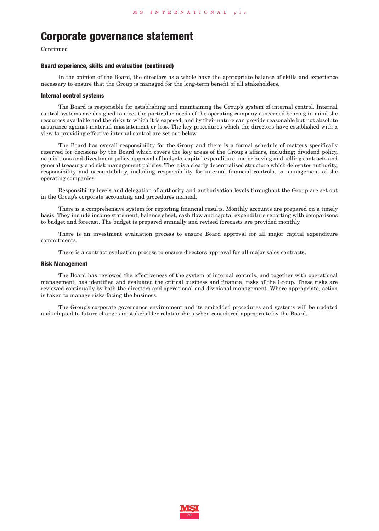## **Corporate governance statement**

Continued

### **Board experience, skills and evaluation (continued)**

In the opinion of the Board, the directors as a whole have the appropriate balance of skills and experience necessary to ensure that the Group is managed for the long-term benefit of all stakeholders.

### **Internal control systems**

The Board is responsible for establishing and maintaining the Group's system of internal control. Internal control systems are designed to meet the particular needs of the operating company concerned bearing in mind the resources available and the risks to which it is exposed, and by their nature can provide reasonable but not absolute assurance against material misstatement or loss. The key procedures which the directors have established with a view to providing effective internal control are set out below.

The Board has overall responsibility for the Group and there is a formal schedule of matters specifically reserved for decisions by the Board which covers the key areas of the Group's affairs, including; dividend policy, acquisitions and divestment policy, approval of budgets, capital expenditure, major buying and selling contracts and general treasury and risk management policies. There is a clearly decentralised structure which delegates authority, responsibility and accountability, including responsibility for internal financial controls, to management of the operating companies.

Responsibility levels and delegation of authority and authorisation levels throughout the Group are set out in the Group's corporate accounting and procedures manual.

There is a comprehensive system for reporting financial results. Monthly accounts are prepared on a timely basis. They include income statement, balance sheet, cash flow and capital expenditure reporting with comparisons to budget and forecast. The budget is prepared annually and revised forecasts are provided monthly.

There is an investment evaluation process to ensure Board approval for all major capital expenditure commitments.

There is a contract evaluation process to ensure directors approval for all major sales contracts.

#### **Risk Management**

The Board has reviewed the effectiveness of the system of internal controls, and together with operational management, has identified and evaluated the critical business and financial risks of the Group. These risks are reviewed continually by both the directors and operational and divisional management. Where appropriate, action is taken to manage risks facing the business.

The Group's corporate governance environment and its embedded procedures and systems will be updated and adapted to future changes in stakeholder relationships when considered appropriate by the Board.

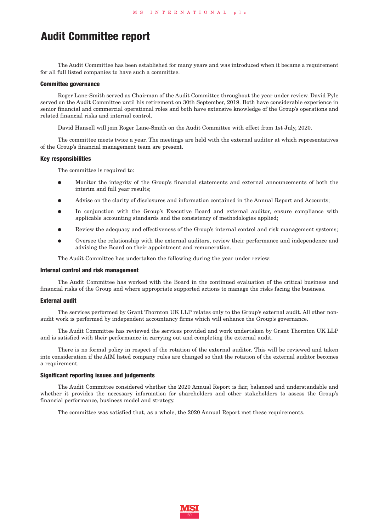### **Audit Committee report**

The Audit Committee has been established for many years and was introduced when it became a requirement for all full listed companies to have such a committee.

### **Committee governance**

Roger Lane-Smith served as Chairman of the Audit Committee throughout the year under review. David Pyle served on the Audit Committee until his retirement on 30th September, 2019. Both have considerable experience in senior financial and commercial operational roles and both have extensive knowledge of the Group's operations and related financial risks and internal control.

David Hansell will join Roger Lane-Smith on the Audit Committee with effect from 1st July, 2020.

The committee meets twice a year. The meetings are held with the external auditor at which representatives of the Group's financial management team are present.

### **Key responsibilities**

The committee is required to:

- **●** Monitor the integrity of the Group's financial statements and external announcements of both the interim and full year results;
- **●** Advise on the clarity of disclosures and information contained in the Annual Report and Accounts;
- In conjunction with the Group's Executive Board and external auditor, ensure compliance with applicable accounting standards and the consistency of methodologies applied;
- Review the adequacy and effectiveness of the Group's internal control and risk management systems;
- **●** Oversee the relationship with the external auditors, review their performance and independence and advising the Board on their appointment and remuneration.

The Audit Committee has undertaken the following during the year under review:

### **Internal control and risk management**

The Audit Committee has worked with the Board in the continued evaluation of the critical business and financial risks of the Group and where appropriate supported actions to manage the risks facing the business.

### **External audit**

The services performed by Grant Thornton UK LLP relates only to the Group's external audit. All other nonaudit work is performed by independent accountancy firms which will enhance the Group's governance.

The Audit Committee has reviewed the services provided and work undertaken by Grant Thornton UK LLP and is satisfied with their performance in carrying out and completing the external audit.

There is no formal policy in respect of the rotation of the external auditor. This will be reviewed and taken into consideration if the AIM listed company rules are changed so that the rotation of the external auditor becomes a requirement.

### **Significant reporting issues and judgements**

The Audit Committee considered whether the 2020 Annual Report is fair, balanced and understandable and whether it provides the necessary information for shareholders and other stakeholders to assess the Group's financial performance, business model and strategy.

The committee was satisfied that, as a whole, the 2020 Annual Report met these requirements.

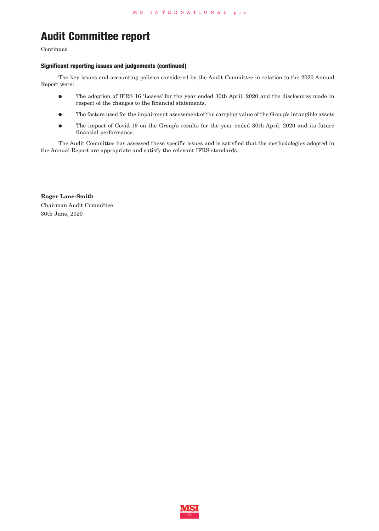## **Audit Committee report**

Continued

### **Significant reporting issues and judgements (continued)**

The key issues and accounting policies considered by the Audit Committee in relation to the 2020 Annual Report were:

- **●** The adoption of IFRS 16 'Leases' for the year ended 30th April, 2020 and the disclosures made in respect of the changes to the financial statements.
- **●** The factors used for the impairment assessment of the carrying value of the Group's intangible assets
- **●** The impact of Covid-19 on the Group's results for the year ended 30th April, 2020 and its future financial performance.

The Audit Committee has assessed these specific issues and is satisfied that the methodologies adopted in the Annual Report are appropriate and satisfy the relevant IFRS standards.

**Roger Lane-Smith** Chairman Audit Committee 30th June, 2020

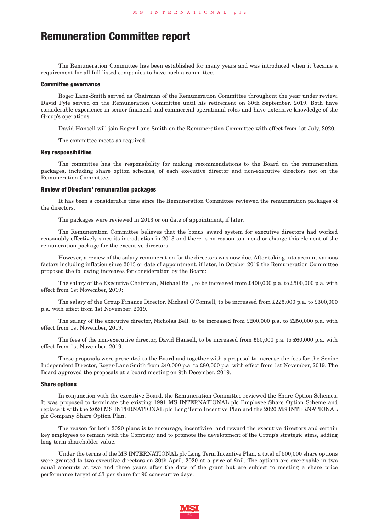### **Remuneration Committee report**

The Remuneration Committee has been established for many years and was introduced when it became a requirement for all full listed companies to have such a committee.

### **Committee governance**

Roger Lane-Smith served as Chairman of the Remuneration Committee throughout the year under review. David Pyle served on the Remuneration Committee until his retirement on 30th September, 2019. Both have considerable experience in senior financial and commercial operational roles and have extensive knowledge of the Group's operations.

David Hansell will join Roger Lane-Smith on the Remuneration Committee with effect from 1st July, 2020.

The committee meets as required.

#### **Key responsibilities**

The committee has the responsibility for making recommendations to the Board on the remuneration packages, including share option schemes, of each executive director and non-executive directors not on the Remuneration Committee.

### **Review of Directors' remuneration packages**

It has been a considerable time since the Remuneration Committee reviewed the remuneration packages of the directors.

The packages were reviewed in 2013 or on date of appointment, if later.

The Remuneration Committee believes that the bonus award system for executive directors had worked reasonably effectively since its introduction in 2013 and there is no reason to amend or change this element of the remuneration package for the executive directors.

However, a review of the salary remuneration for the directors was now due. After taking into account various factors including inflation since 2013 or date of appointment, if later, in October 2019 the Remuneration Committee proposed the following increases for consideration by the Board:

The salary of the Executive Chairman, Michael Bell, to be increased from £400,000 p.a. to £500,000 p.a. with effect from 1st November, 2019;

The salary of the Group Finance Director, Michael O'Connell, to be increased from £225,000 p.a. to £300,000 p.a. with effect from 1st November, 2019.

The salary of the executive director, Nicholas Bell, to be increased from £200,000 p.a. to £250,000 p.a. with effect from 1st November, 2019.

The fees of the non-executive director, David Hansell, to be increased from £50,000 p.a. to £60,000 p.a. with effect from 1st November, 2019.

These proposals were presented to the Board and together with a proposal to increase the fees for the Senior Independent Director, Roger-Lane Smith from £40,000 p.a. to £80,000 p.a. with effect from 1st November, 2019. The Board approved the proposals at a board meeting on 9th December, 2019.

### **Share options**

In conjunction with the executive Board, the Remuneration Committee reviewed the Share Option Schemes. It was proposed to terminate the existing 1991 MS INTERNATIONAL plc Employee Share Option Scheme and replace it with the 2020 MS INTERNATIONAL plc Long Term Incentive Plan and the 2020 MS INTERNATIONAL plc Company Share Option Plan.

The reason for both 2020 plans is to encourage, incentivise, and reward the executive directors and certain key employees to remain with the Company and to promote the development of the Group's strategic aims, adding long-term shareholder value.

Under the terms of the MS INTERNATIONAL plc Long Term Incentive Plan, a total of 500,000 share options were granted to two executive directors on 30th April, 2020 at a price of £nil. The options are exercisable in two equal amounts at two and three years after the date of the grant but are subject to meeting a share price performance target of £3 per share for 90 consecutive days.

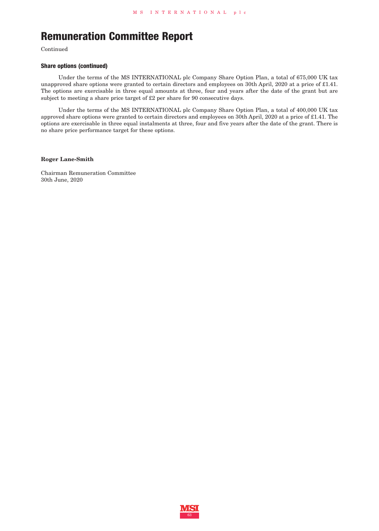## **Remuneration Committee Report**

Continued

### **Share options (continued)**

Under the terms of the MS INTERNATIONAL plc Company Share Option Plan, a total of 675,000 UK tax unapproved share options were granted to certain directors and employees on 30th April, 2020 at a price of £1.41. The options are exercisable in three equal amounts at three, four and years after the date of the grant but are subject to meeting a share price target of £2 per share for 90 consecutive days.

Under the terms of the MS INTERNATIONAL plc Company Share Option Plan, a total of 400,000 UK tax approved share options were granted to certain directors and employees on 30th April, 2020 at a price of £1.41. The options are exercisable in three equal instalments at three, four and five years after the date of the grant. There is no share price performance target for these options.

**Roger Lane-Smith**

Chairman Remuneration Committee 30th June, 2020

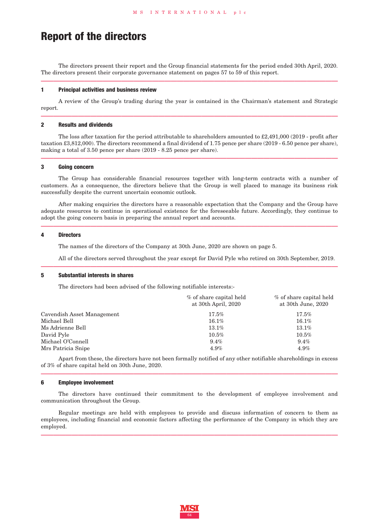The directors present their report and the Group financial statements for the period ended 30th April, 2020. The directors present their corporate governance statement on pages 57 to 59 of this report. **222222222222222222222222222222222222222222222222**

### **1 Principal activities and business review**

A review of the Group's trading during the year is contained in the Chairman's statement and Strategic report. **222222222222222222222222222222222222222222222222**

### **2 Results and dividends**

The loss after taxation for the period attributable to shareholders amounted to £2,491,000 (2019 - profit after taxation £3,812,000). The directors recommend a final dividend of 1.75 pence per share (2019 - 6.50 pence per share), making a total of 3.50 pence per share (2019 - 8.25 pence per share). **222222222222222222222222222222222222222222222222**

### **3 Going concern**

The Group has considerable financial resources together with long-term contracts with a number of customers. As a consequence, the directors believe that the Group is well placed to manage its business risk successfully despite the current uncertain economic outlook.

After making enquiries the directors have a reasonable expectation that the Company and the Group have adequate resources to continue in operational existence for the foreseeable future. Accordingly, they continue to adopt the going concern basis in preparing the annual report and accounts. **222222222222222222222222222222222222222222222222**

### **4 Directors**

The names of the directors of the Company at 30th June, 2020 are shown on page 5.

All of the directors served throughout the year except for David Pyle who retired on 30th September, 2019.

**222222222222222222222222222222222222222222222222**

### **5 Substantial interests in shares**

The directors had been advised of the following notifiable interests:-

|                            | % of share capital held<br>at 30th April, 2020 | % of share capital held<br>at 30th June, 2020 |
|----------------------------|------------------------------------------------|-----------------------------------------------|
| Cavendish Asset Management | $17.5\%$                                       | $17.5\%$                                      |
| Michael Bell               | $16.1\%$                                       | $16.1\%$                                      |
| Ms Adrienne Bell           | $13.1\%$                                       | 13.1%                                         |
| David Pyle                 | $10.5\%$                                       | $10.5\%$                                      |
| Michael O'Connell          | $9.4\%$                                        | $9.4\%$                                       |
| Mrs Patricia Snipe         | $4.9\%$                                        | $4.9\%$                                       |
|                            |                                                |                                               |

Apart from these, the directors have not been formally notified of any other notifiable shareholdings in excess of 3% of share capital held on 30th June, 2020. **222222222222222222222222222222222222222222222222**

### **6 Employee involvement**

The directors have continued their commitment to the development of employee involvement and communication throughout the Group.

Regular meetings are held with employees to provide and discuss information of concern to them as employees, including financial and economic factors affecting the performance of the Company in which they are employed. **222222222222222222222222222222222222222222222222**

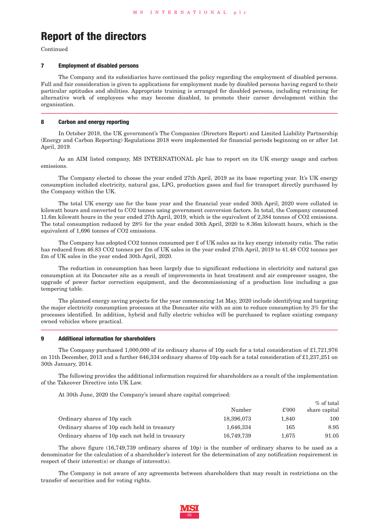Continued

### **7 Employment of disabled persons**

The Company and its subsidiaries have continued the policy regarding the employment of disabled persons. Full and fair consideration is given to applications for employment made by disabled persons having regard to their particular aptitudes and abilities. Appropriate training is arranged for disabled persons, including retraining for alternative work of employees who may become disabled, to promote their career development within the organisation.

**222222222222222222222222222222222222222222222222**

### **8 Carbon and energy reporting**

In October 2018, the UK government's The Companies (Directors Report) and Limited Liability Partnership (Energy and Carbon Reporting) Regulations 2018 were implemented for financial periods beginning on or after 1st April, 2019.

As an AIM listed company, MS INTERNATIONAL plc has to report on its UK energy usage and carbon emissions.

The Company elected to choose the year ended 27th April, 2019 as its base reporting year. It's UK energy consumption included electricity, natural gas, LPG, production gases and fuel for transport directly purchased by the Company within the UK.

The total UK energy use for the base year and the financial year ended 30th April, 2020 were collated in kilowatt hours and converted to CO2 tonnes using government conversion factors. In total, the Company consumed 11.6m kilowatt hours in the year ended 27th April, 2019, which is the equivalent of 2,384 tonnes of CO2 emissions. The total consumption reduced by 28% for the year ended 30th April, 2020 to 8.36m kilowatt hours, which is the equivalent of 1,696 tonnes of CO2 emissions.

The Company has adopted CO2 tonnes consumed per £ of UK sales as its key energy intensity ratio. The ratio has reduced from 46.83 CO2 tonnes per £m of UK sales in the year ended 27th April, 2019 to 41.48 CO2 tonnes per £m of UK sales in the year ended 30th April, 2020.

The reduction in consumption has been largely due to significant reductions in electricity and natural gas consumption at its Doncaster site as a result of improvements in heat treatment and air compressor usages, the upgrade of power factor correction equipment, and the decommissioning of a production line including a gas tempering table.

The planned energy saving projects for the year commencing 1st May, 2020 include identifying and targeting the major electricity consumption processes at the Doncaster site with an aim to reduce consumption by 3% for the processes identified. In addition, hybrid and fully electric vehicles will be purchased to replace existing company owned vehicles where practical. **222222222222222222222222222222222222222222222222**

### **9 Additional information for shareholders**

The Company purchased 1,000,000 of its ordinary shares of 10p each for a total consideration of £1,721,976 on 11th December, 2013 and a further 646,334 ordinary shares of 10p each for a total consideration of £1,237,251 on 30th January, 2014.

The following provides the additional information required for shareholders as a result of the implementation of the Takeover Directive into UK Law.

At 30th June, 2020 the Company's issued share capital comprised:

|                                                  |            |               | % of total    |
|--------------------------------------------------|------------|---------------|---------------|
|                                                  | Number     | $\pounds 000$ | share capital |
| Ordinary shares of 10p each                      | 18.396.073 | 1.840         | 100           |
| Ordinary shares of 10p each held in treasury     | 1.646.334  | 165           | 8.95          |
| Ordinary shares of 10p each not held in treasury | 16,749,739 | 1.675         | 91.05         |

The above figure (16,749,739 ordinary shares of 10p) is the number of ordinary shares to be used as a denominator for the calculation of a shareholder's interest for the determination of any notification requirement in respect of their interest(s) or change of interest(s).

The Company is not aware of any agreements between shareholders that may result in restrictions on the transfer of securities and for voting rights.

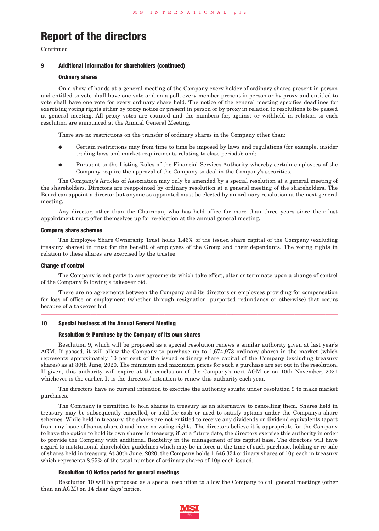Continued

### **9 Additional information for shareholders (continued)**

### **Ordinary shares**

On a show of hands at a general meeting of the Company every holder of ordinary shares present in person and entitled to vote shall have one vote and on a poll, every member present in person or by proxy and entitled to vote shall have one vote for every ordinary share held. The notice of the general meeting specifies deadlines for exercising voting rights either by proxy notice or present in person or by proxy in relation to resolutions to be passed at general meeting. All proxy votes are counted and the numbers for, against or withheld in relation to each resolution are announced at the Annual General Meeting.

There are no restrictions on the transfer of ordinary shares in the Company other than:

- **●** Certain restrictions may from time to time be imposed by laws and regulations (for example, insider trading laws and market requirements relating to close periods); and;
- **●** Pursuant to the Listing Rules of the Financial Services Authority whereby certain employees of the Company require the approval of the Company to deal in the Company's securities.

The Company's Articles of Association may only be amended by a special resolution at a general meeting of the shareholders. Directors are reappointed by ordinary resolution at a general meeting of the shareholders. The Board can appoint a director but anyone so appointed must be elected by an ordinary resolution at the next general meeting.

Any director, other than the Chairman, who has held office for more than three years since their last appointment must offer themselves up for re-election at the annual general meeting.

#### **Company share schemes**

The Employee Share Ownership Trust holds 1.46% of the issued share capital of the Company (excluding treasury shares) in trust for the benefit of employees of the Group and their dependants. The voting rights in relation to these shares are exercised by the trustee.

### **Change of control**

The Company is not party to any agreements which take effect, alter or terminate upon a change of control of the Company following a takeover bid.

There are no agreements between the Company and its directors or employees providing for compensation for loss of office or employment (whether through resignation, purported redundancy or otherwise) that occurs because of a takeover bid. **222222222222222222222222222222222222222222222222**

### **10 Special business at the Annual General Meeting**

### **Resolution 9: Purchase by the Company of its own shares**

Resolution 9, which will be proposed as a special resolution renews a similar authority given at last year's AGM. If passed, it will allow the Company to purchase up to 1,674,973 ordinary shares in the market (which represents approximately 10 per cent of the issued ordinary share capital of the Company (excluding treasury shares) as at 30th June, 2020. The minimum and maximum prices for such a purchase are set out in the resolution. If given, this authority will expire at the conclusion of the Company's next AGM or on 10th November, 2021 whichever is the earlier. It is the directors' intention to renew this authority each year.

The directors have no current intention to exercise the authority sought under resolution 9 to make market purchases.

The Company is permitted to hold shares in treasury as an alternative to cancelling them. Shares held in treasury may be subsequently cancelled, or sold for cash or used to satisfy options under the Company's share schemes. While held in treasury, the shares are not entitled to receive any dividends or dividend equivalents (apart from any issue of bonus shares) and have no voting rights. The directors believe it is appropriate for the Company to have the option to hold its own shares in treasury, if, at a future date, the directors exercise this authority in order to provide the Company with additional flexibility in the management of its capital base. The directors will have regard to institutional shareholder guidelines which may be in force at the time of such purchase, holding or re-sale of shares held in treasury. At 30th June, 2020, the Company holds 1,646,334 ordinary shares of 10p each in treasury which represents 8.95% of the total number of ordinary shares of 10p each issued.

### **Resolution 10 Notice period for general meetings**

Resolution 10 will be proposed as a special resolution to allow the Company to call general meetings (other than an AGM) on 14 clear days' notice.

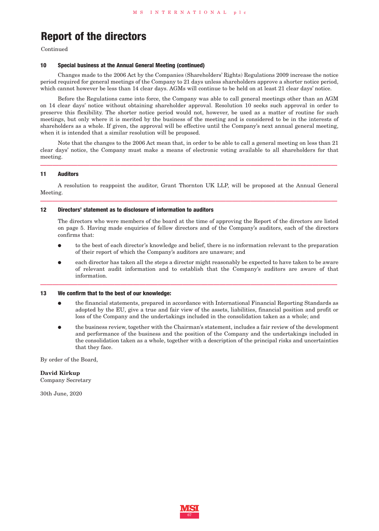Continued

### **10 Special business at the Annual General Meeting (continued)**

Changes made to the 2006 Act by the Companies (Shareholders' Rights) Regulations 2009 increase the notice period required for general meetings of the Company to 21 days unless shareholders approve a shorter notice period, which cannot however be less than 14 clear days. AGMs will continue to be held on at least 21 clear days' notice.

Before the Regulations came into force, the Company was able to call general meetings other than an AGM on 14 clear days' notice without obtaining shareholder approval. Resolution 10 seeks such approval in order to preserve this flexibility. The shorter notice period would not, however, be used as a matter of routine for such meetings, but only where it is merited by the business of the meeting and is considered to be in the interests of shareholders as a whole. If given, the approval will be effective until the Company's next annual general meeting, when it is intended that a similar resolution will be proposed.

Note that the changes to the 2006 Act mean that, in order to be able to call a general meeting on less than 21 clear days' notice, the Company must make a means of electronic voting available to all shareholders for that meeting.

**222222222222222222222222222222222222222222222222**

### **11 Auditors**

A resolution to reappoint the auditor, Grant Thornton UK LLP, will be proposed at the Annual General Meeting. **222222222222222222222222222222222222222222222222**

### **12 Directors' statement as to disclosure of information to auditors**

The directors who were members of the board at the time of approving the Report of the directors are listed on page 5. Having made enquiries of fellow directors and of the Company's auditors, each of the directors confirms that:

- to the best of each director's knowledge and belief, there is no information relevant to the preparation of their report of which the Company's auditors are unaware; and
- **●** each director has taken all the steps a director might reasonably be expected to have taken to be aware of relevant audit information and to establish that the Company's auditors are aware of that information.

**222222222222222222222222222222222222222222222222**

### **13 We confirm that to the best of our knowledge:**

- **●** the financial statements, prepared in accordance with International Financial Reporting Standards as adopted by the EU, give a true and fair view of the assets, liabilities, financial position and profit or loss of the Company and the undertakings included in the consolidation taken as a whole; and
- **●** the business review, together with the Chairman's statement, includes a fair review of the development and performance of the business and the position of the Company and the undertakings included in the consolidation taken as a whole, together with a description of the principal risks and uncertainties that they face.

By order of the Board,

**David Kirkup** Company Secretary

30th June, 2020

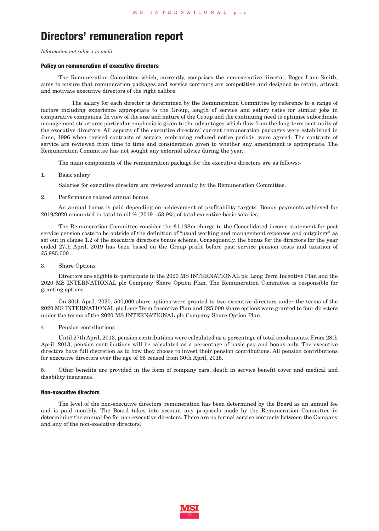## **Directors' remuneration report**

*Information not subject to audit*

### **Policy on remuneration of executive directors**

The Remuneration Committee which, currently, comprises the non-executive director, Roger Lane-Smith, aims to ensure that remuneration packages and service contracts are competitive and designed to retain, attract and motivate executive directors of the right calibre.

The salary for each director is determined by the Remuneration Committee by reference to a range of factors including experience appropriate to the Group, length of service and salary rates for similar jobs in comparative companies. In view of the size and nature of the Group and the continuing need to optimise subordinate management structures particular emphasis is given to the advantages which flow from the long-term continuity of the executive directors. All aspects of the executive directors' current remuneration packages were established in June, 1996 when revised contracts of service, embracing reduced notice periods, were agreed. The contracts of service are reviewed from time to time and consideration given to whether any amendment is appropriate. The Remuneration Committee has not sought any external advice during the year.

The main components of the remuneration package for the executive directors are as follows:-

1. Basic salary

Salaries for executive directors are reviewed annually by the Remuneration Committee.

2. Performance related annual bonus

An annual bonus is paid depending on achievement of profitability targets. Bonus payments achieved for 2019/2020 amounted in total to nil  $\%$  (2019 - 53.9%) of total executive basic salaries.

The Remuneration Committee consider the £1.198m charge to the Consolidated income statement for past service pension costs to be outside of the definition of "usual working and management expenses and outgoings" as set out in clause 1.2 of the executive directors bonus scheme. Consequently, the bonus for the directors for the year ended 27th April, 2019 has been based on the Group profit before past service pension costs and taxation of £5,985,000.

3. Share Options

Directors are eligible to participate in the 2020 MS INTERNATIONAL plc Long Term Incentive Plan and the 2020 MS INTERNATIONAL plc Company Share Option Plan. The Remuneration Committee is responsible for granting options.

On 30th April, 2020, 500,000 share options were granted to two executive directors under the terms of the 2020 MS INTERNATIONAL plc Long Term Incentive Plan and 325,000 share options were granted to four directors under the terms of the 2020 MS INTERNATIONAL plc Company Share Option Plan.

4. Pension contributions

Until 27th April, 2013, pension contributions were calculated as a percentage of total emoluments. From 28th April, 2013, pension contributions will be calculated as a percentage of basic pay and bonus only. The executive directors have full discretion as to how they choose to invest their pension contributions. All pension contributions for executive directors over the age of 65 ceased from 30th April, 2015.

5. Other benefits are provided in the form of company cars, death in service benefit cover and medical and disability insurance.

### **Non-executive directors**

The level of the non-executive directors' remuneration has been determined by the Board as an annual fee and is paid monthly. The Board takes into account any proposals made by the Remuneration Committee in determining the annual fee for non-executive directors. There are no formal service contracts between the Company and any of the non-executive directors.

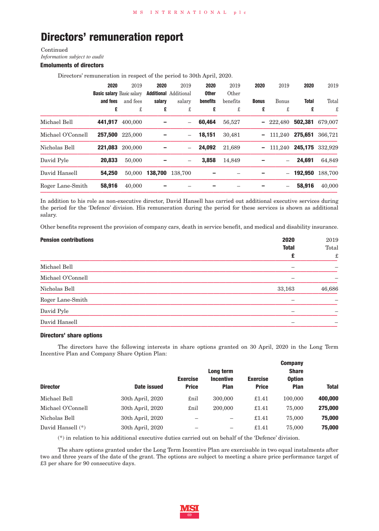## **Directors' remuneration report**

Continued *Information subject to audit*

### **Emoluments of directors**

Directors' remuneration in respect of the period to 30th April, 2020.

|                   | 2020<br><b>Basic salary</b> Basic salary<br>and fees<br>£ | 2019<br>and fees<br>£ | 2020<br>salary<br>£ | 2019<br><b>Additional</b> Additional<br>salary<br>£ | 2020<br><b>Other</b><br>benefits<br>£ | 2019<br>Other<br>benefits<br>£ | 2020<br><b>Bonus</b><br>£ | 2019<br><b>Bonus</b><br>£ | 2020<br><b>Total</b><br>£ | 2019<br>Total<br>£ |
|-------------------|-----------------------------------------------------------|-----------------------|---------------------|-----------------------------------------------------|---------------------------------------|--------------------------------|---------------------------|---------------------------|---------------------------|--------------------|
| Michael Bell      | 441.917                                                   | 400,000               |                     | $\overline{\phantom{0}}$                            | 60.464                                | 56,527                         |                           | $-222.480$                | 502.381                   | 679,007            |
| Michael O'Connell | 257,500                                                   | 225,000               |                     | $\overline{\phantom{0}}$                            | 18,151                                | 30,481                         | -                         | 111,240                   | 275.651                   | 366,721            |
| Nicholas Bell     | 221,083                                                   | 200,000               |                     | $\overline{\phantom{0}}$                            | 24,092                                | 21,689                         | -                         | 111,240                   | 245,175                   | 332,929            |
| David Pyle        | 20,833                                                    | 50,000                |                     | $\overline{\phantom{m}}$                            | 3,858                                 | 14,849                         |                           | —                         | 24,691                    | 64,849             |
| David Hansell     | 54.250                                                    | 50,000                | 138,700             | 138.700                                             |                                       |                                |                           |                           | 192.950                   | 188,700            |
| Roger Lane-Smith  | 58,916                                                    | 40,000                |                     |                                                     |                                       |                                |                           |                           | 58,916                    | 40,000             |

In addition to his role as non-executive director, David Hansell has carried out additional executive services during the period for the 'Defence' division. His remuneration during the period for these services is shown as additional salary.

Other benefits represent the provision of company cars, death in service benefit, and medical and disability insurance.

| 2020         | 2019      |  |
|--------------|-----------|--|
| <b>Total</b> | Total     |  |
| £            | $\pounds$ |  |
| —            |           |  |
|              |           |  |
| 33,163       | 46,686    |  |
|              |           |  |
|              |           |  |
|              |           |  |
|              |           |  |

### **Directors' share options**

The directors have the following interests in share options granted on 30 April, 2020 in the Long Term Incentive Plan and Company Share Option Plan:

|                   |                  | <b>Company</b><br><b>Share</b>  |                                              |                                 |                              |              |
|-------------------|------------------|---------------------------------|----------------------------------------------|---------------------------------|------------------------------|--------------|
| <b>Director</b>   | Date issued      | <b>Exercise</b><br><b>Price</b> | Long term<br><b>Incentive</b><br><b>Plan</b> | <b>Exercise</b><br><b>Price</b> | <b>Option</b><br><b>Plan</b> | <b>Total</b> |
| Michael Bell      | 30th April, 2020 | £nil                            | 300,000                                      | £1.41                           | 100,000                      | 400,000      |
| Michael O'Connell | 30th April, 2020 | £nil                            | 200,000                                      | £1.41                           | 75,000                       | 275,000      |
| Nicholas Bell     | 30th April, 2020 |                                 | $\qquad \qquad$                              | £1.41                           | 75,000                       | 75,000       |
| David Hansell (*) | 30th April, 2020 |                                 | —                                            | £1.41                           | 75,000                       | 75,000       |

(\*) in relation to his additional executive duties carried out on behalf of the 'Defence' division.

The share options granted under the Long Term Incentive Plan are exercisable in two equal instalments after two and three years of the date of the grant. The options are subject to meeting a share price performance target of £3 per share for 90 consecutive days.

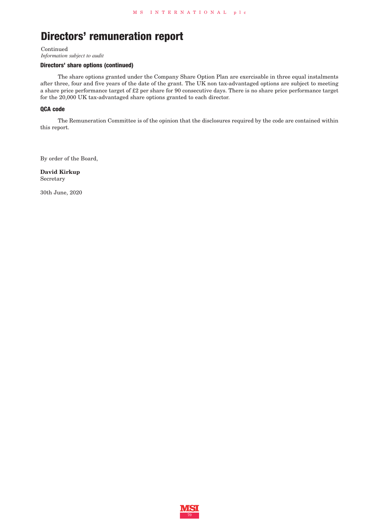## **Directors' remuneration report**

Continued *Information subject to audit*

### **Directors' share options (continued)**

The share options granted under the Company Share Option Plan are exercisable in three equal instalments after three, four and five years of the date of the grant. The UK non tax-advantaged options are subject to meeting a share price performance target of £2 per share for 90 consecutive days. There is no share price performance target for the 20,000 UK tax-advantaged share options granted to each director.

### **QCA code**

The Remuneration Committee is of the opinion that the disclosures required by the code are contained within this report.

By order of the Board,

**David Kirkup** Secretary

30th June, 2020

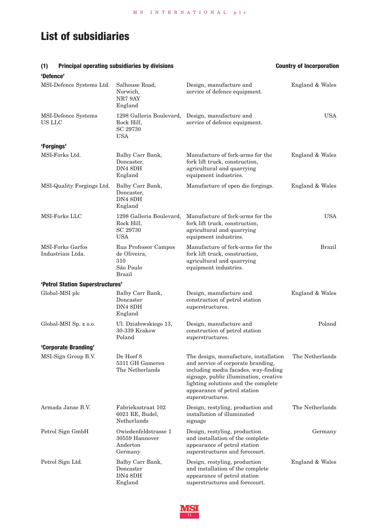# **List of subsidiaries**

| <b>Principal operating subsidiaries by divisions</b><br>(1) |                                                                           |                                                                                                                                                                                                                                                          | <b>Country of Incorporation</b> |  |  |
|-------------------------------------------------------------|---------------------------------------------------------------------------|----------------------------------------------------------------------------------------------------------------------------------------------------------------------------------------------------------------------------------------------------------|---------------------------------|--|--|
| 'Defence'                                                   |                                                                           |                                                                                                                                                                                                                                                          |                                 |  |  |
| MSI-Defence Systems Ltd.                                    | Salhouse Road,<br>Norwich,<br>NR7 9AY<br>England                          | Design, manufacture and<br>service of defence equipment.                                                                                                                                                                                                 | England & Wales                 |  |  |
| MSI-Defence Systems<br>US LLC                               | 1298 Galleria Boulevard,<br>Rock Hill,<br>SC 29730<br><b>USA</b>          | Design, manufacture and<br>service of defence equipment.                                                                                                                                                                                                 | <b>USA</b>                      |  |  |
| 'Forgings'                                                  |                                                                           |                                                                                                                                                                                                                                                          |                                 |  |  |
| MSI-Forks Ltd.                                              | Balby Carr Bank,<br>Doncaster,<br>DN4 8DH<br>England                      | Manufacture of fork-arms for the<br>fork lift truck, construction,<br>agricultural and quarrying<br>equipment industries.                                                                                                                                | England & Wales                 |  |  |
| MSI-Quality Forgings Ltd.                                   | Balby Carr Bank,<br>Doncaster,<br>DN4 8DH<br>England                      | Manufacture of open die forgings.                                                                                                                                                                                                                        | England & Wales                 |  |  |
| MSI-Forks LLC                                               | 1298 Galleria Boulevard,<br>Rock Hill,<br>SC 29730<br><b>USA</b>          | Manufacture of fork-arms for the<br>fork lift truck, construction,<br>agricultural and quarrying<br>equipment industries.                                                                                                                                | <b>USA</b>                      |  |  |
| MSI-Forks Garfos<br>Industriais Ltda.                       | Rua Professor Campos<br>de Oliveira,<br>310<br>São Paulo<br><b>Brazil</b> | Manufacture of fork-arms for the<br>fork lift truck, construction,<br>agricultural and quarrying<br>equipment industries.                                                                                                                                | Brazil                          |  |  |
| 'Petrol Station Superstructures'                            |                                                                           |                                                                                                                                                                                                                                                          |                                 |  |  |
| Global-MSI plc                                              | Balby Carr Bank,<br>Doncaster<br>DN4 8DH<br>England                       | Design, manufacture and<br>construction of petrol station<br>superstructures.                                                                                                                                                                            | England & Wales                 |  |  |
| Global-MSI Sp. z o.o.                                       | Ul. Działowskiego 13,<br>30-339 Krakow<br>Poland                          | Design, manufacture and<br>construction of petrol station<br>superstructures.                                                                                                                                                                            | Poland                          |  |  |
| 'Corporate Branding'                                        |                                                                           |                                                                                                                                                                                                                                                          |                                 |  |  |
| MSI-Sign Group B.V.                                         | De Hoef 8<br>5311 GH Gameren<br>The Netherlands                           | The design, manufacture, installation<br>and service of corporate branding,<br>including media facades, way-finding<br>signage, public illumination, creative<br>lighting solutions and the complete<br>appearance of petrol station<br>superstructures. | The Netherlands                 |  |  |
| Armada Janse B.V.                                           | Fabrieksstraat 102<br>6021 RE, Budel,<br>Netherlands                      | Design, restyling, production and<br>installation of illuminated<br>signage                                                                                                                                                                              | The Netherlands                 |  |  |
| Petrol Sign GmbH                                            | Owiedenfeldstrasse 1<br>30559 Hannover<br>Anderton<br>Germany             | Design, restyling, production<br>and installation of the complete<br>appearance of petrol station<br>superstructures and forecourt.                                                                                                                      | Germany                         |  |  |
| Petrol Sign Ltd.                                            | Balby Carr Bank,<br>Doncaster<br>DN4 8DH<br>England                       | Design, restyling, production<br>and installation of the complete<br>appearance of petrol station<br>superstructures and forecourt.                                                                                                                      | England & Wales                 |  |  |

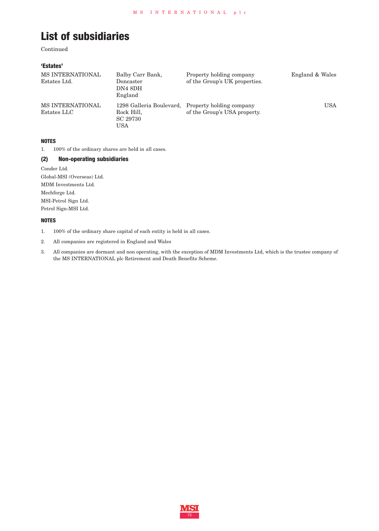# **List of subsidiaries**

Continued

### **'Estates'**

| <b>MS INTERNATIONAL</b><br>Estates Ltd. | Balby Carr Bank,<br>Doncaster<br>DN4 8DH<br>England       | Property holding company<br>of the Group's UK properties. | England & Wales |
|-----------------------------------------|-----------------------------------------------------------|-----------------------------------------------------------|-----------------|
| MS INTERNATIONAL<br>Estates LLC         | 1298 Galleria Boulevard,<br>Rock Hill,<br>SC 29730<br>USA | Property holding company<br>of the Group's USA property.  | <b>USA</b>      |

### **NOTES**

1. 100% of the ordinary shares are held in all cases.

#### **(2) Non-operating subsidiaries**

Conder Ltd. Global-MSI (Overseas) Ltd. MDM Investments Ltd. Mechforge Ltd. MSI-Petrol Sign Ltd. Petrol Sign-MSI Ltd.

### **NOTES**

- 1. 100% of the ordinary share capital of each entity is held in all cases.
- 2. All companies are registered in England and Wales
- 3. All companies are dormant and non operating, with the exception of MDM Investments Ltd, which is the trustee company of the MS INTERNATIONAL plc Retirement and Death Benefits Scheme.

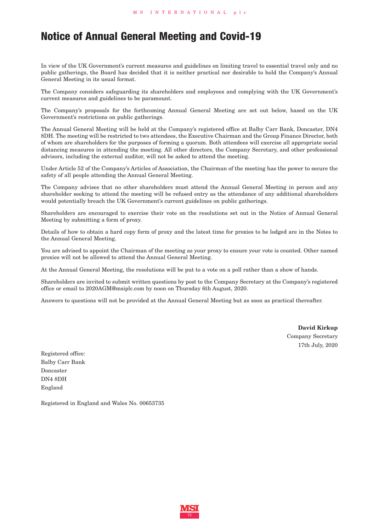## **Notice of Annual General Meeting and Covid-19**

In view of the UK Government's current measures and guidelines on limiting travel to essential travel only and no public gatherings, the Board has decided that it is neither practical nor desirable to hold the Company's Annual General Meeting in its usual format.

The Company considers safeguarding its shareholders and employees and complying with the UK Government's current measures and guidelines to be paramount.

The Company's proposals for the forthcoming Annual General Meeting are set out below, based on the UK Government's restrictions on public gatherings.

The Annual General Meeting will be held at the Company's registered office at Balby Carr Bank, Doncaster, DN4 8DH. The meeting will be restricted to two attendees, the Executive Chairman and the Group Finance Director, both of whom are shareholders for the purposes of forming a quorum. Both attendees will exercise all appropriate social distancing measures in attending the meeting. All other directors, the Company Secretary, and other professional advisors, including the external auditor, will not be asked to attend the meeting.

Under Article 52 of the Company's Articles of Association, the Chairman of the meeting has the power to secure the safety of all people attending the Annual General Meeting.

The Company advises that no other shareholders must attend the Annual General Meeting in person and any shareholder seeking to attend the meeting will be refused entry as the attendance of any additional shareholders would potentially breach the UK Government's current guidelines on public gatherings.

Shareholders are encouraged to exercise their vote on the resolutions set out in the Notice of Annual General Meeting by submitting a form of proxy.

Details of how to obtain a hard copy form of proxy and the latest time for proxies to be lodged are in the Notes to the Annual General Meeting.

You are advised to appoint the Chairman of the meeting as your proxy to ensure your vote is counted. Other named proxies will not be allowed to attend the Annual General Meeting.

At the Annual General Meeting, the resolutions will be put to a vote on a poll rather than a show of hands.

Shareholders are invited to submit written questions by post to the Company Secretary at the Company's registered office or email to 2020AGM@msiplc.com by noon on Thursday 6th August, 2020.

Answers to questions will not be provided at the Annual General Meeting but as soon as practical thereafter.

**David Kirkup** Company Secretary 17th July, 2020

Registered office: Balby Carr Bank Doncaster DN4 8DH England

Registered in England and Wales No. 00653735

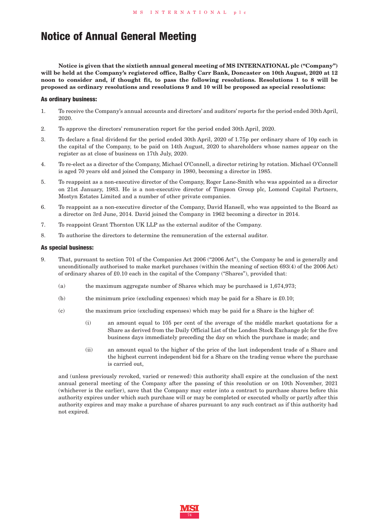**Notice is given that the sixtieth annual general meeting of MS INTERNATIONAL plc ("Company")** will be held at the Company's registered office, Balby Carr Bank, Doncaster on 10th August, 2020 at 12 noon to consider and, if thought fit, to pass the following resolutions. Resolutions 1 to 8 will be **proposed as ordinary resolutions and resolutions 9 and 10 will be proposed as special resolutions:**

#### **As ordinary business:**

- 1. To receive the Company's annual accounts and directors' and auditors' reports for the period ended 30th April, 2020.
- 2. To approve the directors' remuneration report for the period ended 30th April, 2020.
- 3. To declare a final dividend for the period ended 30th April, 2020 of 1.75p per ordinary share of 10p each in the capital of the Company, to be paid on 14th August, 2020 to shareholders whose names appear on the register as at close of business on 17th July, 2020.
- 4. To re-elect as a director of the Company, Michael O'Connell, a director retiring by rotation. Michael O'Connell is aged 70 years old and joined the Company in 1980, becoming a director in 1985.
- 5. To reappoint as a non-executive director of the Company, Roger Lane-Smith who was appointed as a director on 21st January, 1983. He is a non-executive director of Timpson Group plc, Lomond Capital Partners, Mostyn Estates Limited and a number of other private companies.
- 6. To reappoint as a non-executive director of the Company, David Hansell, who was appointed to the Board as a director on 3rd June, 2014. David joined the Company in 1962 becoming a director in 2014.
- 7. To reappoint Grant Thornton UK LLP as the external auditor of the Company.
- 8. To authorise the directors to determine the remuneration of the external auditor.

#### **As special business:**

- 9. That, pursuant to section 701 of the Companies Act 2006 ("2006 Act"), the Company be and is generally and unconditionally authorised to make market purchases (within the meaning of section 693(4) of the 2006 Act) of ordinary shares of £0.10 each in the capital of the Company ("Shares"), provided that:
	- (a) the maximum aggregate number of Shares which may be purchased is 1,674,973;
	- (b) the minimum price (excluding expenses) which may be paid for a Share is £0.10;
	- (c) the maximum price (excluding expenses) which may be paid for a Share is the higher of:
		- (i) an amount equal to 105 per cent of the average of the middle market quotations for a Share as derived from the Daily Official List of the London Stock Exchange plc for the five business days immediately preceding the day on which the purchase is made; and
		- (ii) an amount equal to the higher of the price of the last independent trade of a Share and the highest current independent bid for a Share on the trading venue where the purchase is carried out,

and (unless previously revoked, varied or renewed) this authority shall expire at the conclusion of the next annual general meeting of the Company after the passing of this resolution or on 10th November, 2021 (whichever is the earlier), save that the Company may enter into a contract to purchase shares before this authority expires under which such purchase will or may be completed or executed wholly or partly after this authority expires and may make a purchase of shares pursuant to any such contract as if this authority had not expired.

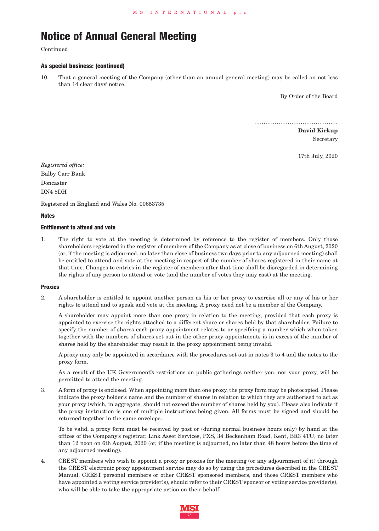Continued

#### **As special business: (continued)**

10. That a general meeting of the Company (other than an annual general meeting) may be called on not less than 14 clear days' notice.

By Order of the Board

……………………………………………

**David Kirkup** Secretary

17th July, 2020

*Registered office:* Balby Carr Bank Doncaster DN4 8DH

Registered in England and Wales No. 00653735

#### **Notes**

#### **Entitlement to attend and vote**

1. The right to vote at the meeting is determined by reference to the register of members. Only those shareholders registered in the register of members of the Company as at close of business on 6th August, 2020 (or, if the meeting is adjourned, no later than close of business two days prior to any adjourned meeting) shall be entitled to attend and vote at the meeting in respect of the number of shares registered in their name at that time. Changes to entries in the register of members after that time shall be disregarded in determining the rights of any person to attend or vote (and the number of votes they may cast) at the meeting.

#### **Proxies**

2. A shareholder is entitled to appoint another person as his or her proxy to exercise all or any of his or her rights to attend and to speak and vote at the meeting. A proxy need not be a member of the Company.

A shareholder may appoint more than one proxy in relation to the meeting, provided that each proxy is appointed to exercise the rights attached to a different share or shares held by that shareholder. Failure to specify the number of shares each proxy appointment relates to or specifying a number which when taken together with the numbers of shares set out in the other proxy appointments is in excess of the number of shares held by the shareholder may result in the proxy appointment being invalid.

A proxy may only be appointed in accordance with the procedures set out in notes 3 to 4 and the notes to the proxy form.

As a result of the UK Government's restrictions on public gatherings neither you, nor your proxy, will be permitted to attend the meeting.

3. A form of proxy is enclosed. When appointing more than one proxy, the proxy form may be photocopied. Please indicate the proxy holder's name and the number of shares in relation to which they are authorised to act as your proxy (which, in aggregate, should not exceed the number of shares held by you). Please also indicate if the proxy instruction is one of multiple instructions being given. All forms must be signed and should be returned together in the same envelope.

To be valid, a proxy form must be received by post or (during normal business hours only) by hand at the offices of the Company's registrar, Link Asset Services, PXS, 34 Beckenham Road, Kent, BR3 4TU, no later than 12 noon on 6th August, 2020 (or, if the meeting is adjourned, no later than 48 hours before the time of any adjourned meeting).

4. CREST members who wish to appoint a proxy or proxies for the meeting (or any adjournment of it) through the CREST electronic proxy appointment service may do so by using the procedures described in the CREST Manual. CREST personal members or other CREST sponsored members, and those CREST members who have appointed a voting service provider(s), should refer to their CREST sponsor or voting service provider(s), who will be able to take the appropriate action on their behalf.

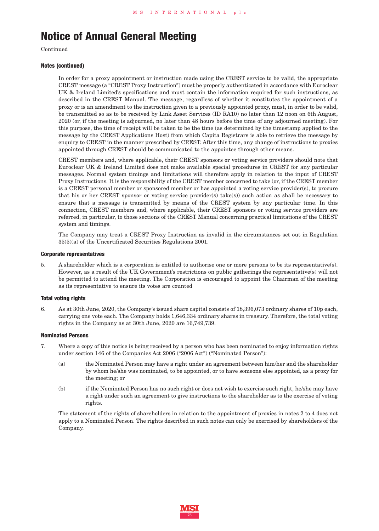Continued

#### **Notes (continued)**

In order for a proxy appointment or instruction made using the CREST service to be valid, the appropriate CREST message (a "CREST Proxy Instruction") must be properly authenticated in accordance with Euroclear UK & Ireland Limited's specifications and must contain the information required for such instructions, as described in the CREST Manual. The message, regardless of whether it constitutes the appointment of a proxy or is an amendment to the instruction given to a previously appointed proxy, must, in order to be valid, be transmitted so as to be received by Link Asset Services (ID RA10) no later than 12 noon on 6th August, 2020 (or, if the meeting is adjourned, no later than 48 hours before the time of any adjourned meeting). For this purpose, the time of receipt will be taken to be the time (as determined by the timestamp applied to the message by the CREST Applications Host) from which Capita Registrars is able to retrieve the message by enquiry to CREST in the manner prescribed by CREST. After this time, any change of instructions to proxies appointed through CREST should be communicated to the appointee through other means.

CREST members and, where applicable, their CREST sponsors or voting service providers should note that Euroclear UK & Ireland Limited does not make available special procedures in CREST for any particular messages. Normal system timings and limitations will therefore apply in relation to the input of CREST Proxy Instructions. It is the responsibility of the CREST member concerned to take (or, if the CREST member is a CREST personal member or sponsored member or has appointed a voting service provider(s), to procure that his or her CREST sponsor or voting service provider(s) take(s)) such action as shall be necessary to ensure that a message is transmitted by means of the CREST system by any particular time. In this connection, CREST members and, where applicable, their CREST sponsors or voting service providers are referred, in particular, to those sections of the CREST Manual concerning practical limitations of the CREST system and timings.

The Company may treat a CREST Proxy Instruction as invalid in the circumstances set out in Regulation 35(5)(a) of the Uncertificated Securities Regulations 2001.

#### **Corporate representatives**

5. A shareholder which is a corporation is entitled to authorise one or more persons to be its representative(s). However, as a result of the UK Government's restrictions on public gatherings the representative(s) will not be permitted to attend the meeting. The Corporation is encouraged to appoint the Chairman of the meeting as its representative to ensure its votes are counted

#### **Total voting rights**

6. As at 30th June, 2020, the Company's issued share capital consists of 18,396,073 ordinary shares of 10p each, carrying one vote each. The Company holds 1,646,334 ordinary shares in treasury. Therefore, the total voting rights in the Company as at 30th June, 2020 are 16,749,739.

#### **Nominated Persons**

- 7. Where a copy of this notice is being received by a person who has been nominated to enjoy information rights under section 146 of the Companies Act 2006 ("2006 Act") ("Nominated Person"):
	- (a) the Nominated Person may have a right under an agreement between him/her and the shareholder by whom he/she was nominated, to be appointed, or to have someone else appointed, as a proxy for the meeting; or
	- (b) if the Nominated Person has no such right or does not wish to exercise such right, he/she may have a right under such an agreement to give instructions to the shareholder as to the exercise of voting rights.

The statement of the rights of shareholders in relation to the appointment of proxies in notes 2 to 4 does not apply to a Nominated Person. The rights described in such notes can only be exercised by shareholders of the Company.

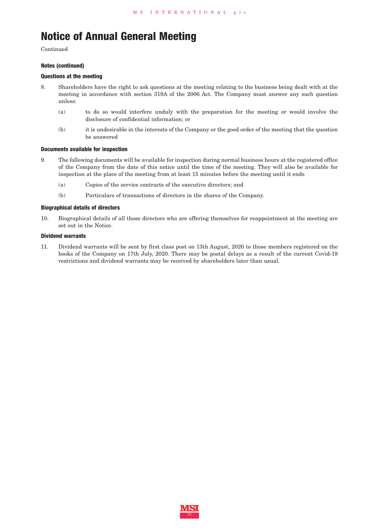Continued

#### **Notes (continued)**

### **Questions at the meeting**

- 8. Shareholders have the right to ask questions at the meeting relating to the business being dealt with at the meeting in accordance with section 319A of the 2006 Act. The Company must answer any such question unless:
	- (a) to do so would interfere unduly with the preparation for the meeting or would involve the disclosure of confidential information; or
	- (b) it is undesirable in the interests of the Company or the good order of the meeting that the question be answered

#### **Documents available for inspection**

- 9. The following documents will be available for inspection during normal business hours at the registered office of the Company from the date of this notice until the time of the meeting. They will also be available for inspection at the place of the meeting from at least 15 minutes before the meeting until it ends
	- (a) Copies of the service contracts of the executive directors; and
	- (b) Particulars of transactions of directors in the shares of the Company.

#### **Biographical details of directors**

10. Biographical details of all those directors who are offering themselves for reappointment at the meeting are set out in the Notice.

#### **Dividend warrants**

11. Dividend warrants will be sent by first class post on 13th August, 2020 to those members registered on the books of the Company on 17th July, 2020. There may be postal delays as a result of the current Covid-19 restrictions and dividend warrants may be received by shareholders later than usual.

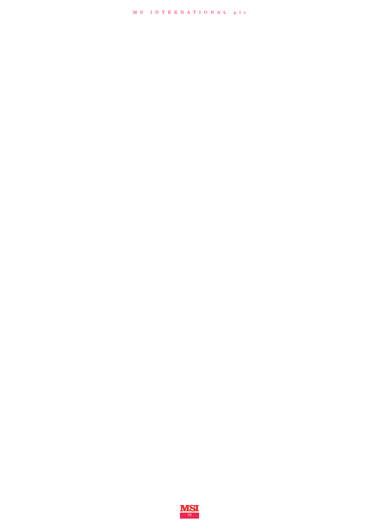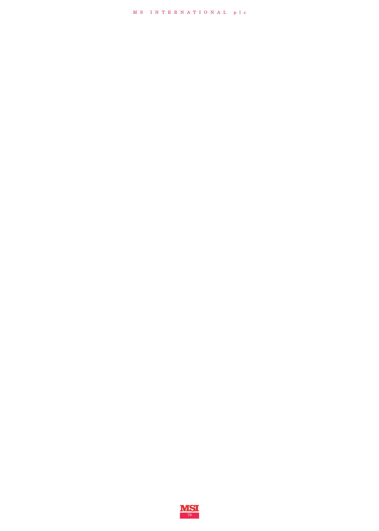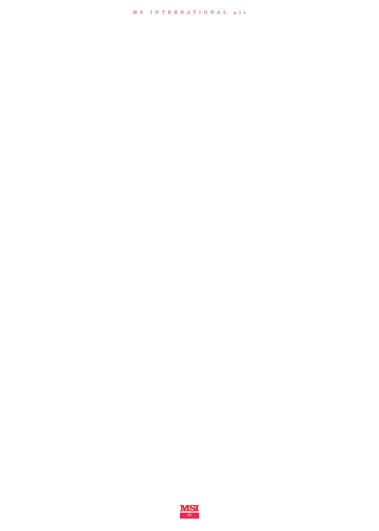